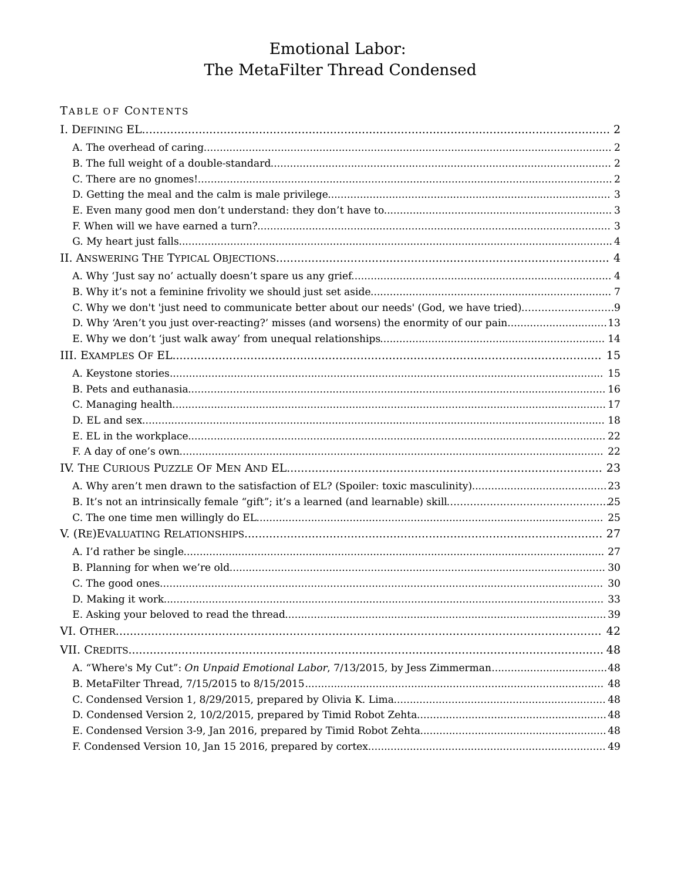# **Emotional Labor:** The MetaFilter Thread Condensed

## TABLE OF CONTENTS

| C. Why we don't 'just need to communicate better about our needs' (God, we have tried)9 |  |
|-----------------------------------------------------------------------------------------|--|
| D. Why 'Aren't you just over-reacting?' misses (and worsens) the enormity of our pain13 |  |
|                                                                                         |  |
|                                                                                         |  |
|                                                                                         |  |
|                                                                                         |  |
|                                                                                         |  |
|                                                                                         |  |
|                                                                                         |  |
|                                                                                         |  |
|                                                                                         |  |
|                                                                                         |  |
|                                                                                         |  |
|                                                                                         |  |
|                                                                                         |  |
|                                                                                         |  |
|                                                                                         |  |
|                                                                                         |  |
|                                                                                         |  |
|                                                                                         |  |
|                                                                                         |  |
|                                                                                         |  |
| A. "Where's My Cut": On Unpaid Emotional Labor, 7/13/2015, by Jess Zimmerman48          |  |
|                                                                                         |  |
|                                                                                         |  |
|                                                                                         |  |
|                                                                                         |  |
|                                                                                         |  |
|                                                                                         |  |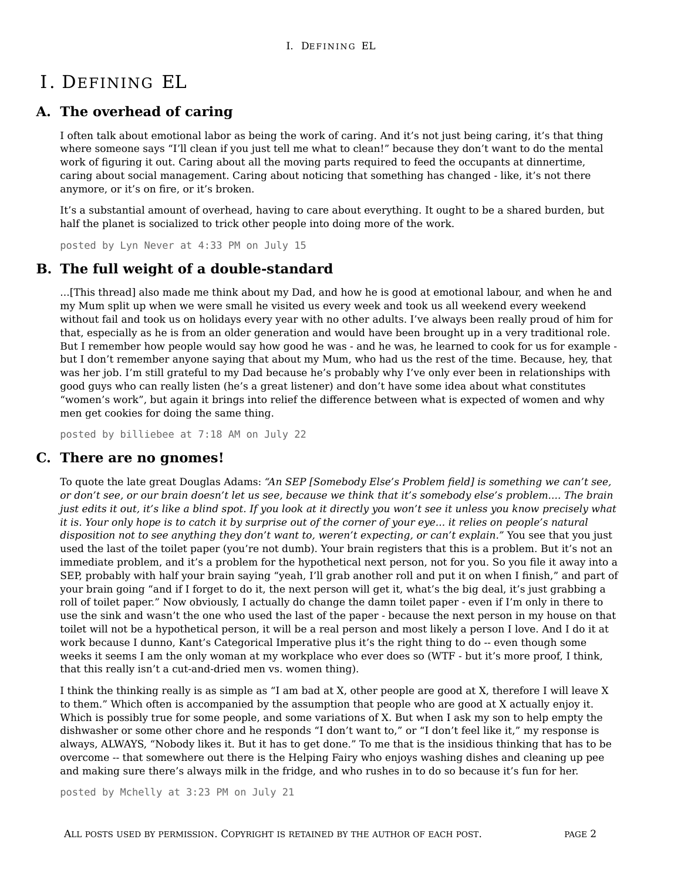# <span id="page-1-3"></span>I. DEFINING EL

## <span id="page-1-2"></span>**A. The overhead of caring**

I often talk about emotional labor as being the work of caring. And it's not just being caring, it's that thing where someone says "I'll clean if you just tell me what to clean!" because they don't want to do the mental work of figuring it out. Caring about all the moving parts required to feed the occupants at dinnertime, caring about social management. Caring about noticing that something has changed - like, it's not there anymore, or it's on fire, or it's broken.

It's a substantial amount of overhead, having to care about everything. It ought to be a shared burden, but half the planet is socialized to trick other people into doing more of the work.

<span id="page-1-1"></span>posted by Lyn Never at 4:33 PM on July 15

## **B. The full weight of a double-standard**

...[This thread] also made me think about my Dad, and how he is good at emotional labour, and when he and my Mum split up when we were small he visited us every week and took us all weekend every weekend without fail and took us on holidays every year with no other adults. I've always been really proud of him for that, especially as he is from an older generation and would have been brought up in a very traditional role. But I remember how people would say how good he was - and he was, he learned to cook for us for example but I don't remember anyone saying that about my Mum, who had us the rest of the time. Because, hey, that was her job. I'm still grateful to my Dad because he's probably why I've only ever been in relationships with good guys who can really listen (he's a great listener) and don't have some idea about what constitutes "women's work", but again it brings into relief the difference between what is expected of women and why men get cookies for doing the same thing.

<span id="page-1-0"></span>posted by billiebee at 7:18 AM on July 22

## **C. There are no gnomes!**

To quote the late great Douglas Adams: *"An SEP [Somebody Else's Problem field] is something we can't see, or don't see, or our brain doesn't let us see, because we think that it's somebody else's problem.... The brain just edits it out, it's like a blind spot. If you look at it directly you won't see it unless you know precisely what it is. Your only hope is to catch it by surprise out of the corner of your eye... it relies on people's natural disposition not to see anything they don't want to, weren't expecting, or can't explain."* You see that you just used the last of the toilet paper (you're not dumb). Your brain registers that this is a problem. But it's not an immediate problem, and it's a problem for the hypothetical next person, not for you. So you file it away into a SEP, probably with half your brain saying "yeah, I'll grab another roll and put it on when I finish," and part of your brain going "and if I forget to do it, the next person will get it, what's the big deal, it's just grabbing a roll of toilet paper." Now obviously, I actually do change the damn toilet paper - even if I'm only in there to use the sink and wasn't the one who used the last of the paper - because the next person in my house on that toilet will not be a hypothetical person, it will be a real person and most likely a person I love. And I do it at work because I dunno, Kant's Categorical Imperative plus it's the right thing to do -- even though some weeks it seems I am the only woman at my workplace who ever does so (WTF - but it's more proof, I think, that this really isn't a cut-and-dried men vs. women thing).

I think the thinking really is as simple as "I am bad at X, other people are good at X, therefore I will leave X to them." Which often is accompanied by the assumption that people who are good at X actually enjoy it. Which is possibly true for some people, and some variations of X. But when I ask my son to help empty the dishwasher or some other chore and he responds "I don't want to," or "I don't feel like it," my response is always, ALWAYS, "Nobody likes it. But it has to get done." To me that is the insidious thinking that has to be overcome -- that somewhere out there is the Helping Fairy who enjoys washing dishes and cleaning up pee and making sure there's always milk in the fridge, and who rushes in to do so because it's fun for her.

posted by Mchelly at 3:23 PM on July 21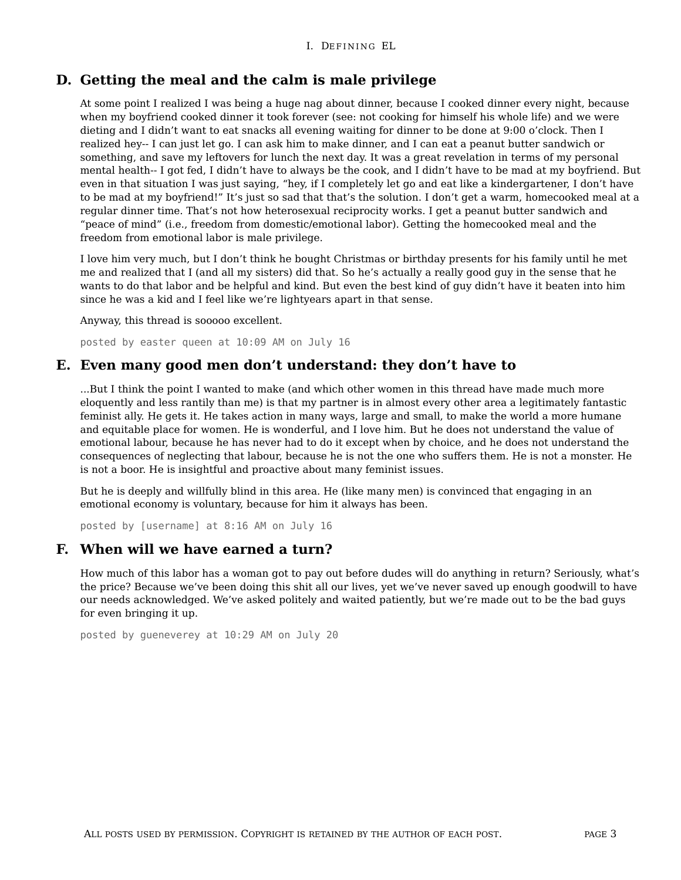## <span id="page-2-2"></span>**D. Getting the meal and the calm is male privilege**

At some point I realized I was being a huge nag about dinner, because I cooked dinner every night, because when my boyfriend cooked dinner it took forever (see: not cooking for himself his whole life) and we were dieting and I didn't want to eat snacks all evening waiting for dinner to be done at 9:00 o'clock. Then I realized hey-- I can just let go. I can ask him to make dinner, and I can eat a peanut butter sandwich or something, and save my leftovers for lunch the next day. It was a great revelation in terms of my personal mental health-- I got fed, I didn't have to always be the cook, and I didn't have to be mad at my boyfriend. But even in that situation I was just saying, "hey, if I completely let go and eat like a kindergartener, I don't have to be mad at my boyfriend!" It's just so sad that that's the solution. I don't get a warm, homecooked meal at a regular dinner time. That's not how heterosexual reciprocity works. I get a peanut butter sandwich and "peace of mind" (i.e., freedom from domestic/emotional labor). Getting the homecooked meal and the freedom from emotional labor is male privilege.

I love him very much, but I don't think he bought Christmas or birthday presents for his family until he met me and realized that I (and all my sisters) did that. So he's actually a really good guy in the sense that he wants to do that labor and be helpful and kind. But even the best kind of guy didn't have it beaten into him since he was a kid and I feel like we're lightyears apart in that sense.

Anyway, this thread is sooooo excellent.

<span id="page-2-1"></span>posted by easter queen at 10:09 AM on July 16

## **E. Even many good men don't understand: they don't have to**

...But I think the point I wanted to make (and which other women in this thread have made much more eloquently and less rantily than me) is that my partner is in almost every other area a legitimately fantastic feminist ally. He gets it. He takes action in many ways, large and small, to make the world a more humane and equitable place for women. He is wonderful, and I love him. But he does not understand the value of emotional labour, because he has never had to do it except when by choice, and he does not understand the consequences of neglecting that labour, because he is not the one who suffers them. He is not a monster. He is not a boor. He is insightful and proactive about many feminist issues.

But he is deeply and willfully blind in this area. He (like many men) is convinced that engaging in an emotional economy is voluntary, because for him it always has been.

<span id="page-2-0"></span>posted by [username] at 8:16 AM on July 16

## **F. When will we have earned a turn?**

How much of this labor has a woman got to pay out before dudes will do anything in return? Seriously, what's the price? Because we've been doing this shit all our lives, yet we've never saved up enough goodwill to have our needs acknowledged. We've asked politely and waited patiently, but we're made out to be the bad guys for even bringing it up.

```
posted by gueneverey at 10:29 AM on July 20
```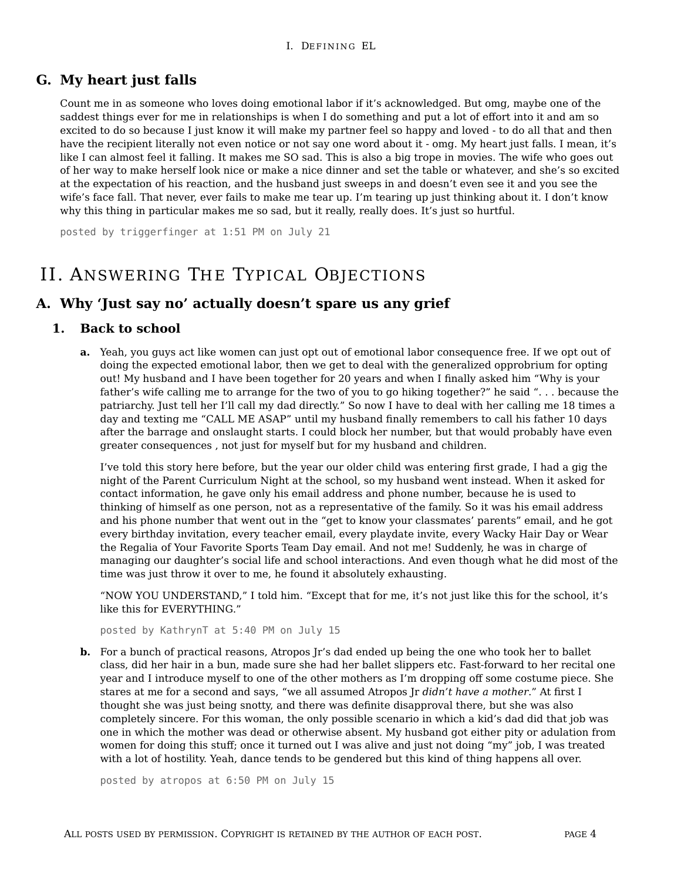#### **I. DEFINING EL.**

## <span id="page-3-2"></span>**G. My heart just falls**

Count me in as someone who loves doing emotional labor if it's acknowledged. But omg, maybe one of the saddest things ever for me in relationships is when I do something and put a lot of effort into it and am so excited to do so because I just know it will make my partner feel so happy and loved - to do all that and then have the recipient literally not even notice or not say one word about it - omg. My heart just falls. I mean, it's like I can almost feel it falling. It makes me SO sad. This is also a big trope in movies. The wife who goes out of her way to make herself look nice or make a nice dinner and set the table or whatever, and she's so excited at the expectation of his reaction, and the husband just sweeps in and doesn't even see it and you see the wife's face fall. That never, ever fails to make me tear up. I'm tearing up just thinking about it. I don't know why this thing in particular makes me so sad, but it really, really does. It's just so hurtful.

posted by triggerfinger at 1:51 PM on July 21

# <span id="page-3-1"></span>II. ANSWERING THE TYPICAL OBJECTIONS

## <span id="page-3-0"></span>**A. Why 'Just say no' actually doesn't spare us any grief**

### **1. Back to school**

**a.** Yeah, you guys act like women can just opt out of emotional labor consequence free. If we opt out of doing the expected emotional labor, then we get to deal with the generalized opprobrium for opting out! My husband and I have been together for 20 years and when I finally asked him "Why is your father's wife calling me to arrange for the two of you to go hiking together?" he said ". . . because the patriarchy. Just tell her I'll call my dad directly." So now I have to deal with her calling me 18 times a day and texting me "CALL ME ASAP" until my husband finally remembers to call his father 10 days after the barrage and onslaught starts. I could block her number, but that would probably have even greater consequences , not just for myself but for my husband and children.

I've told this story here before, but the year our older child was entering first grade, I had a gig the night of the Parent Curriculum Night at the school, so my husband went instead. When it asked for contact information, he gave only his email address and phone number, because he is used to thinking of himself as one person, not as a representative of the family. So it was his email address and his phone number that went out in the "get to know your classmates' parents" email, and he got every birthday invitation, every teacher email, every playdate invite, every Wacky Hair Day or Wear the Regalia of Your Favorite Sports Team Day email. And not me! Suddenly, he was in charge of managing our daughter's social life and school interactions. And even though what he did most of the time was just throw it over to me, he found it absolutely exhausting.

"NOW YOU UNDERSTAND," I told him. "Except that for me, it's not just like this for the school, it's like this for EVERYTHING."

posted by KathrynT at 5:40 PM on July 15

**b.** For a bunch of practical reasons, Atropos Jr's dad ended up being the one who took her to ballet class, did her hair in a bun, made sure she had her ballet slippers etc. Fast-forward to her recital one year and I introduce myself to one of the other mothers as I'm dropping off some costume piece. She stares at me for a second and says, "we all assumed Atropos Jr *didn't have a mother*." At first I thought she was just being snotty, and there was definite disapproval there, but she was also completely sincere. For this woman, the only possible scenario in which a kid's dad did that job was one in which the mother was dead or otherwise absent. My husband got either pity or adulation from women for doing this stuff; once it turned out I was alive and just not doing "my" job, I was treated with a lot of hostility. Yeah, dance tends to be gendered but this kind of thing happens all over.

posted by atropos at 6:50 PM on July 15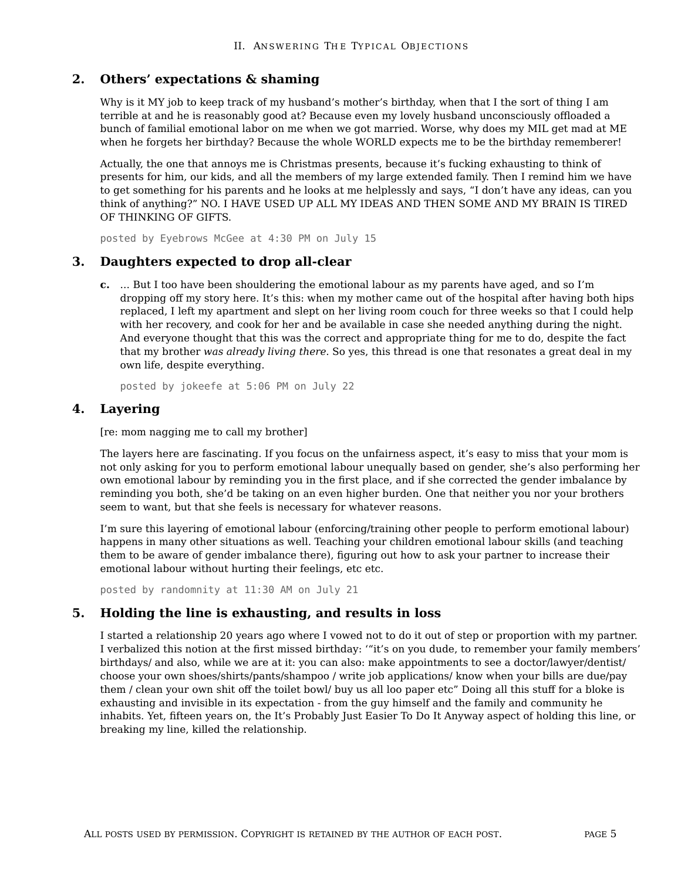## **2. Others' expectations & shaming**

Why is it MY job to keep track of my husband's mother's birthday, when that I the sort of thing I am terrible at and he is reasonably good at? Because even my lovely husband unconsciously offloaded a bunch of familial emotional labor on me when we got married. Worse, why does my MIL get mad at ME when he forgets her birthday? Because the whole WORLD expects me to be the birthday rememberer!

Actually, the one that annoys me is Christmas presents, because it's fucking exhausting to think of presents for him, our kids, and all the members of my large extended family. Then I remind him we have to get something for his parents and he looks at me helplessly and says, "I don't have any ideas, can you think of anything?" NO. I HAVE USED UP ALL MY IDEAS AND THEN SOME AND MY BRAIN IS TIRED OF THINKING OF GIFTS.

posted by Eyebrows McGee at 4:30 PM on July 15

#### **3. Daughters expected to drop all-clear**

**c.** ... But I too have been shouldering the emotional labour as my parents have aged, and so I'm dropping off my story here. It's this: when my mother came out of the hospital after having both hips replaced, I left my apartment and slept on her living room couch for three weeks so that I could help with her recovery, and cook for her and be available in case she needed anything during the night. And everyone thought that this was the correct and appropriate thing for me to do, despite the fact that my brother *was already living there*. So yes, this thread is one that resonates a great deal in my own life, despite everything.

posted by jokeefe at 5:06 PM on July 22

### **4. Layering**

[re: mom nagging me to call my brother]

The layers here are fascinating. If you focus on the unfairness aspect, it's easy to miss that your mom is not only asking for you to perform emotional labour unequally based on gender, she's also performing her own emotional labour by reminding you in the first place, and if she corrected the gender imbalance by reminding you both, she'd be taking on an even higher burden. One that neither you nor your brothers seem to want, but that she feels is necessary for whatever reasons.

I'm sure this layering of emotional labour (enforcing/training other people to perform emotional labour) happens in many other situations as well. Teaching your children emotional labour skills (and teaching them to be aware of gender imbalance there), figuring out how to ask your partner to increase their emotional labour without hurting their feelings, etc etc.

posted by randomnity at 11:30 AM on July 21

### **5. Holding the line is exhausting, and results in loss**

I started a relationship 20 years ago where I vowed not to do it out of step or proportion with my partner. I verbalized this notion at the first missed birthday: '"it's on you dude, to remember your family members' birthdays/ and also, while we are at it: you can also: make appointments to see a doctor/lawyer/dentist/ choose your own shoes/shirts/pants/shampoo / write job applications/ know when your bills are due/pay them / clean your own shit off the toilet bowl/ buy us all loo paper etc" Doing all this stuff for a bloke is exhausting and invisible in its expectation - from the guy himself and the family and community he inhabits. Yet, fifteen years on, the It's Probably Just Easier To Do It Anyway aspect of holding this line, or breaking my line, killed the relationship.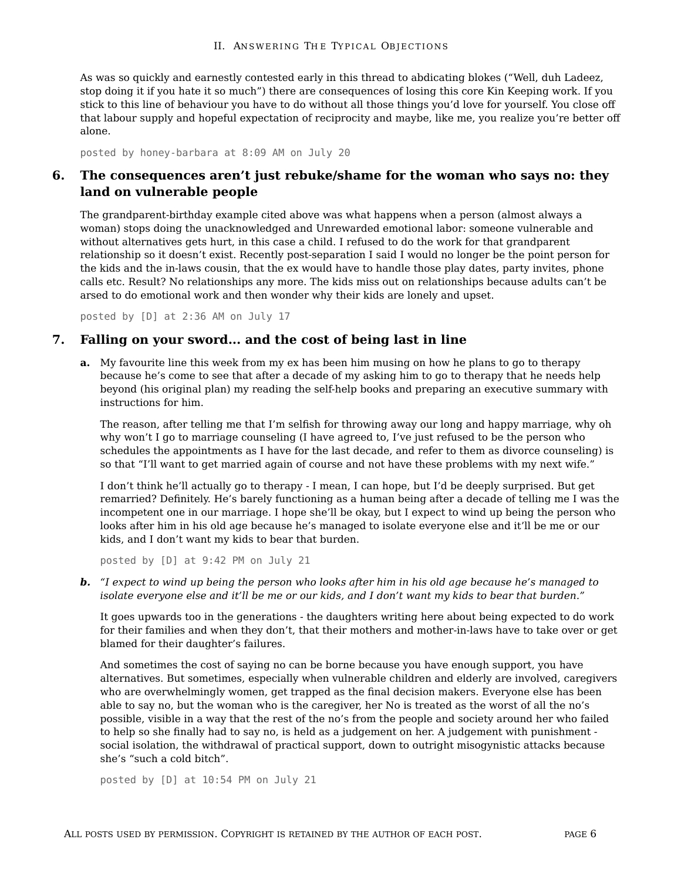As was so quickly and earnestly contested early in this thread to abdicating blokes ("Well, duh Ladeez, stop doing it if you hate it so much") there are consequences of losing this core Kin Keeping work. If you stick to this line of behaviour you have to do without all those things you'd love for yourself. You close off that labour supply and hopeful expectation of reciprocity and maybe, like me, you realize you're better off alone.

posted by honey-barbara at 8:09 AM on July 20

## **6. The consequences aren't just rebuke/shame for the woman who says no: they land on vulnerable people**

The grandparent-birthday example cited above was what happens when a person (almost always a woman) stops doing the unacknowledged and Unrewarded emotional labor: someone vulnerable and without alternatives gets hurt, in this case a child. I refused to do the work for that grandparent relationship so it doesn't exist. Recently post-separation I said I would no longer be the point person for the kids and the in-laws cousin, that the ex would have to handle those play dates, party invites, phone calls etc. Result? No relationships any more. The kids miss out on relationships because adults can't be arsed to do emotional work and then wonder why their kids are lonely and upset.

posted by [D] at 2:36 AM on July 17

## **7. Falling on your sword... and the cost of being last in line**

**a.** My favourite line this week from my ex has been him musing on how he plans to go to therapy because he's come to see that after a decade of my asking him to go to therapy that he needs help beyond (his original plan) my reading the self-help books and preparing an executive summary with instructions for him.

The reason, after telling me that I'm selfish for throwing away our long and happy marriage, why oh why won't I go to marriage counseling (I have agreed to, I've just refused to be the person who schedules the appointments as I have for the last decade, and refer to them as divorce counseling) is so that "I'll want to get married again of course and not have these problems with my next wife."

I don't think he'll actually go to therapy - I mean, I can hope, but I'd be deeply surprised. But get remarried? Definitely. He's barely functioning as a human being after a decade of telling me I was the incompetent one in our marriage. I hope she'll be okay, but I expect to wind up being the person who looks after him in his old age because he's managed to isolate everyone else and it'll be me or our kids, and I don't want my kids to bear that burden.

posted by [D] at 9:42 PM on July 21

*b. "I expect to wind up being the person who looks after him in his old age because he's managed to isolate everyone else and it'll be me or our kids, and I don't want my kids to bear that burden."*

It goes upwards too in the generations - the daughters writing here about being expected to do work for their families and when they don't, that their mothers and mother-in-laws have to take over or get blamed for their daughter's failures.

And sometimes the cost of saying no can be borne because you have enough support, you have alternatives. But sometimes, especially when vulnerable children and elderly are involved, caregivers who are overwhelmingly women, get trapped as the final decision makers. Everyone else has been able to say no, but the woman who is the caregiver, her No is treated as the worst of all the no's possible, visible in a way that the rest of the no's from the people and society around her who failed to help so she finally had to say no, is held as a judgement on her. A judgement with punishment social isolation, the withdrawal of practical support, down to outright misogynistic attacks because she's "such a cold bitch".

posted by [D] at 10:54 PM on July 21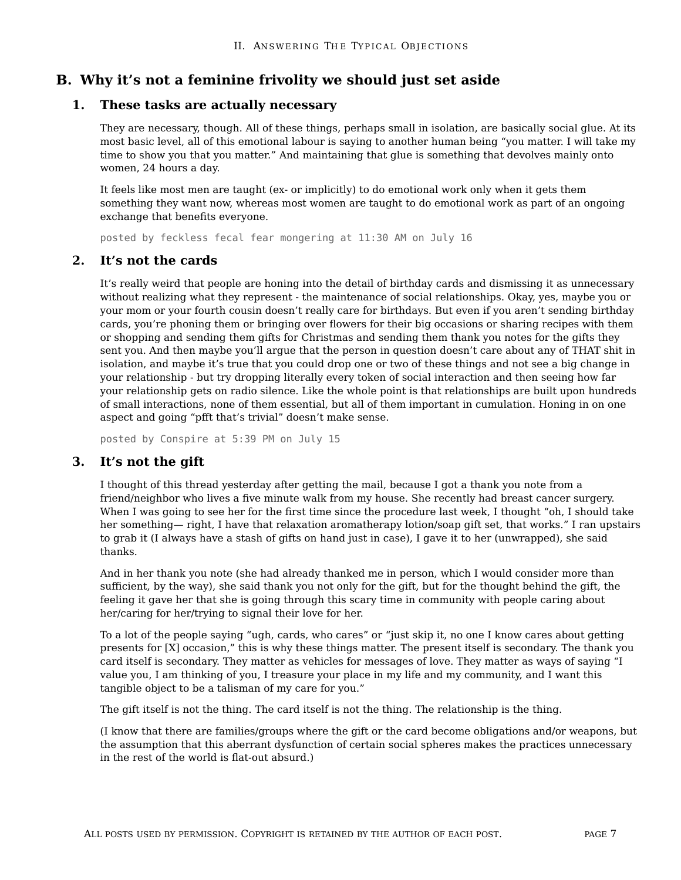## <span id="page-6-0"></span>**B. Why it's not a feminine frivolity we should just set aside**

## **1. These tasks are actually necessary**

They are necessary, though. All of these things, perhaps small in isolation, are basically social glue. At its most basic level, all of this emotional labour is saying to another human being "you matter. I will take my time to show you that you matter." And maintaining that glue is something that devolves mainly onto women, 24 hours a day.

It feels like most men are taught (ex- or implicitly) to do emotional work only when it gets them something they want now, whereas most women are taught to do emotional work as part of an ongoing exchange that benefits everyone.

posted by feckless fecal fear mongering at 11:30 AM on July 16

### **2. It's not the cards**

It's really weird that people are honing into the detail of birthday cards and dismissing it as unnecessary without realizing what they represent - the maintenance of social relationships. Okay, yes, maybe you or your mom or your fourth cousin doesn't really care for birthdays. But even if you aren't sending birthday cards, you're phoning them or bringing over flowers for their big occasions or sharing recipes with them or shopping and sending them gifts for Christmas and sending them thank you notes for the gifts they sent you. And then maybe you'll argue that the person in question doesn't care about any of THAT shit in isolation, and maybe it's true that you could drop one or two of these things and not see a big change in your relationship - but try dropping literally every token of social interaction and then seeing how far your relationship gets on radio silence. Like the whole point is that relationships are built upon hundreds of small interactions, none of them essential, but all of them important in cumulation. Honing in on one aspect and going "pfft that's trivial" doesn't make sense.

posted by Conspire at 5:39 PM on July 15

## **3. It's not the gift**

I thought of this thread yesterday after getting the mail, because I got a thank you note from a friend/neighbor who lives a five minute walk from my house. She recently had breast cancer surgery. When I was going to see her for the first time since the procedure last week, I thought "oh, I should take her something— right, I have that relaxation aromatherapy lotion/soap gift set, that works." I ran upstairs to grab it (I always have a stash of gifts on hand just in case), I gave it to her (unwrapped), she said thanks.

And in her thank you note (she had already thanked me in person, which I would consider more than sufficient, by the way), she said thank you not only for the gift, but for the thought behind the gift, the feeling it gave her that she is going through this scary time in community with people caring about her/caring for her/trying to signal their love for her.

To a lot of the people saying "ugh, cards, who cares" or "just skip it, no one I know cares about getting presents for [X] occasion," this is why these things matter. The present itself is secondary. The thank you card itself is secondary. They matter as vehicles for messages of love. They matter as ways of saying "I value you, I am thinking of you, I treasure your place in my life and my community, and I want this tangible object to be a talisman of my care for you."

The gift itself is not the thing. The card itself is not the thing. The relationship is the thing.

(I know that there are families/groups where the gift or the card become obligations and/or weapons, but the assumption that this aberrant dysfunction of certain social spheres makes the practices unnecessary in the rest of the world is flat-out absurd.)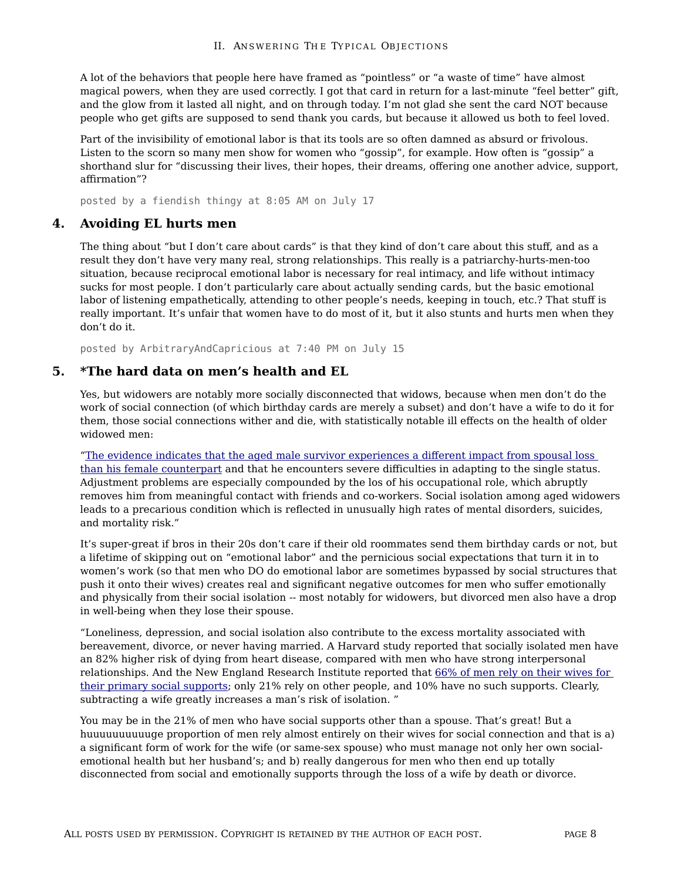A lot of the behaviors that people here have framed as "pointless" or "a waste of time" have almost magical powers, when they are used correctly. I got that card in return for a last-minute "feel better" gift, and the glow from it lasted all night, and on through today. I'm not glad she sent the card NOT because people who get gifts are supposed to send thank you cards, but because it allowed us both to feel loved.

Part of the invisibility of emotional labor is that its tools are so often damned as absurd or frivolous. Listen to the scorn so many men show for women who "gossip", for example. How often is "gossip" a shorthand slur for "discussing their lives, their hopes, their dreams, offering one another advice, support, affirmation"?

posted by a fiendish thingy at 8:05 AM on July 17

## **4. Avoiding EL hurts men**

The thing about "but I don't care about cards" is that they kind of don't care about this stuff, and as a result they don't have very many real, strong relationships. This really is a patriarchy-hurts-men-too situation, because reciprocal emotional labor is necessary for real intimacy, and life without intimacy sucks for most people. I don't particularly care about actually sending cards, but the basic emotional labor of listening empathetically, attending to other people's needs, keeping in touch, etc.? That stuff is really important. It's unfair that women have to do most of it, but it also stunts and hurts men when they don't do it.

posted by ArbitraryAndCapricious at 7:40 PM on July 15

## **5. \*The hard data on men's health and EL**

Yes, but widowers are notably more socially disconnected that widows, because when men don't do the work of social connection (of which birthday cards are merely a subset) and don't have a wife to do it for them, those social connections wither and die, with statistically notable ill effects on the health of older widowed men:

["The evidence indicates that the aged male survivor experiences a different impact from spousal loss](http://www.jstor.org/stable/582141?seq=1#page_scan_tab_contents)  [than his female counterpart](http://www.jstor.org/stable/582141?seq=1#page_scan_tab_contents) and that he encounters severe difficulties in adapting to the single status. Adjustment problems are especially compounded by the los of his occupational role, which abruptly removes him from meaningful contact with friends and co-workers. Social isolation among aged widowers leads to a precarious condition which is reflected in unusually high rates of mental disorders, suicides, and mortality risk."

It's super-great if bros in their 20s don't care if their old roommates send them birthday cards or not, but a lifetime of skipping out on "emotional labor" and the pernicious social expectations that turn it in to women's work (so that men who DO do emotional labor are sometimes bypassed by social structures that push it onto their wives) creates real and significant negative outcomes for men who suffer emotionally and physically from their social isolation -- most notably for widowers, but divorced men also have a drop in well-being when they lose their spouse.

"Loneliness, depression, and social isolation also contribute to the excess mortality associated with bereavement, divorce, or never having married. A Harvard study reported that socially isolated men have an 82% higher risk of dying from heart disease, compared with men who have strong interpersonal relationships. And the New England Research Institute reported that [66% of men rely on their wives for](http://www.health.harvard.edu/newsletter_article/marriage-and-mens-health)  [their primary social supports;](http://www.health.harvard.edu/newsletter_article/marriage-and-mens-health) only 21% rely on other people, and 10% have no such supports. Clearly, subtracting a wife greatly increases a man's risk of isolation. "

You may be in the 21% of men who have social supports other than a spouse. That's great! But a huuuuuuuuuuge proportion of men rely almost entirely on their wives for social connection and that is a) a significant form of work for the wife (or same-sex spouse) who must manage not only her own socialemotional health but her husband's; and b) really dangerous for men who then end up totally disconnected from social and emotionally supports through the loss of a wife by death or divorce.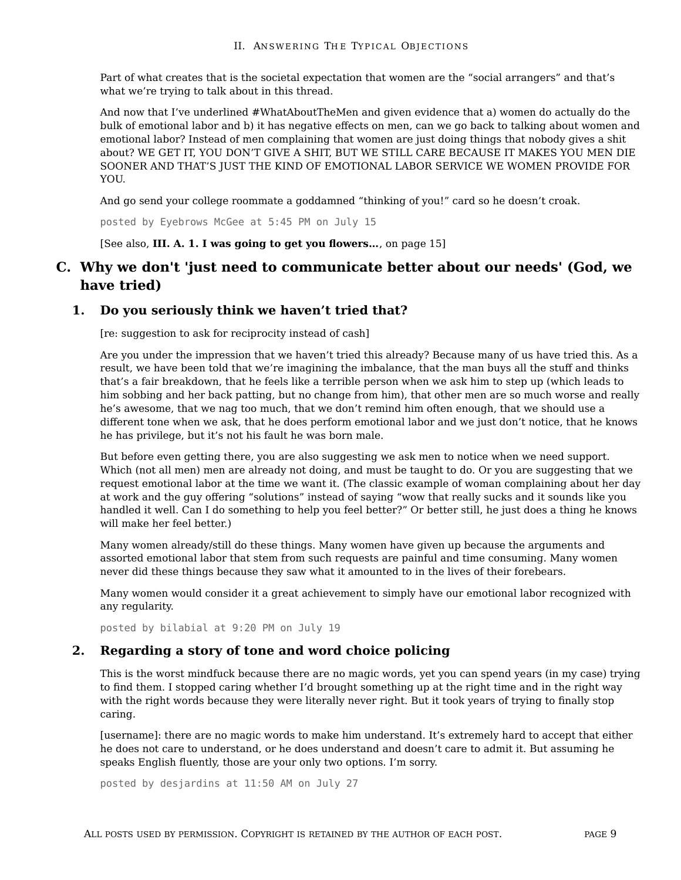Part of what creates that is the societal expectation that women are the "social arrangers" and that's what we're trying to talk about in this thread.

And now that I've underlined #WhatAboutTheMen and given evidence that a) women do actually do the bulk of emotional labor and b) it has negative effects on men, can we go back to talking about women and emotional labor? Instead of men complaining that women are just doing things that nobody gives a shit about? WE GET IT, YOU DON'T GIVE A SHIT, BUT WE STILL CARE BECAUSE IT MAKES YOU MEN DIE SOONER AND THAT'S JUST THE KIND OF EMOTIONAL LABOR SERVICE WE WOMEN PROVIDE FOR YOU.

And go send your college roommate a goddamned "thinking of you!" card so he doesn't croak.

posted by Eyebrows McGee at 5:45 PM on July 15

[See also, **[III. A. 1. I was going to get you flowers…](#page-14-2)**, on page [15\]](#page-14-2)

# <span id="page-8-0"></span>**C. Why we don't 'just need to communicate better about our needs' (God, we have tried)**

### **1. Do you seriously think we haven't tried that?**

[re: suggestion to ask for reciprocity instead of cash]

Are you under the impression that we haven't tried this already? Because many of us have tried this. As a result, we have been told that we're imagining the imbalance, that the man buys all the stuff and thinks that's a fair breakdown, that he feels like a terrible person when we ask him to step up (which leads to him sobbing and her back patting, but no change from him), that other men are so much worse and really he's awesome, that we nag too much, that we don't remind him often enough, that we should use a different tone when we ask, that he does perform emotional labor and we just don't notice, that he knows he has privilege, but it's not his fault he was born male.

But before even getting there, you are also suggesting we ask men to notice when we need support. Which (not all men) men are already not doing, and must be taught to do. Or you are suggesting that we request emotional labor at the time we want it. (The classic example of woman complaining about her day at work and the guy offering "solutions" instead of saying "wow that really sucks and it sounds like you handled it well. Can I do something to help you feel better?" Or better still, he just does a thing he knows will make her feel better.)

Many women already/still do these things. Many women have given up because the arguments and assorted emotional labor that stem from such requests are painful and time consuming. Many women never did these things because they saw what it amounted to in the lives of their forebears.

Many women would consider it a great achievement to simply have our emotional labor recognized with any regularity.

posted by bilabial at 9:20 PM on July 19

# **2. Regarding a story of tone and word choice policing**

This is the worst mindfuck because there are no magic words, yet you can spend years (in my case) trying to find them. I stopped caring whether I'd brought something up at the right time and in the right way with the right words because they were literally never right. But it took years of trying to finally stop caring.

[username]: there are no magic words to make him understand. It's extremely hard to accept that either he does not care to understand, or he does understand and doesn't care to admit it. But assuming he speaks English fluently, those are your only two options. I'm sorry.

posted by desjardins at 11:50 AM on July 27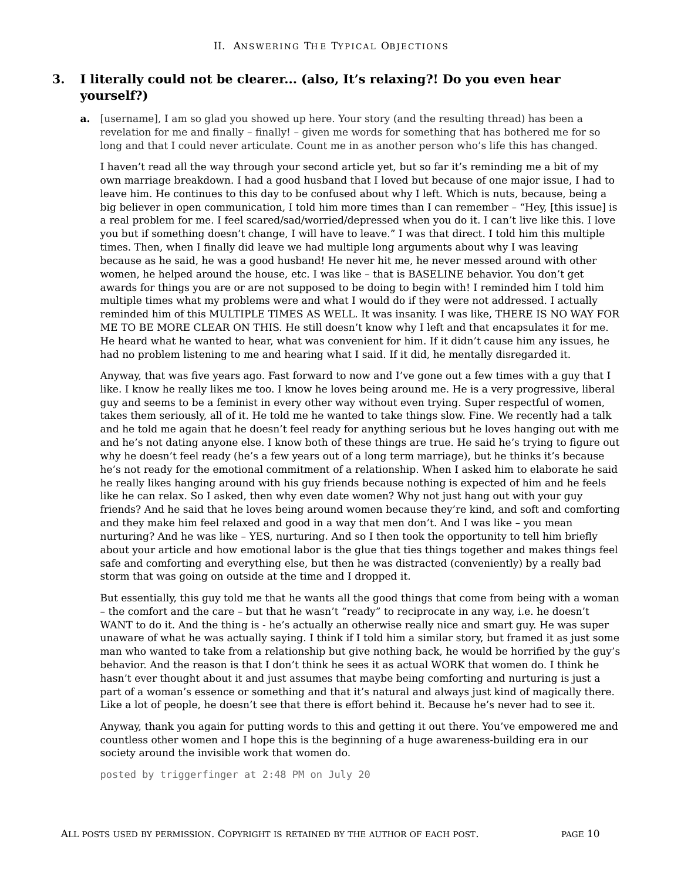## **3. I literally could not be clearer... (also, It's relaxing?! Do you even hear yourself?)**

**a.** [username], I am so glad you showed up here. Your story (and the resulting thread) has been a revelation for me and finally – finally! – given me words for something that has bothered me for so long and that I could never articulate. Count me in as another person who's life this has changed.

I haven't read all the way through your second article yet, but so far it's reminding me a bit of my own marriage breakdown. I had a good husband that I loved but because of one major issue, I had to leave him. He continues to this day to be confused about why I left. Which is nuts, because, being a big believer in open communication, I told him more times than I can remember – "Hey, [this issue] is a real problem for me. I feel scared/sad/worried/depressed when you do it. I can't live like this. I love you but if something doesn't change, I will have to leave." I was that direct. I told him this multiple times. Then, when I finally did leave we had multiple long arguments about why I was leaving because as he said, he was a good husband! He never hit me, he never messed around with other women, he helped around the house, etc. I was like – that is BASELINE behavior. You don't get awards for things you are or are not supposed to be doing to begin with! I reminded him I told him multiple times what my problems were and what I would do if they were not addressed. I actually reminded him of this MULTIPLE TIMES AS WELL. It was insanity. I was like, THERE IS NO WAY FOR ME TO BE MORE CLEAR ON THIS. He still doesn't know why I left and that encapsulates it for me. He heard what he wanted to hear, what was convenient for him. If it didn't cause him any issues, he had no problem listening to me and hearing what I said. If it did, he mentally disregarded it.

Anyway, that was five years ago. Fast forward to now and I've gone out a few times with a guy that I like. I know he really likes me too. I know he loves being around me. He is a very progressive, liberal guy and seems to be a feminist in every other way without even trying. Super respectful of women, takes them seriously, all of it. He told me he wanted to take things slow. Fine. We recently had a talk and he told me again that he doesn't feel ready for anything serious but he loves hanging out with me and he's not dating anyone else. I know both of these things are true. He said he's trying to figure out why he doesn't feel ready (he's a few years out of a long term marriage), but he thinks it's because he's not ready for the emotional commitment of a relationship. When I asked him to elaborate he said he really likes hanging around with his guy friends because nothing is expected of him and he feels like he can relax. So I asked, then why even date women? Why not just hang out with your guy friends? And he said that he loves being around women because they're kind, and soft and comforting and they make him feel relaxed and good in a way that men don't. And I was like – you mean nurturing? And he was like – YES, nurturing. And so I then took the opportunity to tell him briefly about your article and how emotional labor is the glue that ties things together and makes things feel safe and comforting and everything else, but then he was distracted (conveniently) by a really bad storm that was going on outside at the time and I dropped it.

But essentially, this guy told me that he wants all the good things that come from being with a woman – the comfort and the care – but that he wasn't "ready" to reciprocate in any way, i.e. he doesn't WANT to do it. And the thing is - he's actually an otherwise really nice and smart guy. He was super unaware of what he was actually saying. I think if I told him a similar story, but framed it as just some man who wanted to take from a relationship but give nothing back, he would be horrified by the guy's behavior. And the reason is that I don't think he sees it as actual WORK that women do. I think he hasn't ever thought about it and just assumes that maybe being comforting and nurturing is just a part of a woman's essence or something and that it's natural and always just kind of magically there. Like a lot of people, he doesn't see that there is effort behind it. Because he's never had to see it.

Anyway, thank you again for putting words to this and getting it out there. You've empowered me and countless other women and I hope this is the beginning of a huge awareness-building era in our society around the invisible work that women do.

posted by triggerfinger at 2:48 PM on July 20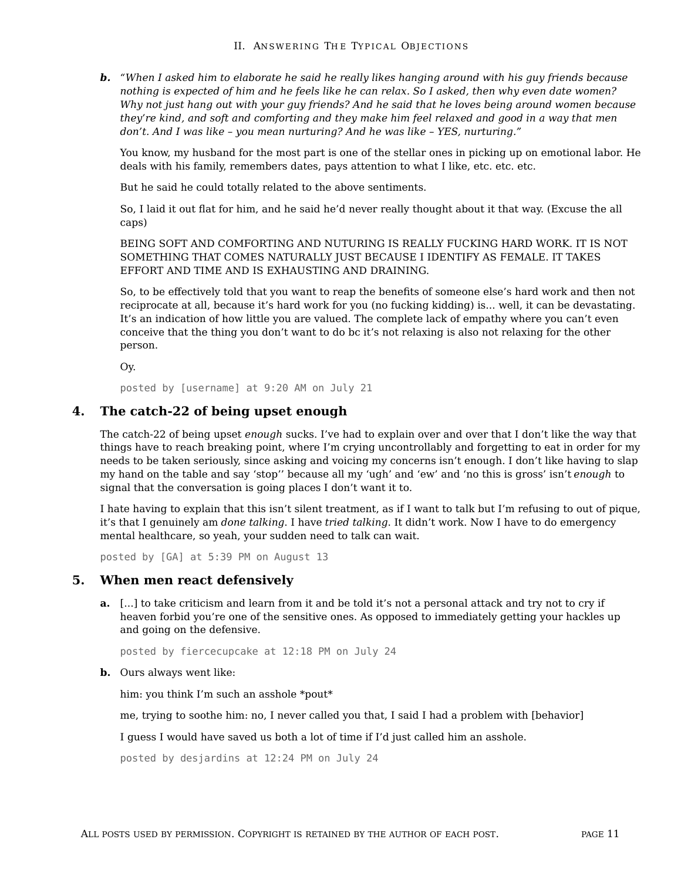*b. "When I asked him to elaborate he said he really likes hanging around with his guy friends because nothing is expected of him and he feels like he can relax. So I asked, then why even date women? Why not just hang out with your guy friends? And he said that he loves being around women because they're kind, and soft and comforting and they make him feel relaxed and good in a way that men don't. And I was like – you mean nurturing? And he was like – YES, nurturing."*

You know, my husband for the most part is one of the stellar ones in picking up on emotional labor. He deals with his family, remembers dates, pays attention to what I like, etc. etc. etc.

But he said he could totally related to the above sentiments.

So, I laid it out flat for him, and he said he'd never really thought about it that way. (Excuse the all caps)

BEING SOFT AND COMFORTING AND NUTURING IS REALLY FUCKING HARD WORK. IT IS NOT SOMETHING THAT COMES NATURALLY JUST BECAUSE I IDENTIFY AS FEMALE. IT TAKES EFFORT AND TIME AND IS EXHAUSTING AND DRAINING.

So, to be effectively told that you want to reap the benefits of someone else's hard work and then not reciprocate at all, because it's hard work for you (no fucking kidding) is... well, it can be devastating. It's an indication of how little you are valued. The complete lack of empathy where you can't even conceive that the thing you don't want to do bc it's not relaxing is also not relaxing for the other person.

Oy.

posted by [username] at 9:20 AM on July 21

## **4. The catch-22 of being upset enough**

The catch-22 of being upset *enough* sucks. I've had to explain over and over that I don't like the way that things have to reach breaking point, where I'm crying uncontrollably and forgetting to eat in order for my needs to be taken seriously, since asking and voicing my concerns isn't enough. I don't like having to slap my hand on the table and say 'stop'' because all my 'ugh' and 'ew' and 'no this is gross' isn't *enough* to signal that the conversation is going places I don't want it to.

I hate having to explain that this isn't silent treatment, as if I want to talk but I'm refusing to out of pique, it's that I genuinely am *done talking*. I have *tried talking*. It didn't work. Now I have to do emergency mental healthcare, so yeah, your sudden need to talk can wait.

posted by [GA] at 5:39 PM on August 13

### **5. When men react defensively**

**a.** [...] to take criticism and learn from it and be told it's not a personal attack and try not to cry if heaven forbid you're one of the sensitive ones. As opposed to immediately getting your hackles up and going on the defensive.

posted by fiercecupcake at 12:18 PM on July 24

**b.** Ours always went like:

him: you think I'm such an asshole \*pout\*

me, trying to soothe him: no, I never called you that, I said I had a problem with [behavior]

I guess I would have saved us both a lot of time if I'd just called him an asshole.

posted by desjardins at 12:24 PM on July 24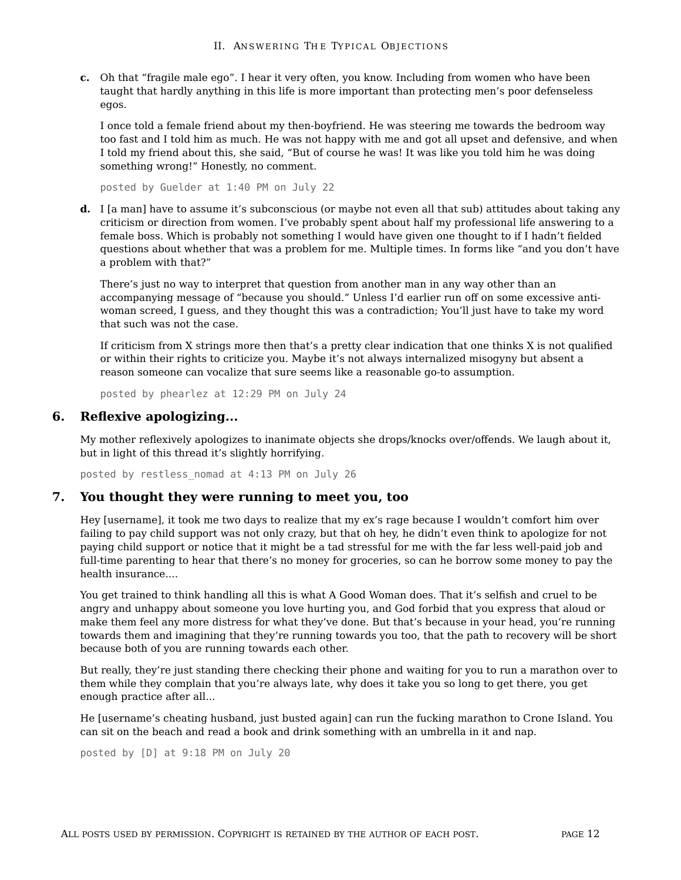#### II. ANSWERING THE TYPICAL OBJECTIONS

**c.** Oh that "fragile male ego". I hear it very often, you know. Including from women who have been taught that hardly anything in this life is more important than protecting men's poor defenseless egos.

I once told a female friend about my then-boyfriend. He was steering me towards the bedroom way too fast and I told him as much. He was not happy with me and got all upset and defensive, and when I told my friend about this, she said, "But of course he was! It was like you told him he was doing something wrong!" Honestly, no comment.

posted by Guelder at 1:40 PM on July 22

**d.** I [a man] have to assume it's subconscious (or maybe not even all that sub) attitudes about taking any criticism or direction from women. I've probably spent about half my professional life answering to a female boss. Which is probably not something I would have given one thought to if I hadn't fielded questions about whether that was a problem for me. Multiple times. In forms like "and you don't have a problem with that?"

There's just no way to interpret that question from another man in any way other than an accompanying message of "because you should." Unless I'd earlier run off on some excessive antiwoman screed, I guess, and they thought this was a contradiction; You'll just have to take my word that such was not the case.

If criticism from X strings more then that's a pretty clear indication that one thinks X is not qualified or within their rights to criticize you. Maybe it's not always internalized misogyny but absent a reason someone can vocalize that sure seems like a reasonable go-to assumption.

posted by phearlez at 12:29 PM on July 24

### **6. Reflexive apologizing...**

My mother reflexively apologizes to inanimate objects she drops/knocks over/offends. We laugh about it, but in light of this thread it's slightly horrifying.

posted by restless\_nomad at 4:13 PM on July 26

### **7. You thought they were running to meet you, too**

Hey [username], it took me two days to realize that my ex's rage because I wouldn't comfort him over failing to pay child support was not only crazy, but that oh hey, he didn't even think to apologize for not paying child support or notice that it might be a tad stressful for me with the far less well-paid job and full-time parenting to hear that there's no money for groceries, so can he borrow some money to pay the health insurance....

You get trained to think handling all this is what A Good Woman does. That it's selfish and cruel to be angry and unhappy about someone you love hurting you, and God forbid that you express that aloud or make them feel any more distress for what they've done. But that's because in your head, you're running towards them and imagining that they're running towards you too, that the path to recovery will be short because both of you are running towards each other.

But really, they're just standing there checking their phone and waiting for you to run a marathon over to them while they complain that you're always late, why does it take you so long to get there, you get enough practice after all...

He [username's cheating husband, just busted again] can run the fucking marathon to Crone Island. You can sit on the beach and read a book and drink something with an umbrella in it and nap.

posted by [D] at 9:18 PM on July 20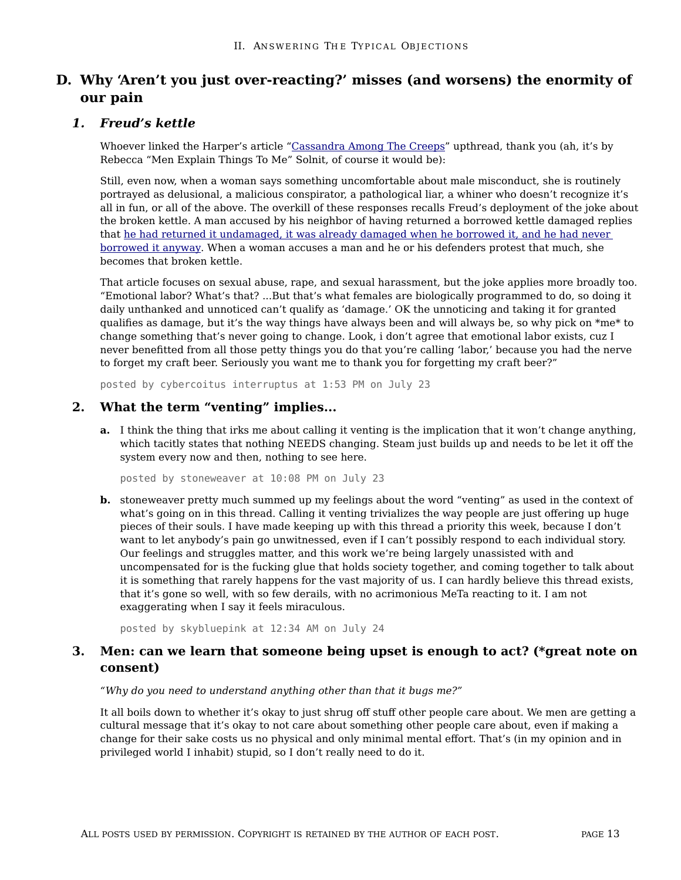# <span id="page-12-0"></span>**D. Why 'Aren't you just over-reacting?' misses (and worsens) the enormity of our pain**

## *1. Freud's kettle*

Whoever linked the Harper's article ["Cassandra Among The Creeps"](http://harpers.org/archive/2014/10/cassandra-among-the-creeps/) upthread, thank you (ah, it's by Rebecca "Men Explain Things To Me" Solnit, of course it would be):

Still, even now, when a woman says something uncomfortable about male misconduct, she is routinely portrayed as delusional, a malicious conspirator, a pathological liar, a whiner who doesn't recognize it's all in fun, or all of the above. The overkill of these responses recalls Freud's deployment of the joke about the broken kettle. A man accused by his neighbor of having returned a borrowed kettle damaged replies that [he had returned it undamaged, it was already damaged when he borrowed it, and he had never](http://harpers.org/archive/2014/10/cassandra-among-the-creeps/2/)  [borrowed it anyway.](http://harpers.org/archive/2014/10/cassandra-among-the-creeps/2/) When a woman accuses a man and he or his defenders protest that much, she becomes that broken kettle.

That article focuses on sexual abuse, rape, and sexual harassment, but the joke applies more broadly too. "Emotional labor? What's that? ...But that's what females are biologically programmed to do, so doing it daily unthanked and unnoticed can't qualify as 'damage.' OK the unnoticing and taking it for granted qualifies as damage, but it's the way things have always been and will always be, so why pick on \*me\* to change something that's never going to change. Look, i don't agree that emotional labor exists, cuz I never benefitted from all those petty things you do that you're calling 'labor,' because you had the nerve to forget my craft beer. Seriously you want me to thank you for forgetting my craft beer?"

posted by cybercoitus interruptus at 1:53 PM on July 23

### **2. What the term "venting" implies...**

**a.** I think the thing that irks me about calling it venting is the implication that it won't change anything, which tacitly states that nothing NEEDS changing. Steam just builds up and needs to be let it off the system every now and then, nothing to see here.

posted by stoneweaver at 10:08 PM on July 23

**b.** stoneweaver pretty much summed up my feelings about the word "venting" as used in the context of what's going on in this thread. Calling it venting trivializes the way people are just offering up huge pieces of their souls. I have made keeping up with this thread a priority this week, because I don't want to let anybody's pain go unwitnessed, even if I can't possibly respond to each individual story. Our feelings and struggles matter, and this work we're being largely unassisted with and uncompensated for is the fucking glue that holds society together, and coming together to talk about it is something that rarely happens for the vast majority of us. I can hardly believe this thread exists, that it's gone so well, with so few derails, with no acrimonious MeTa reacting to it. I am not exaggerating when I say it feels miraculous.

posted by skybluepink at 12:34 AM on July 24

## **3. Men: can we learn that someone being upset is enough to act? (\*great note on consent)**

#### *"Why do you need to understand anything other than that it bugs me?"*

It all boils down to whether it's okay to just shrug off stuff other people care about. We men are getting a cultural message that it's okay to not care about something other people care about, even if making a change for their sake costs us no physical and only minimal mental effort. That's (in my opinion and in privileged world I inhabit) stupid, so I don't really need to do it.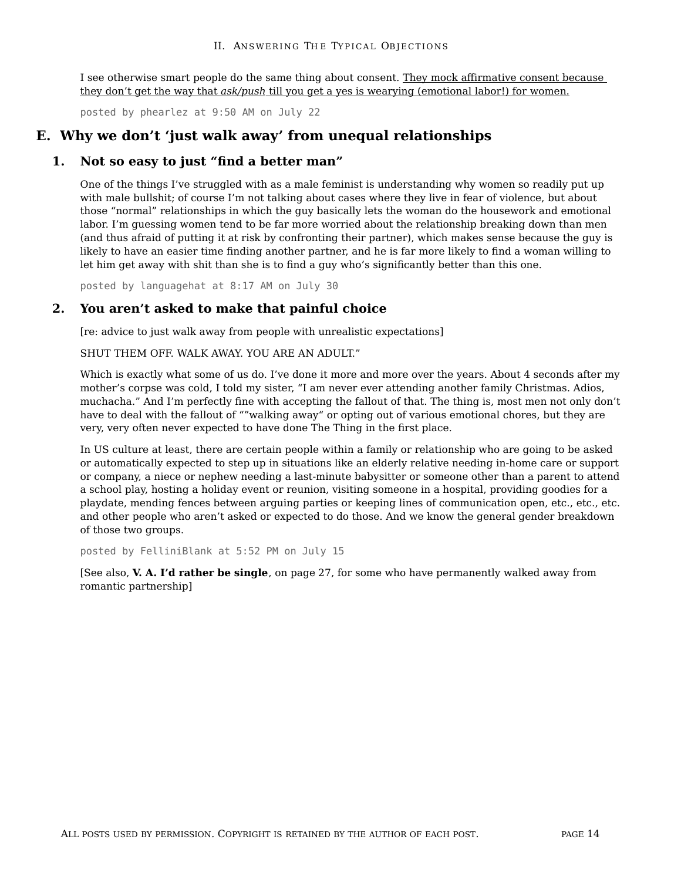I see otherwise smart people do the same thing about consent. They mock affirmative consent because they don't get the way that *ask/push* till you get a yes is wearying (emotional labor!) for women.

posted by phearlez at 9:50 AM on July 22

## <span id="page-13-0"></span>**E. Why we don't 'just walk away' from unequal relationships**

### **1. Not so easy to just "find a better man"**

<span id="page-13-1"></span>One of the things I've struggled with as a male feminist is understanding why women so readily put up with male bullshit; of course I'm not talking about cases where they live in fear of violence, but about those "normal" relationships in which the guy basically lets the woman do the housework and emotional labor. I'm guessing women tend to be far more worried about the relationship breaking down than men (and thus afraid of putting it at risk by confronting their partner), which makes sense because the guy is likely to have an easier time finding another partner, and he is far more likely to find a woman willing to let him get away with shit than she is to find a guy who's significantly better than this one.

posted by languagehat at 8:17 AM on July 30

#### **2. You aren't asked to make that painful choice**

[re: advice to just walk away from people with unrealistic expectations]

SHUT THEM OFF. WALK AWAY. YOU ARE AN ADULT."

Which is exactly what some of us do. I've done it more and more over the years. About 4 seconds after my mother's corpse was cold, I told my sister, "I am never ever attending another family Christmas. Adios, muchacha." And I'm perfectly fine with accepting the fallout of that. The thing is, most men not only don't have to deal with the fallout of ""walking away" or opting out of various emotional chores, but they are very, very often never expected to have done The Thing in the first place.

In US culture at least, there are certain people within a family or relationship who are going to be asked or automatically expected to step up in situations like an elderly relative needing in-home care or support or company, a niece or nephew needing a last-minute babysitter or someone other than a parent to attend a school play, hosting a holiday event or reunion, visiting someone in a hospital, providing goodies for a playdate, mending fences between arguing parties or keeping lines of communication open, etc., etc., etc. and other people who aren't asked or expected to do those. And we know the general gender breakdown of those two groups.

posted by FelliniBlank at 5:52 PM on July 15

[See also, **[V. A. I'd rather be single](#page-26-0)**, on page [27,](#page-26-0) for some who have permanently walked away from romantic partnership]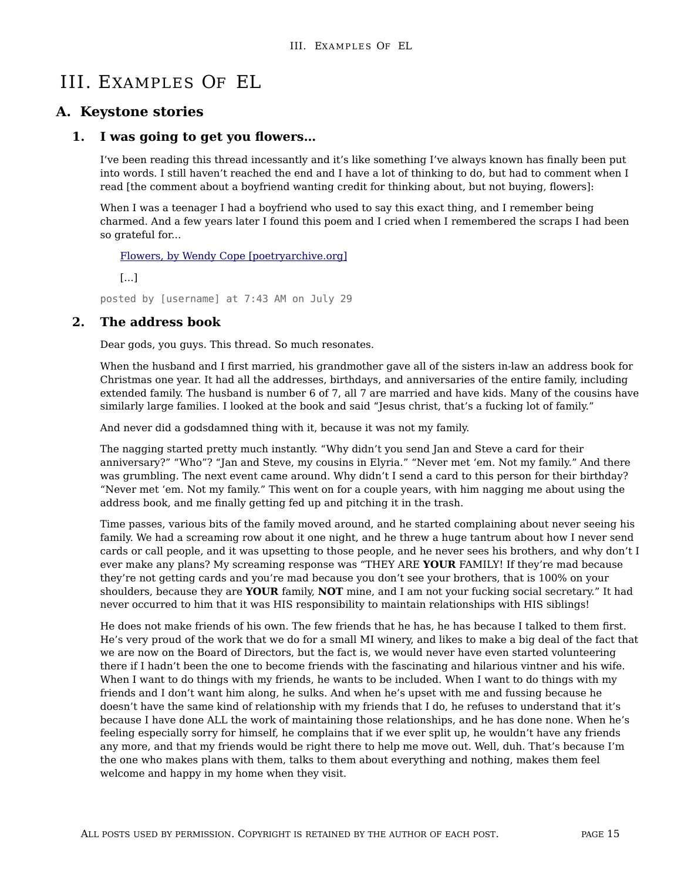# <span id="page-14-1"></span>III. EXAMPLES OF EL

## <span id="page-14-0"></span>**A. Keystone stories**

## **1. I was going to get you flowers…**

<span id="page-14-2"></span>I've been reading this thread incessantly and it's like something I've always known has finally been put into words. I still haven't reached the end and I have a lot of thinking to do, but had to comment when I read [the comment about a boyfriend wanting credit for thinking about, but not buying, flowers]:

When I was a teenager I had a boyfriend who used to say this exact thing, and I remember being charmed. And a few years later I found this poem and I cried when I remembered the scraps I had been so grateful for...

[Flowers, by Wendy Cope \[poetryarchive.org\]](http://www.poetryarchive.org/poem/flowers)

[...]

posted by [username] at 7:43 AM on July 29

### **2. The address book**

Dear gods, you guys. This thread. So much resonates.

When the husband and I first married, his grandmother gave all of the sisters in-law an address book for Christmas one year. It had all the addresses, birthdays, and anniversaries of the entire family, including extended family. The husband is number 6 of 7, all 7 are married and have kids. Many of the cousins have similarly large families. I looked at the book and said "Jesus christ, that's a fucking lot of family."

And never did a godsdamned thing with it, because it was not my family.

The nagging started pretty much instantly. "Why didn't you send Jan and Steve a card for their anniversary?" "Who"? "Jan and Steve, my cousins in Elyria." "Never met 'em. Not my family." And there was grumbling. The next event came around. Why didn't I send a card to this person for their birthday? "Never met 'em. Not my family." This went on for a couple years, with him nagging me about using the address book, and me finally getting fed up and pitching it in the trash.

Time passes, various bits of the family moved around, and he started complaining about never seeing his family. We had a screaming row about it one night, and he threw a huge tantrum about how I never send cards or call people, and it was upsetting to those people, and he never sees his brothers, and why don't I ever make any plans? My screaming response was "THEY ARE **YOUR** FAMILY! If they're mad because they're not getting cards and you're mad because you don't see your brothers, that is 100% on your shoulders, because they are **YOUR** family, **NOT** mine, and I am not your fucking social secretary." It had never occurred to him that it was HIS responsibility to maintain relationships with HIS siblings!

He does not make friends of his own. The few friends that he has, he has because I talked to them first. He's very proud of the work that we do for a small MI winery, and likes to make a big deal of the fact that we are now on the Board of Directors, but the fact is, we would never have even started volunteering there if I hadn't been the one to become friends with the fascinating and hilarious vintner and his wife. When I want to do things with my friends, he wants to be included. When I want to do things with my friends and I don't want him along, he sulks. And when he's upset with me and fussing because he doesn't have the same kind of relationship with my friends that I do, he refuses to understand that it's because I have done ALL the work of maintaining those relationships, and he has done none. When he's feeling especially sorry for himself, he complains that if we ever split up, he wouldn't have any friends any more, and that my friends would be right there to help me move out. Well, duh. That's because I'm the one who makes plans with them, talks to them about everything and nothing, makes them feel welcome and happy in my home when they visit.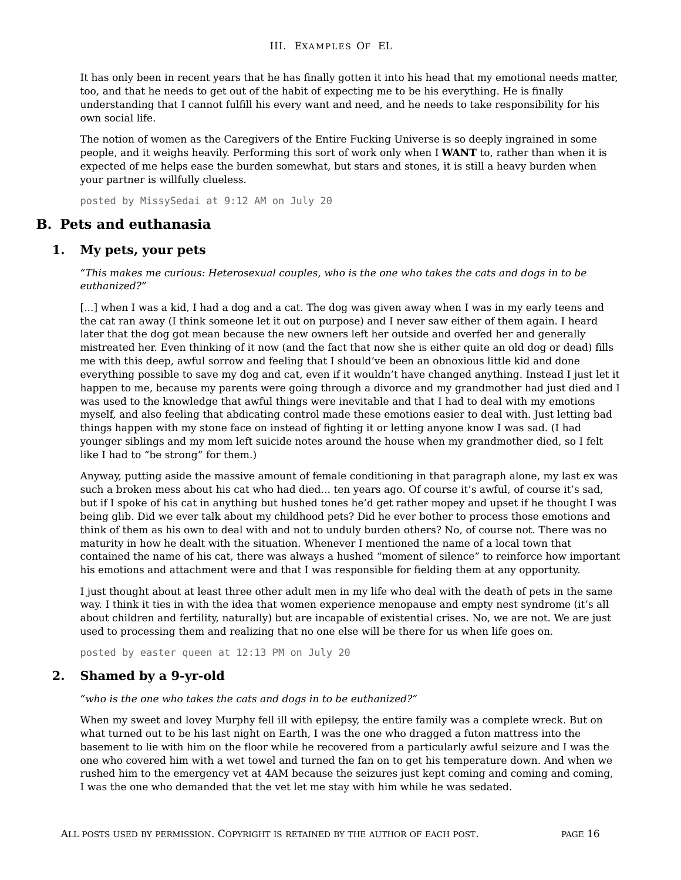It has only been in recent years that he has finally gotten it into his head that my emotional needs matter, too, and that he needs to get out of the habit of expecting me to be his everything. He is finally understanding that I cannot fulfill his every want and need, and he needs to take responsibility for his own social life.

The notion of women as the Caregivers of the Entire Fucking Universe is so deeply ingrained in some people, and it weighs heavily. Performing this sort of work only when I **WANT** to, rather than when it is expected of me helps ease the burden somewhat, but stars and stones, it is still a heavy burden when your partner is willfully clueless.

posted by MissySedai at 9:12 AM on July 20

## <span id="page-15-0"></span>**B. Pets and euthanasia**

### **1. My pets, your pets**

*"This makes me curious: Heterosexual couples, who is the one who takes the cats and dogs in to be euthanized?"*

[...] when I was a kid, I had a dog and a cat. The dog was given away when I was in my early teens and the cat ran away (I think someone let it out on purpose) and I never saw either of them again. I heard later that the dog got mean because the new owners left her outside and overfed her and generally mistreated her. Even thinking of it now (and the fact that now she is either quite an old dog or dead) fills me with this deep, awful sorrow and feeling that I should've been an obnoxious little kid and done everything possible to save my dog and cat, even if it wouldn't have changed anything. Instead I just let it happen to me, because my parents were going through a divorce and my grandmother had just died and I was used to the knowledge that awful things were inevitable and that I had to deal with my emotions myself, and also feeling that abdicating control made these emotions easier to deal with. Just letting bad things happen with my stone face on instead of fighting it or letting anyone know I was sad. (I had younger siblings and my mom left suicide notes around the house when my grandmother died, so I felt like I had to "be strong" for them.)

Anyway, putting aside the massive amount of female conditioning in that paragraph alone, my last ex was such a broken mess about his cat who had died... ten years ago. Of course it's awful, of course it's sad, but if I spoke of his cat in anything but hushed tones he'd get rather mopey and upset if he thought I was being glib. Did we ever talk about my childhood pets? Did he ever bother to process those emotions and think of them as his own to deal with and not to unduly burden others? No, of course not. There was no maturity in how he dealt with the situation. Whenever I mentioned the name of a local town that contained the name of his cat, there was always a hushed "moment of silence" to reinforce how important his emotions and attachment were and that I was responsible for fielding them at any opportunity.

I just thought about at least three other adult men in my life who deal with the death of pets in the same way. I think it ties in with the idea that women experience menopause and empty nest syndrome (it's all about children and fertility, naturally) but are incapable of existential crises. No, we are not. We are just used to processing them and realizing that no one else will be there for us when life goes on.

posted by easter queen at 12:13 PM on July 20

## **2. Shamed by a 9-yr-old**

*"who is the one who takes the cats and dogs in to be euthanized?"*

When my sweet and lovey Murphy fell ill with epilepsy, the entire family was a complete wreck. But on what turned out to be his last night on Earth, I was the one who dragged a futon mattress into the basement to lie with him on the floor while he recovered from a particularly awful seizure and I was the one who covered him with a wet towel and turned the fan on to get his temperature down. And when we rushed him to the emergency vet at 4AM because the seizures just kept coming and coming and coming, I was the one who demanded that the vet let me stay with him while he was sedated.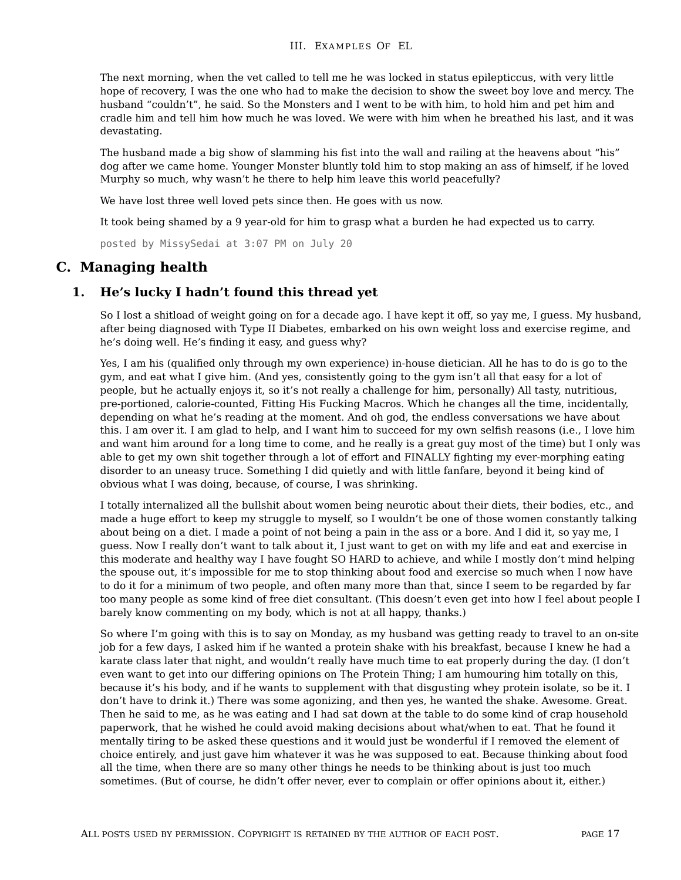#### III. EXAMPLES OF EL

The next morning, when the vet called to tell me he was locked in status epilepticcus, with very little hope of recovery, I was the one who had to make the decision to show the sweet boy love and mercy. The husband "couldn't", he said. So the Monsters and I went to be with him, to hold him and pet him and cradle him and tell him how much he was loved. We were with him when he breathed his last, and it was devastating.

The husband made a big show of slamming his fist into the wall and railing at the heavens about "his" dog after we came home. Younger Monster bluntly told him to stop making an ass of himself, if he loved Murphy so much, why wasn't he there to help him leave this world peacefully?

We have lost three well loved pets since then. He goes with us now.

It took being shamed by a 9 year-old for him to grasp what a burden he had expected us to carry.

posted by MissySedai at 3:07 PM on July 20

## <span id="page-16-0"></span>**C. Managing health**

## **1. He's lucky I hadn't found this thread yet**

So I lost a shitload of weight going on for a decade ago. I have kept it off, so yay me, I guess. My husband, after being diagnosed with Type II Diabetes, embarked on his own weight loss and exercise regime, and he's doing well. He's finding it easy, and guess why?

Yes, I am his (qualified only through my own experience) in-house dietician. All he has to do is go to the gym, and eat what I give him. (And yes, consistently going to the gym isn't all that easy for a lot of people, but he actually enjoys it, so it's not really a challenge for him, personally) All tasty, nutritious, pre-portioned, calorie-counted, Fitting His Fucking Macros. Which he changes all the time, incidentally, depending on what he's reading at the moment. And oh god, the endless conversations we have about this. I am over it. I am glad to help, and I want him to succeed for my own selfish reasons (i.e., I love him and want him around for a long time to come, and he really is a great guy most of the time) but I only was able to get my own shit together through a lot of effort and FINALLY fighting my ever-morphing eating disorder to an uneasy truce. Something I did quietly and with little fanfare, beyond it being kind of obvious what I was doing, because, of course, I was shrinking.

I totally internalized all the bullshit about women being neurotic about their diets, their bodies, etc., and made a huge effort to keep my struggle to myself, so I wouldn't be one of those women constantly talking about being on a diet. I made a point of not being a pain in the ass or a bore. And I did it, so yay me, I guess. Now I really don't want to talk about it, I just want to get on with my life and eat and exercise in this moderate and healthy way I have fought SO HARD to achieve, and while I mostly don't mind helping the spouse out, it's impossible for me to stop thinking about food and exercise so much when I now have to do it for a minimum of two people, and often many more than that, since I seem to be regarded by far too many people as some kind of free diet consultant. (This doesn't even get into how I feel about people I barely know commenting on my body, which is not at all happy, thanks.)

So where I'm going with this is to say on Monday, as my husband was getting ready to travel to an on-site job for a few days, I asked him if he wanted a protein shake with his breakfast, because I knew he had a karate class later that night, and wouldn't really have much time to eat properly during the day. (I don't even want to get into our differing opinions on The Protein Thing; I am humouring him totally on this, because it's his body, and if he wants to supplement with that disgusting whey protein isolate, so be it. I don't have to drink it.) There was some agonizing, and then yes, he wanted the shake. Awesome. Great. Then he said to me, as he was eating and I had sat down at the table to do some kind of crap household paperwork, that he wished he could avoid making decisions about what/when to eat. That he found it mentally tiring to be asked these questions and it would just be wonderful if I removed the element of choice entirely, and just gave him whatever it was he was supposed to eat. Because thinking about food all the time, when there are so many other things he needs to be thinking about is just too much sometimes. (But of course, he didn't offer never, ever to complain or offer opinions about it, either.)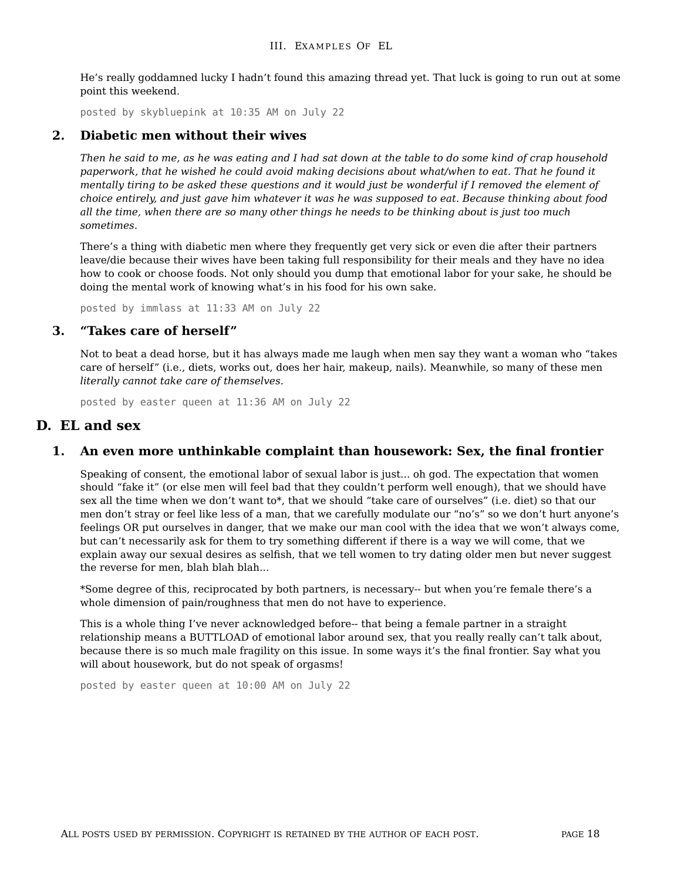He's really goddamned lucky I hadn't found this amazing thread yet. That luck is going to run out at some point this weekend.

posted by skybluepink at 10:35 AM on July 22

#### **2. Diabetic men without their wives**

*Then he said to me, as he was eating and I had sat down at the table to do some kind of crap household paperwork, that he wished he could avoid making decisions about what/when to eat. That he found it mentally tiring to be asked these questions and it would just be wonderful if I removed the element of choice entirely, and just gave him whatever it was he was supposed to eat. Because thinking about food all the time, when there are so many other things he needs to be thinking about is just too much sometimes.*

There's a thing with diabetic men where they frequently get very sick or even die after their partners leave/die because their wives have been taking full responsibility for their meals and they have no idea how to cook or choose foods. Not only should you dump that emotional labor for your sake, he should be doing the mental work of knowing what's in his food for his own sake.

posted by immlass at 11:33 AM on July 22

### **3. "Takes care of herself"**

Not to beat a dead horse, but it has always made me laugh when men say they want a woman who "takes care of herself" (i.e., diets, works out, does her hair, makeup, nails). Meanwhile, so many of these men *literally cannot take care of themselves.*

posted by easter queen at 11:36 AM on July 22

### <span id="page-17-0"></span>**D. EL and sex**

### **1. An even more unthinkable complaint than housework: Sex, the final frontier**

Speaking of consent, the emotional labor of sexual labor is just... oh god. The expectation that women should "fake it" (or else men will feel bad that they couldn't perform well enough), that we should have sex all the time when we don't want to\*, that we should "take care of ourselves" (i.e. diet) so that our men don't stray or feel like less of a man, that we carefully modulate our "no's" so we don't hurt anyone's feelings OR put ourselves in danger, that we make our man cool with the idea that we won't always come, but can't necessarily ask for them to try something different if there is a way we will come, that we explain away our sexual desires as selfish, that we tell women to try dating older men but never suggest the reverse for men, blah blah blah...

\*Some degree of this, reciprocated by both partners, is necessary-- but when you're female there's a whole dimension of pain/roughness that men do not have to experience.

This is a whole thing I've never acknowledged before-- that being a female partner in a straight relationship means a BUTTLOAD of emotional labor around sex, that you really really can't talk about, because there is so much male fragility on this issue. In some ways it's the final frontier. Say what you will about housework, but do not speak of orgasms!

posted by easter queen at 10:00 AM on July 22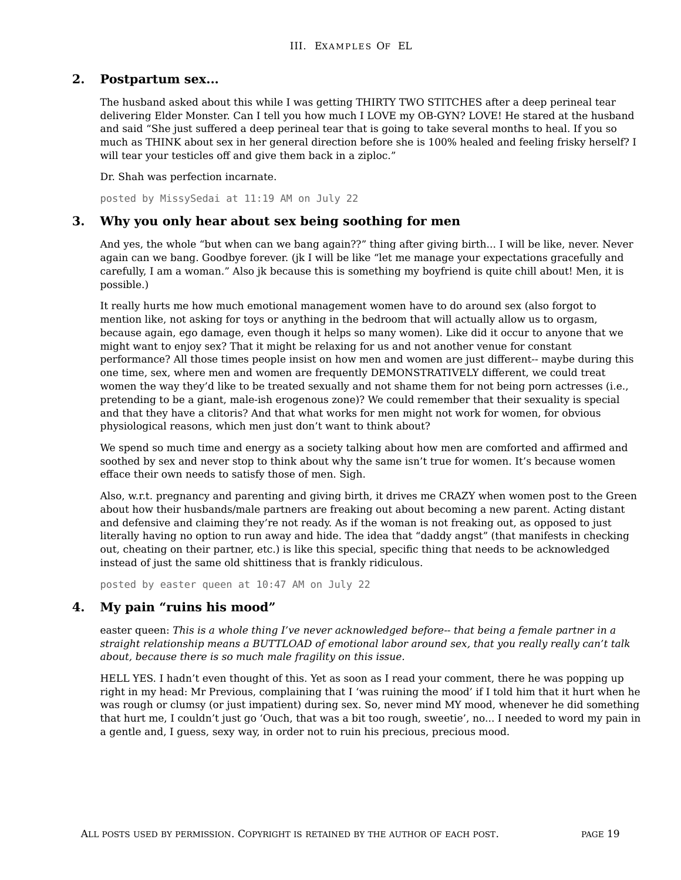## **2. Postpartum sex...**

The husband asked about this while I was getting THIRTY TWO STITCHES after a deep perineal tear delivering Elder Monster. Can I tell you how much I LOVE my OB-GYN? LOVE! He stared at the husband and said "She just suffered a deep perineal tear that is going to take several months to heal. If you so much as THINK about sex in her general direction before she is 100% healed and feeling frisky herself? I will tear your testicles off and give them back in a ziploc."

Dr. Shah was perfection incarnate.

posted by MissySedai at 11:19 AM on July 22

## **3. Why you only hear about sex being soothing for men**

And yes, the whole "but when can we bang again??" thing after giving birth... I will be like, never. Never again can we bang. Goodbye forever. (jk I will be like "let me manage your expectations gracefully and carefully, I am a woman." Also jk because this is something my boyfriend is quite chill about! Men, it is possible.)

It really hurts me how much emotional management women have to do around sex (also forgot to mention like, not asking for toys or anything in the bedroom that will actually allow us to orgasm, because again, ego damage, even though it helps so many women). Like did it occur to anyone that we might want to enjoy sex? That it might be relaxing for us and not another venue for constant performance? All those times people insist on how men and women are just different-- maybe during this one time, sex, where men and women are frequently DEMONSTRATIVELY different, we could treat women the way they'd like to be treated sexually and not shame them for not being porn actresses (i.e., pretending to be a giant, male-ish erogenous zone)? We could remember that their sexuality is special and that they have a clitoris? And that what works for men might not work for women, for obvious physiological reasons, which men just don't want to think about?

We spend so much time and energy as a society talking about how men are comforted and affirmed and soothed by sex and never stop to think about why the same isn't true for women. It's because women efface their own needs to satisfy those of men. Sigh.

Also, w.r.t. pregnancy and parenting and giving birth, it drives me CRAZY when women post to the Green about how their husbands/male partners are freaking out about becoming a new parent. Acting distant and defensive and claiming they're not ready. As if the woman is not freaking out, as opposed to just literally having no option to run away and hide. The idea that "daddy angst" (that manifests in checking out, cheating on their partner, etc.) is like this special, specific thing that needs to be acknowledged instead of just the same old shittiness that is frankly ridiculous.

posted by easter queen at 10:47 AM on July 22

## **4. My pain "ruins his mood"**

easter queen: *This is a whole thing I've never acknowledged before-- that being a female partner in a straight relationship means a BUTTLOAD of emotional labor around sex, that you really really can't talk about, because there is so much male fragility on this issue.*

HELL YES. I hadn't even thought of this. Yet as soon as I read your comment, there he was popping up right in my head: Mr Previous, complaining that I 'was ruining the mood' if I told him that it hurt when he was rough or clumsy (or just impatient) during sex. So, never mind MY mood, whenever he did something that hurt me, I couldn't just go 'Ouch, that was a bit too rough, sweetie', no... I needed to word my pain in a gentle and, I guess, sexy way, in order not to ruin his precious, precious mood.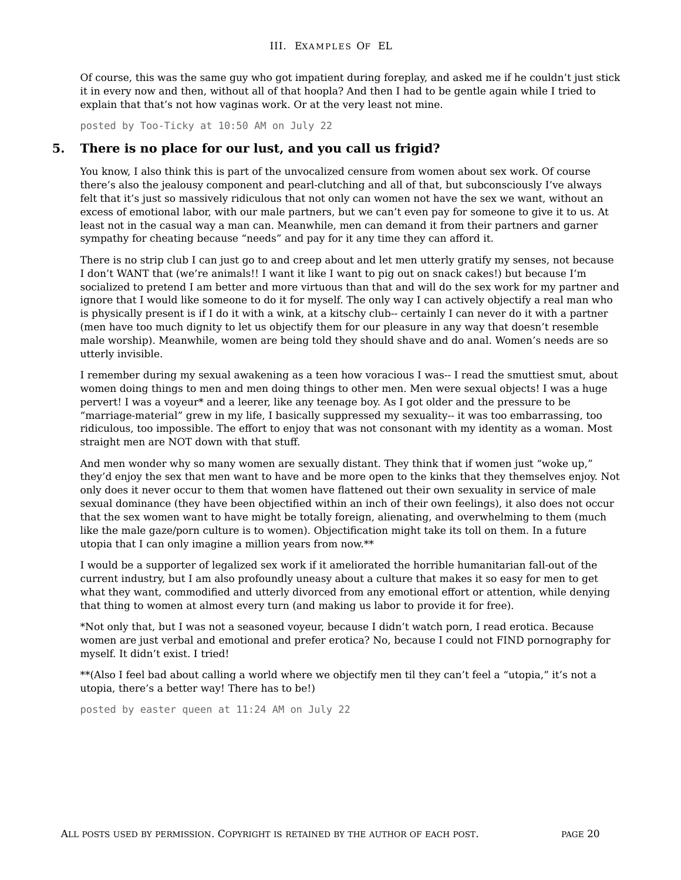Of course, this was the same guy who got impatient during foreplay, and asked me if he couldn't just stick it in every now and then, without all of that hoopla? And then I had to be gentle again while I tried to explain that that's not how vaginas work. Or at the very least not mine.

posted by Too-Ticky at 10:50 AM on July 22

### **5. There is no place for our lust, and you call us frigid?**

You know, I also think this is part of the unvocalized censure from women about sex work. Of course there's also the jealousy component and pearl-clutching and all of that, but subconsciously I've always felt that it's just so massively ridiculous that not only can women not have the sex we want, without an excess of emotional labor, with our male partners, but we can't even pay for someone to give it to us. At least not in the casual way a man can. Meanwhile, men can demand it from their partners and garner sympathy for cheating because "needs" and pay for it any time they can afford it.

There is no strip club I can just go to and creep about and let men utterly gratify my senses, not because I don't WANT that (we're animals!! I want it like I want to pig out on snack cakes!) but because I'm socialized to pretend I am better and more virtuous than that and will do the sex work for my partner and ignore that I would like someone to do it for myself. The only way I can actively objectify a real man who is physically present is if I do it with a wink, at a kitschy club-- certainly I can never do it with a partner (men have too much dignity to let us objectify them for our pleasure in any way that doesn't resemble male worship). Meanwhile, women are being told they should shave and do anal. Women's needs are so utterly invisible.

I remember during my sexual awakening as a teen how voracious I was-- I read the smuttiest smut, about women doing things to men and men doing things to other men. Men were sexual objects! I was a huge pervert! I was a voyeur\* and a leerer, like any teenage boy. As I got older and the pressure to be "marriage-material" grew in my life, I basically suppressed my sexuality-- it was too embarrassing, too ridiculous, too impossible. The effort to enjoy that was not consonant with my identity as a woman. Most straight men are NOT down with that stuff.

And men wonder why so many women are sexually distant. They think that if women just "woke up," they'd enjoy the sex that men want to have and be more open to the kinks that they themselves enjoy. Not only does it never occur to them that women have flattened out their own sexuality in service of male sexual dominance (they have been objectified within an inch of their own feelings), it also does not occur that the sex women want to have might be totally foreign, alienating, and overwhelming to them (much like the male gaze/porn culture is to women). Objectification might take its toll on them. In a future utopia that I can only imagine a million years from now.\*\*

I would be a supporter of legalized sex work if it ameliorated the horrible humanitarian fall-out of the current industry, but I am also profoundly uneasy about a culture that makes it so easy for men to get what they want, commodified and utterly divorced from any emotional effort or attention, while denying that thing to women at almost every turn (and making us labor to provide it for free).

\*Not only that, but I was not a seasoned voyeur, because I didn't watch porn, I read erotica. Because women are just verbal and emotional and prefer erotica? No, because I could not FIND pornography for myself. It didn't exist. I tried!

\*\*(Also I feel bad about calling a world where we objectify men til they can't feel a "utopia," it's not a utopia, there's a better way! There has to be!)

posted by easter queen at 11:24 AM on July 22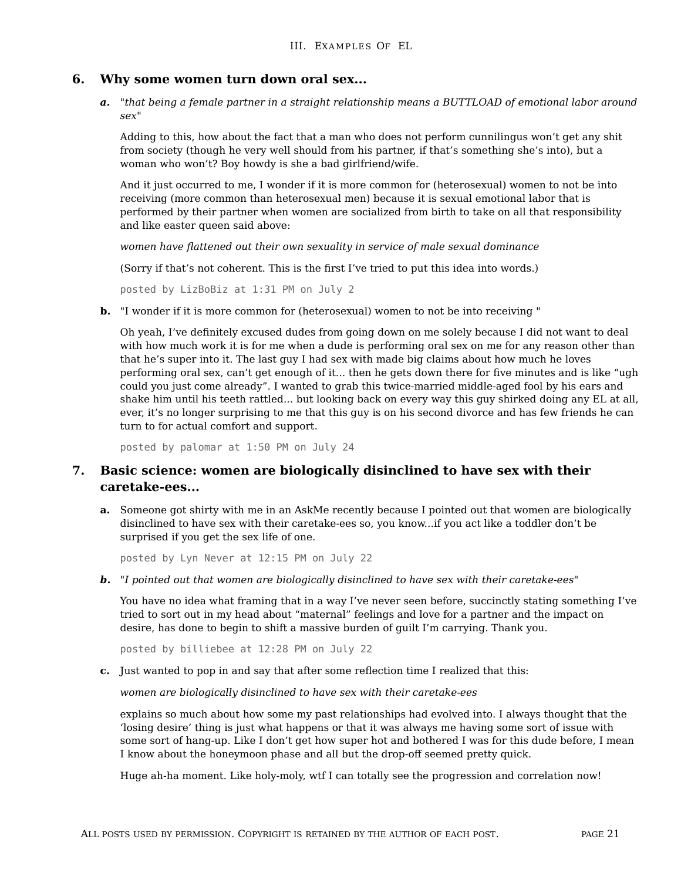### **6. Why some women turn down oral sex...**

*a. "that being a female partner in a straight relationship means a BUTTLOAD of emotional labor around sex"*

Adding to this, how about the fact that a man who does not perform cunnilingus won't get any shit from society (though he very well should from his partner, if that's something she's into), but a woman who won't? Boy howdy is she a bad girlfriend/wife.

And it just occurred to me, I wonder if it is more common for (heterosexual) women to not be into receiving (more common than heterosexual men) because it is sexual emotional labor that is performed by their partner when women are socialized from birth to take on all that responsibility and like easter queen said above:

*women have flattened out their own sexuality in service of male sexual dominance*

(Sorry if that's not coherent. This is the first I've tried to put this idea into words.)

posted by LizBoBiz at 1:31 PM on July 2

**b.** "I wonder if it is more common for (heterosexual) women to not be into receiving "

Oh yeah, I've definitely excused dudes from going down on me solely because I did not want to deal with how much work it is for me when a dude is performing oral sex on me for any reason other than that he's super into it. The last guy I had sex with made big claims about how much he loves performing oral sex, can't get enough of it... then he gets down there for five minutes and is like "ugh could you just come already". I wanted to grab this twice-married middle-aged fool by his ears and shake him until his teeth rattled... but looking back on every way this guy shirked doing any EL at all, ever, it's no longer surprising to me that this guy is on his second divorce and has few friends he can turn to for actual comfort and support.

posted by palomar at 1:50 PM on July 24

## **7. Basic science: women are biologically disinclined to have sex with their caretake-ees...**

**a.** Someone got shirty with me in an AskMe recently because I pointed out that women are biologically disinclined to have sex with their caretake-ees so, you know...if you act like a toddler don't be surprised if you get the sex life of one.

posted by Lyn Never at 12:15 PM on July 22

*b. "I pointed out that women are biologically disinclined to have sex with their caretake-ees"*

You have no idea what framing that in a way I've never seen before, succinctly stating something I've tried to sort out in my head about "maternal" feelings and love for a partner and the impact on desire, has done to begin to shift a massive burden of guilt I'm carrying. Thank you.

posted by billiebee at 12:28 PM on July 22

**c.** Just wanted to pop in and say that after some reflection time I realized that this:

*women are biologically disinclined to have sex with their caretake-ees*

explains so much about how some my past relationships had evolved into. I always thought that the 'losing desire' thing is just what happens or that it was always me having some sort of issue with some sort of hang-up. Like I don't get how super hot and bothered I was for this dude before, I mean I know about the honeymoon phase and all but the drop-off seemed pretty quick.

Huge ah-ha moment. Like holy-moly, wtf I can totally see the progression and correlation now!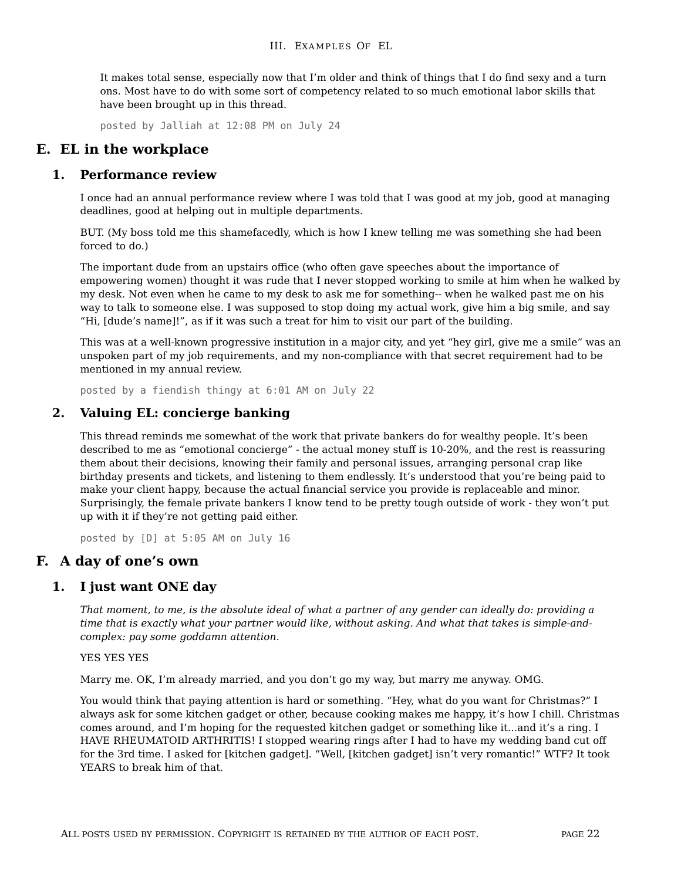It makes total sense, especially now that I'm older and think of things that I do find sexy and a turn ons. Most have to do with some sort of competency related to so much emotional labor skills that have been brought up in this thread.

posted by Jalliah at 12:08 PM on July 24

## <span id="page-21-1"></span>**E. EL in the workplace**

#### **1. Performance review**

I once had an annual performance review where I was told that I was good at my job, good at managing deadlines, good at helping out in multiple departments.

BUT. (My boss told me this shamefacedly, which is how I knew telling me was something she had been forced to do.)

The important dude from an upstairs office (who often gave speeches about the importance of empowering women) thought it was rude that I never stopped working to smile at him when he walked by my desk. Not even when he came to my desk to ask me for something-- when he walked past me on his way to talk to someone else. I was supposed to stop doing my actual work, give him a big smile, and say "Hi, [dude's name]!", as if it was such a treat for him to visit our part of the building.

This was at a well-known progressive institution in a major city, and yet "hey girl, give me a smile" was an unspoken part of my job requirements, and my non-compliance with that secret requirement had to be mentioned in my annual review.

posted by a fiendish thingy at 6:01 AM on July 22

#### **2. Valuing EL: concierge banking**

This thread reminds me somewhat of the work that private bankers do for wealthy people. It's been described to me as "emotional concierge" - the actual money stuff is 10-20%, and the rest is reassuring them about their decisions, knowing their family and personal issues, arranging personal crap like birthday presents and tickets, and listening to them endlessly. It's understood that you're being paid to make your client happy, because the actual financial service you provide is replaceable and minor. Surprisingly, the female private bankers I know tend to be pretty tough outside of work - they won't put up with it if they're not getting paid either.

posted by [D] at 5:05 AM on July 16

### <span id="page-21-0"></span>**F. A day of one's own**

## **1. I just want ONE day**

*That moment, to me, is the absolute ideal of what a partner of any gender can ideally do: providing a time that is exactly what your partner would like, without asking. And what that takes is simple-andcomplex: pay some goddamn attention.*

YES YES YES

Marry me. OK, I'm already married, and you don't go my way, but marry me anyway. OMG.

You would think that paying attention is hard or something. "Hey, what do you want for Christmas?" I always ask for some kitchen gadget or other, because cooking makes me happy, it's how I chill. Christmas comes around, and I'm hoping for the requested kitchen gadget or something like it...and it's a ring. I HAVE RHEUMATOID ARTHRITIS! I stopped wearing rings after I had to have my wedding band cut off for the 3rd time. I asked for [kitchen gadget]. "Well, [kitchen gadget] isn't very romantic!" WTF? It took YEARS to break him of that.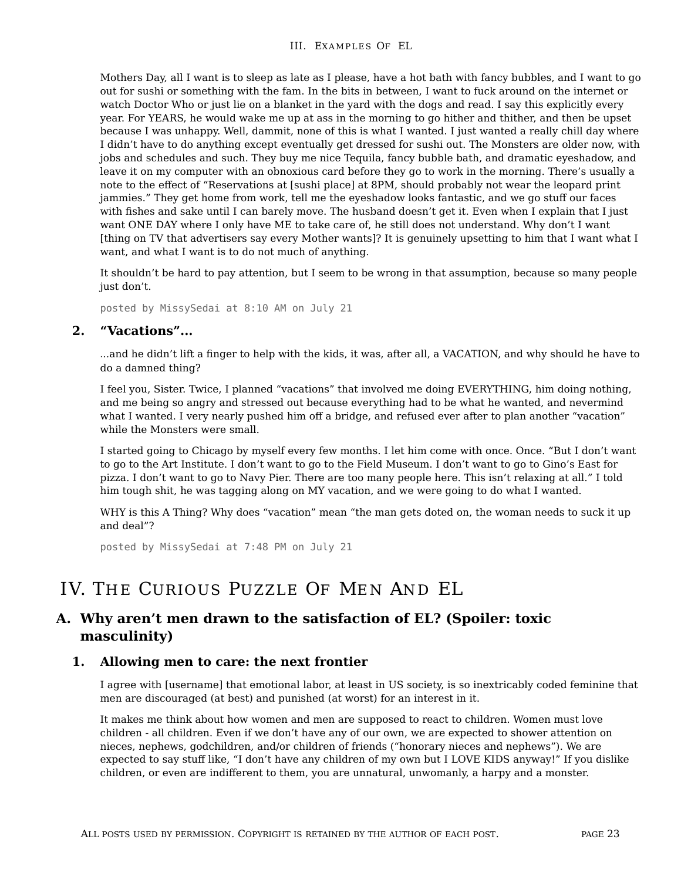#### III. EXAMPLES OF EL

Mothers Day, all I want is to sleep as late as I please, have a hot bath with fancy bubbles, and I want to go out for sushi or something with the fam. In the bits in between, I want to fuck around on the internet or watch Doctor Who or just lie on a blanket in the yard with the dogs and read. I say this explicitly every year. For YEARS, he would wake me up at ass in the morning to go hither and thither, and then be upset because I was unhappy. Well, dammit, none of this is what I wanted. I just wanted a really chill day where I didn't have to do anything except eventually get dressed for sushi out. The Monsters are older now, with jobs and schedules and such. They buy me nice Tequila, fancy bubble bath, and dramatic eyeshadow, and leave it on my computer with an obnoxious card before they go to work in the morning. There's usually a note to the effect of "Reservations at [sushi place] at 8PM, should probably not wear the leopard print jammies." They get home from work, tell me the eyeshadow looks fantastic, and we go stuff our faces with fishes and sake until I can barely move. The husband doesn't get it. Even when I explain that I just want ONE DAY where I only have ME to take care of, he still does not understand. Why don't I want [thing on TV that advertisers say every Mother wants]? It is genuinely upsetting to him that I want what I want, and what I want is to do not much of anything.

It shouldn't be hard to pay attention, but I seem to be wrong in that assumption, because so many people just don't.

posted by MissySedai at 8:10 AM on July 21

## **2. "Vacations"...**

...and he didn't lift a finger to help with the kids, it was, after all, a VACATION, and why should he have to do a damned thing?

I feel you, Sister. Twice, I planned "vacations" that involved me doing EVERYTHING, him doing nothing, and me being so angry and stressed out because everything had to be what he wanted, and nevermind what I wanted. I very nearly pushed him off a bridge, and refused ever after to plan another "vacation" while the Monsters were small.

I started going to Chicago by myself every few months. I let him come with once. Once. "But I don't want to go to the Art Institute. I don't want to go to the Field Museum. I don't want to go to Gino's East for pizza. I don't want to go to Navy Pier. There are too many people here. This isn't relaxing at all." I told him tough shit, he was tagging along on MY vacation, and we were going to do what I wanted.

WHY is this A Thing? Why does "vacation" mean "the man gets doted on, the woman needs to suck it up and deal"?

posted by MissySedai at 7:48 PM on July 21

# <span id="page-22-1"></span>IV. THE CURIOUS PUZZLE OF MEN AND EL

## <span id="page-22-0"></span>**A. Why aren't men drawn to the satisfaction of EL? (Spoiler: toxic masculinity)**

### **1. Allowing men to care: the next frontier**

I agree with [username] that emotional labor, at least in US society, is so inextricably coded feminine that men are discouraged (at best) and punished (at worst) for an interest in it.

It makes me think about how women and men are supposed to react to children. Women must love children - all children. Even if we don't have any of our own, we are expected to shower attention on nieces, nephews, godchildren, and/or children of friends ("honorary nieces and nephews"). We are expected to say stuff like, "I don't have any children of my own but I LOVE KIDS anyway!" If you dislike children, or even are indifferent to them, you are unnatural, unwomanly, a harpy and a monster.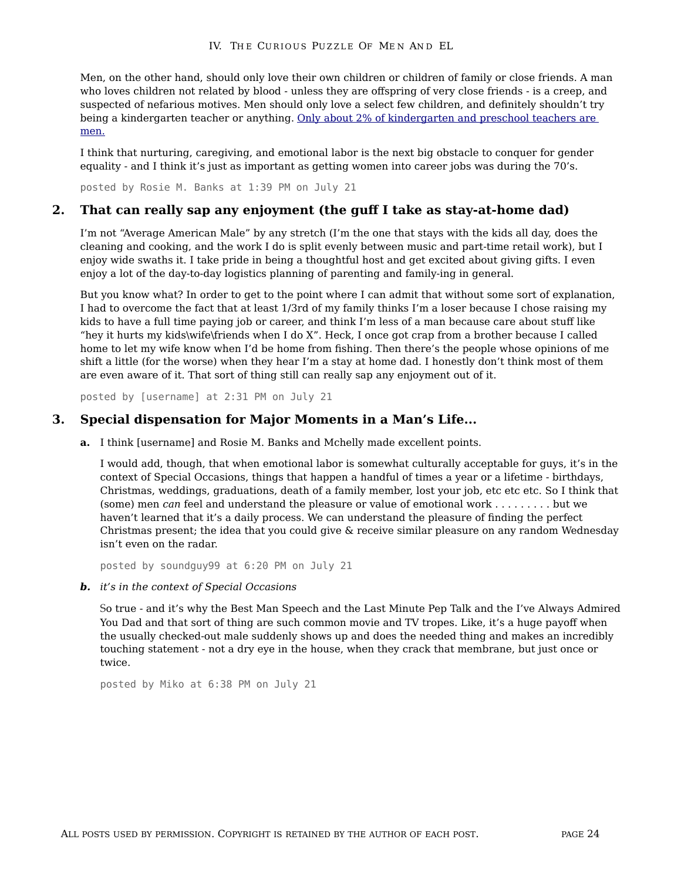IV. THE CURIOUS PUZZLE OF MEN AND EL

Men, on the other hand, should only love their own children or children of family or close friends. A man who loves children not related by blood - unless they are offspring of very close friends - is a creep, and suspected of nefarious motives. Men should only love a select few children, and definitely shouldn't try being a kindergarten teacher or anything. Only about 2% of kindergarten and preschool teachers are [men.](http://abcnews.go.com/Health/men-teach-elementary-school/story?id=18784172)

I think that nurturing, caregiving, and emotional labor is the next big obstacle to conquer for gender equality - and I think it's just as important as getting women into career jobs was during the 70's.

posted by Rosie M. Banks at 1:39 PM on July 21

## **2. That can really sap any enjoyment (the guff I take as stay-at-home dad)**

I'm not "Average American Male" by any stretch (I'm the one that stays with the kids all day, does the cleaning and cooking, and the work I do is split evenly between music and part-time retail work), but I enjoy wide swaths it. I take pride in being a thoughtful host and get excited about giving gifts. I even enjoy a lot of the day-to-day logistics planning of parenting and family-ing in general.

But you know what? In order to get to the point where I can admit that without some sort of explanation, I had to overcome the fact that at least 1/3rd of my family thinks I'm a loser because I chose raising my kids to have a full time paying job or career, and think I'm less of a man because care about stuff like "hey it hurts my kids\wife\friends when I do X". Heck, I once got crap from a brother because I called home to let my wife know when I'd be home from fishing. Then there's the people whose opinions of me shift a little (for the worse) when they hear I'm a stay at home dad. I honestly don't think most of them are even aware of it. That sort of thing still can really sap any enjoyment out of it.

posted by [username] at 2:31 PM on July 21

### **3. Special dispensation for Major Moments in a Man's Life...**

**a.** I think [username] and Rosie M. Banks and Mchelly made excellent points.

I would add, though, that when emotional labor is somewhat culturally acceptable for guys, it's in the context of Special Occasions, things that happen a handful of times a year or a lifetime - birthdays, Christmas, weddings, graduations, death of a family member, lost your job, etc etc etc. So I think that (some) men *can* feel and understand the pleasure or value of emotional work . . . . . . . . . but we haven't learned that it's a daily process. We can understand the pleasure of finding the perfect Christmas present; the idea that you could give & receive similar pleasure on any random Wednesday isn't even on the radar.

posted by soundguy99 at 6:20 PM on July 21

*b. it's in the context of Special Occasions*

So true - and it's why the Best Man Speech and the Last Minute Pep Talk and the I've Always Admired You Dad and that sort of thing are such common movie and TV tropes. Like, it's a huge payoff when the usually checked-out male suddenly shows up and does the needed thing and makes an incredibly touching statement - not a dry eye in the house, when they crack that membrane, but just once or twice.

posted by Miko at 6:38 PM on July 21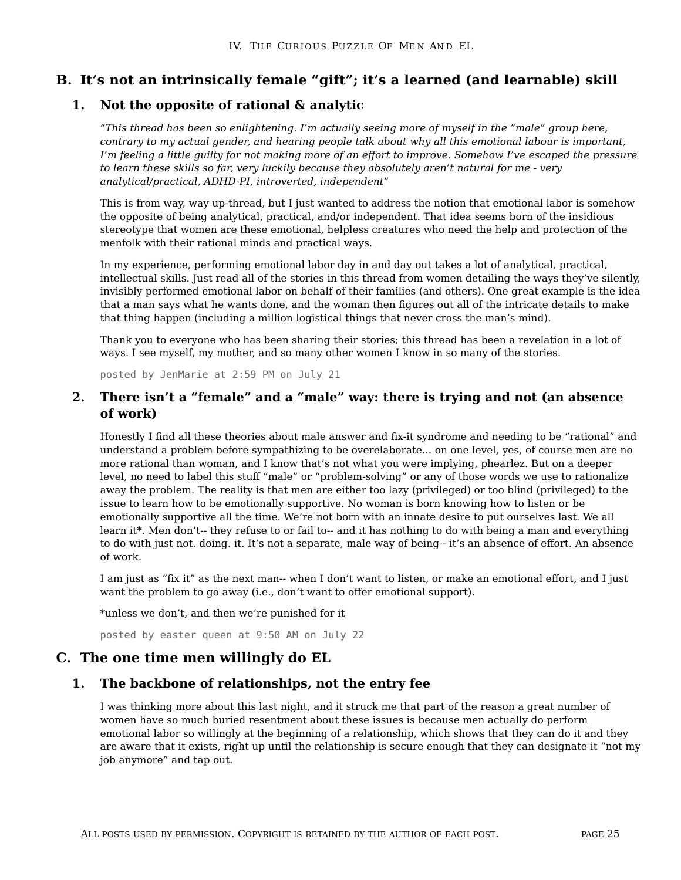## <span id="page-24-1"></span>**B. It's not an intrinsically female "gift"; it's a learned (and learnable) skill**

### **1. Not the opposite of rational & analytic**

*"This thread has been so enlightening. I'm actually seeing more of myself in the "male" group here, contrary to my actual gender, and hearing people talk about why all this emotional labour is important, I'm feeling a little guilty for not making more of an effort to improve. Somehow I've escaped the pressure to learn these skills so far, very luckily because they absolutely aren't natural for me - very analytical/practical, ADHD-PI, introverted, independent"*

This is from way, way up-thread, but I just wanted to address the notion that emotional labor is somehow the opposite of being analytical, practical, and/or independent. That idea seems born of the insidious stereotype that women are these emotional, helpless creatures who need the help and protection of the menfolk with their rational minds and practical ways.

In my experience, performing emotional labor day in and day out takes a lot of analytical, practical, intellectual skills. Just read all of the stories in this thread from women detailing the ways they've silently, invisibly performed emotional labor on behalf of their families (and others). One great example is the idea that a man says what he wants done, and the woman then figures out all of the intricate details to make that thing happen (including a million logistical things that never cross the man's mind).

Thank you to everyone who has been sharing their stories; this thread has been a revelation in a lot of ways. I see myself, my mother, and so many other women I know in so many of the stories.

posted by JenMarie at 2:59 PM on July 21

## **2. There isn't a "female" and a "male" way: there is trying and not (an absence of work)**

Honestly I find all these theories about male answer and fix-it syndrome and needing to be "rational" and understand a problem before sympathizing to be overelaborate... on one level, yes, of course men are no more rational than woman, and I know that's not what you were implying, phearlez. But on a deeper level, no need to label this stuff "male" or "problem-solving" or any of those words we use to rationalize away the problem. The reality is that men are either too lazy (privileged) or too blind (privileged) to the issue to learn how to be emotionally supportive. No woman is born knowing how to listen or be emotionally supportive all the time. We're not born with an innate desire to put ourselves last. We all learn it<sup>\*</sup>. Men don't-- they refuse to or fail to-- and it has nothing to do with being a man and everything to do with just not. doing. it. It's not a separate, male way of being-- it's an absence of effort. An absence of work.

I am just as "fix it" as the next man-- when I don't want to listen, or make an emotional effort, and I just want the problem to go away (i.e., don't want to offer emotional support).

\*unless we don't, and then we're punished for it

posted by easter queen at 9:50 AM on July 22

## <span id="page-24-0"></span>**C. The one time men willingly do EL**

### **1. The backbone of relationships, not the entry fee**

I was thinking more about this last night, and it struck me that part of the reason a great number of women have so much buried resentment about these issues is because men actually do perform emotional labor so willingly at the beginning of a relationship, which shows that they can do it and they are aware that it exists, right up until the relationship is secure enough that they can designate it "not my job anymore" and tap out.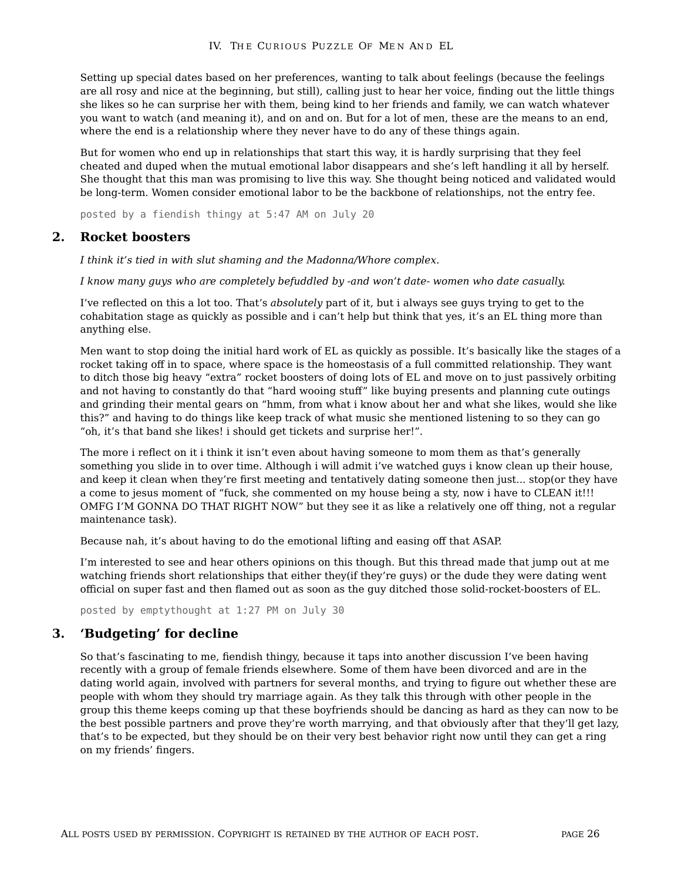Setting up special dates based on her preferences, wanting to talk about feelings (because the feelings are all rosy and nice at the beginning, but still), calling just to hear her voice, finding out the little things she likes so he can surprise her with them, being kind to her friends and family, we can watch whatever you want to watch (and meaning it), and on and on. But for a lot of men, these are the means to an end, where the end is a relationship where they never have to do any of these things again.

But for women who end up in relationships that start this way, it is hardly surprising that they feel cheated and duped when the mutual emotional labor disappears and she's left handling it all by herself. She thought that this man was promising to live this way. She thought being noticed and validated would be long-term. Women consider emotional labor to be the backbone of relationships, not the entry fee.

posted by a fiendish thingy at 5:47 AM on July 20

#### **2. Rocket boosters**

*I think it's tied in with slut shaming and the Madonna/Whore complex.*

*I know many guys who are completely befuddled by -and won't date- women who date casually.* 

I've reflected on this a lot too. That's *absolutely* part of it, but i always see guys trying to get to the cohabitation stage as quickly as possible and i can't help but think that yes, it's an EL thing more than anything else.

Men want to stop doing the initial hard work of EL as quickly as possible. It's basically like the stages of a rocket taking off in to space, where space is the homeostasis of a full committed relationship. They want to ditch those big heavy "extra" rocket boosters of doing lots of EL and move on to just passively orbiting and not having to constantly do that "hard wooing stuff" like buying presents and planning cute outings and grinding their mental gears on "hmm, from what i know about her and what she likes, would she like this?" and having to do things like keep track of what music she mentioned listening to so they can go "oh, it's that band she likes! i should get tickets and surprise her!".

The more i reflect on it i think it isn't even about having someone to mom them as that's generally something you slide in to over time. Although i will admit i've watched guys i know clean up their house, and keep it clean when they're first meeting and tentatively dating someone then just... stop(or they have a come to jesus moment of "fuck, she commented on my house being a sty, now i have to CLEAN it!!! OMFG I'M GONNA DO THAT RIGHT NOW" but they see it as like a relatively one off thing, not a regular maintenance task).

Because nah, it's about having to do the emotional lifting and easing off that ASAP.

I'm interested to see and hear others opinions on this though. But this thread made that jump out at me watching friends short relationships that either they(if they're guys) or the dude they were dating went official on super fast and then flamed out as soon as the guy ditched those solid-rocket-boosters of EL.

posted by emptythought at 1:27 PM on July 30

### **3. 'Budgeting' for decline**

So that's fascinating to me, fiendish thingy, because it taps into another discussion I've been having recently with a group of female friends elsewhere. Some of them have been divorced and are in the dating world again, involved with partners for several months, and trying to figure out whether these are people with whom they should try marriage again. As they talk this through with other people in the group this theme keeps coming up that these boyfriends should be dancing as hard as they can now to be the best possible partners and prove they're worth marrying, and that obviously after that they'll get lazy, that's to be expected, but they should be on their very best behavior right now until they can get a ring on my friends' fingers.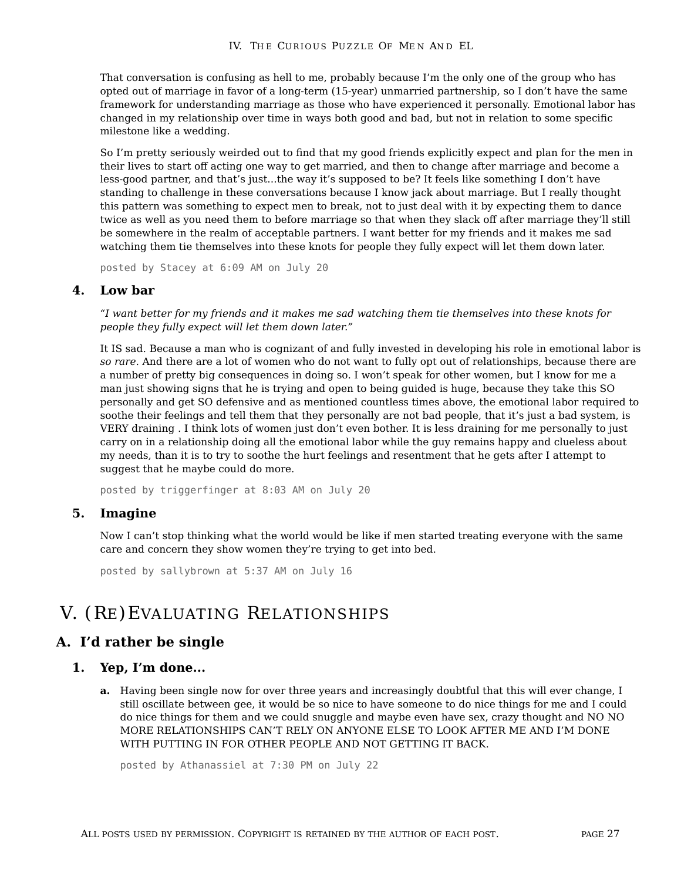That conversation is confusing as hell to me, probably because I'm the only one of the group who has opted out of marriage in favor of a long-term (15-year) unmarried partnership, so I don't have the same framework for understanding marriage as those who have experienced it personally. Emotional labor has changed in my relationship over time in ways both good and bad, but not in relation to some specific milestone like a wedding.

So I'm pretty seriously weirded out to find that my good friends explicitly expect and plan for the men in their lives to start off acting one way to get married, and then to change after marriage and become a less-good partner, and that's just...the way it's supposed to be? It feels like something I don't have standing to challenge in these conversations because I know jack about marriage. But I really thought this pattern was something to expect men to break, not to just deal with it by expecting them to dance twice as well as you need them to before marriage so that when they slack off after marriage they'll still be somewhere in the realm of acceptable partners. I want better for my friends and it makes me sad watching them tie themselves into these knots for people they fully expect will let them down later.

posted by Stacey at 6:09 AM on July 20

### **4. Low bar**

*"I want better for my friends and it makes me sad watching them tie themselves into these knots for people they fully expect will let them down later."*

It IS sad. Because a man who is cognizant of and fully invested in developing his role in emotional labor is *so rare*. And there are a lot of women who do not want to fully opt out of relationships, because there are a number of pretty big consequences in doing so. I won't speak for other women, but I know for me a man just showing signs that he is trying and open to being guided is huge, because they take this SO personally and get SO defensive and as mentioned countless times above, the emotional labor required to soothe their feelings and tell them that they personally are not bad people, that it's just a bad system, is VERY draining . I think lots of women just don't even bother. It is less draining for me personally to just carry on in a relationship doing all the emotional labor while the guy remains happy and clueless about my needs, than it is to try to soothe the hurt feelings and resentment that he gets after I attempt to suggest that he maybe could do more.

posted by triggerfinger at 8:03 AM on July 20

#### **5. Imagine**

Now I can't stop thinking what the world would be like if men started treating everyone with the same care and concern they show women they're trying to get into bed.

posted by sallybrown at 5:37 AM on July 16

# <span id="page-26-1"></span>V. (RE)EVALUATING RELATIONSHIPS

## <span id="page-26-0"></span>**A. I'd rather be single**

#### **1. Yep, I'm done...**

**a.** Having been single now for over three years and increasingly doubtful that this will ever change, I still oscillate between gee, it would be so nice to have someone to do nice things for me and I could do nice things for them and we could snuggle and maybe even have sex, crazy thought and NO NO MORE RELATIONSHIPS CAN'T RELY ON ANYONE ELSE TO LOOK AFTER ME AND I'M DONE WITH PUTTING IN FOR OTHER PEOPLE AND NOT GETTING IT BACK.

posted by Athanassiel at 7:30 PM on July 22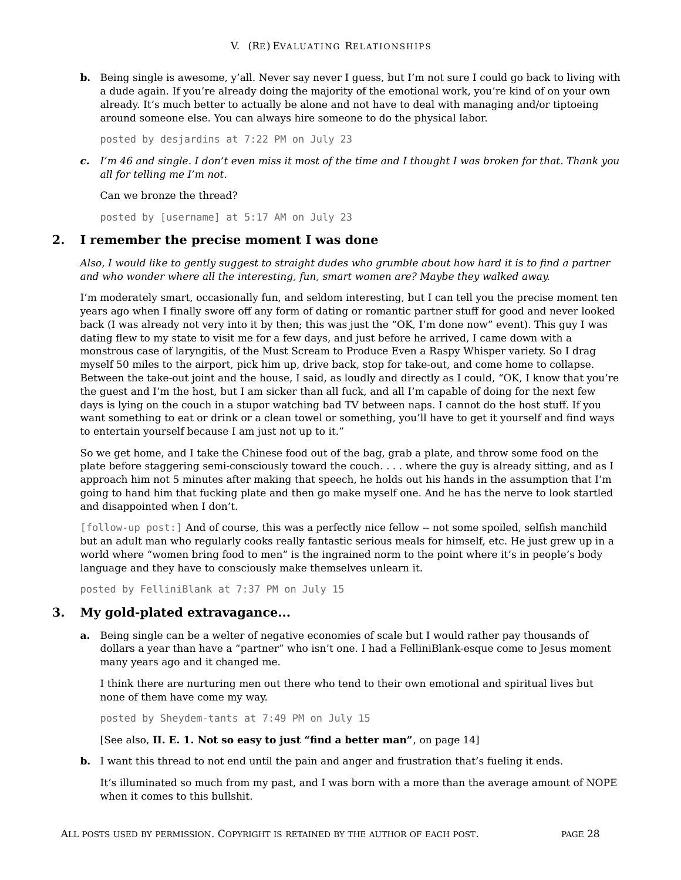**b.** Being single is awesome, y'all. Never say never I guess, but I'm not sure I could go back to living with a dude again. If you're already doing the majority of the emotional work, you're kind of on your own already. It's much better to actually be alone and not have to deal with managing and/or tiptoeing around someone else. You can always hire someone to do the physical labor.

posted by desjardins at 7:22 PM on July 23

*c. I'm 46 and single. I don't even miss it most of the time and I thought I was broken for that. Thank you all for telling me I'm not.*

Can we bronze the thread?

posted by [username] at 5:17 AM on July 23

#### **2. I remember the precise moment I was done**

*Also, I would like to gently suggest to straight dudes who grumble about how hard it is to find a partner and who wonder where all the interesting, fun, smart women are? Maybe they walked away.*

I'm moderately smart, occasionally fun, and seldom interesting, but I can tell you the precise moment ten years ago when I finally swore off any form of dating or romantic partner stuff for good and never looked back (I was already not very into it by then; this was just the "OK, I'm done now" event). This guy I was dating flew to my state to visit me for a few days, and just before he arrived, I came down with a monstrous case of laryngitis, of the Must Scream to Produce Even a Raspy Whisper variety. So I drag myself 50 miles to the airport, pick him up, drive back, stop for take-out, and come home to collapse. Between the take-out joint and the house, I said, as loudly and directly as I could, "OK, I know that you're the guest and I'm the host, but I am sicker than all fuck, and all I'm capable of doing for the next few days is lying on the couch in a stupor watching bad TV between naps. I cannot do the host stuff. If you want something to eat or drink or a clean towel or something, you'll have to get it yourself and find ways to entertain yourself because I am just not up to it."

So we get home, and I take the Chinese food out of the bag, grab a plate, and throw some food on the plate before staggering semi-consciously toward the couch. . . . where the guy is already sitting, and as I approach him not 5 minutes after making that speech, he holds out his hands in the assumption that I'm going to hand him that fucking plate and then go make myself one. And he has the nerve to look startled and disappointed when I don't.

[follow-up post:] And of course, this was a perfectly nice fellow -- not some spoiled, selfish manchild but an adult man who regularly cooks really fantastic serious meals for himself, etc. He just grew up in a world where "women bring food to men" is the ingrained norm to the point where it's in people's body language and they have to consciously make themselves unlearn it.

posted by FelliniBlank at 7:37 PM on July 15

#### **3. My gold-plated extravagance...**

**a.** Being single can be a welter of negative economies of scale but I would rather pay thousands of dollars a year than have a "partner" who isn't one. I had a FelliniBlank-esque come to Jesus moment many years ago and it changed me.

I think there are nurturing men out there who tend to their own emotional and spiritual lives but none of them have come my way.

posted by Sheydem-tants at 7:49 PM on July 15

[See also, **[II. E. 1. Not so easy to just "find a better man"](#page-13-1)**, on page [14\]](#page-13-1)

**b.** I want this thread to not end until the pain and anger and frustration that's fueling it ends.

It's illuminated so much from my past, and I was born with a more than the average amount of NOPE when it comes to this bullshit.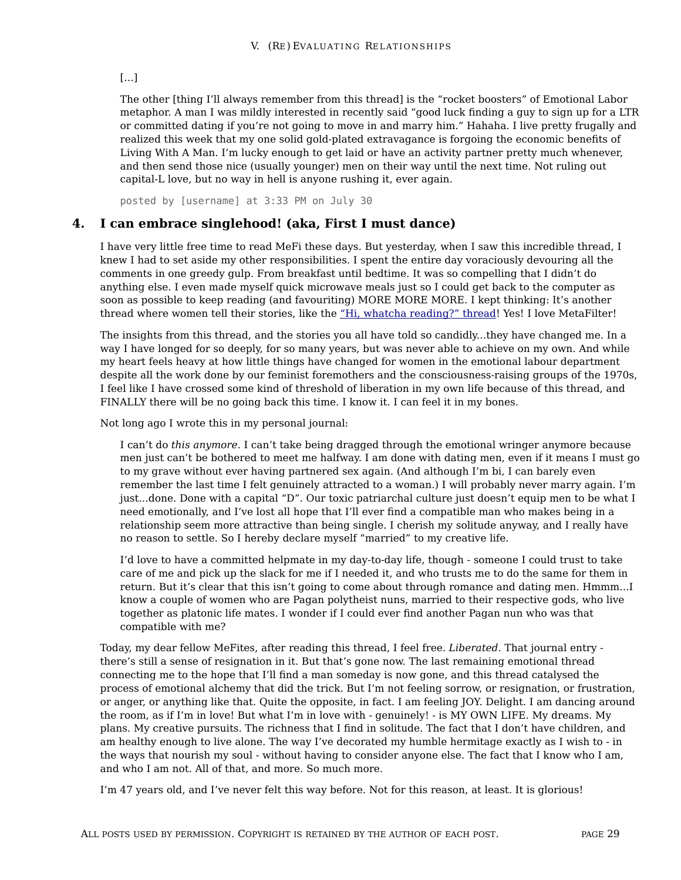[...]

The other [thing I'll always remember from this thread] is the "rocket boosters" of Emotional Labor metaphor. A man I was mildly interested in recently said "good luck finding a guy to sign up for a LTR or committed dating if you're not going to move in and marry him." Hahaha. I live pretty frugally and realized this week that my one solid gold-plated extravagance is forgoing the economic benefits of Living With A Man. I'm lucky enough to get laid or have an activity partner pretty much whenever, and then send those nice (usually younger) men on their way until the next time. Not ruling out capital-L love, but no way in hell is anyone rushing it, ever again.

posted by [username] at 3:33 PM on July 30

## **4. I can embrace singlehood! (aka, First I must dance)**

I have very little free time to read MeFi these days. But yesterday, when I saw this incredible thread, I knew I had to set aside my other responsibilities. I spent the entire day voraciously devouring all the comments in one greedy gulp. From breakfast until bedtime. It was so compelling that I didn't do anything else. I even made myself quick microwave meals just so I could get back to the computer as soon as possible to keep reading (and favouriting) MORE MORE MORE. I kept thinking: It's another thread where women tell their stories, like the ["Hi, whatcha reading?" thread!](http://www.metafilter.com/85667/Hi-Whatcha-reading) Yes! I love MetaFilter!

The insights from this thread, and the stories you all have told so candidly...they have changed me. In a way I have longed for so deeply, for so many years, but was never able to achieve on my own. And while my heart feels heavy at how little things have changed for women in the emotional labour department despite all the work done by our feminist foremothers and the consciousness-raising groups of the 1970s, I feel like I have crossed some kind of threshold of liberation in my own life because of this thread, and FINALLY there will be no going back this time. I know it. I can feel it in my bones.

Not long ago I wrote this in my personal journal:

I can't do *this anymore*. I can't take being dragged through the emotional wringer anymore because men just can't be bothered to meet me halfway. I am done with dating men, even if it means I must go to my grave without ever having partnered sex again. (And although I'm bi, I can barely even remember the last time I felt genuinely attracted to a woman.) I will probably never marry again. I'm just...done. Done with a capital "D". Our toxic patriarchal culture just doesn't equip men to be what I need emotionally, and I've lost all hope that I'll ever find a compatible man who makes being in a relationship seem more attractive than being single. I cherish my solitude anyway, and I really have no reason to settle. So I hereby declare myself "married" to my creative life.

I'd love to have a committed helpmate in my day-to-day life, though - someone I could trust to take care of me and pick up the slack for me if I needed it, and who trusts me to do the same for them in return. But it's clear that this isn't going to come about through romance and dating men. Hmmm...I know a couple of women who are Pagan polytheist nuns, married to their respective gods, who live together as platonic life mates. I wonder if I could ever find another Pagan nun who was that compatible with me?

Today, my dear fellow MeFites, after reading this thread, I feel free. *Liberated*. That journal entry there's still a sense of resignation in it. But that's gone now. The last remaining emotional thread connecting me to the hope that I'll find a man someday is now gone, and this thread catalysed the process of emotional alchemy that did the trick. But I'm not feeling sorrow, or resignation, or frustration, or anger, or anything like that. Quite the opposite, in fact. I am feeling JOY. Delight. I am dancing around the room, as if I'm in love! But what I'm in love with - genuinely! - is MY OWN LIFE. My dreams. My plans. My creative pursuits. The richness that I find in solitude. The fact that I don't have children, and am healthy enough to live alone. The way I've decorated my humble hermitage exactly as I wish to - in the ways that nourish my soul - without having to consider anyone else. The fact that I know who I am, and who I am not. All of that, and more. So much more.

I'm 47 years old, and I've never felt this way before. Not for this reason, at least. It is glorious!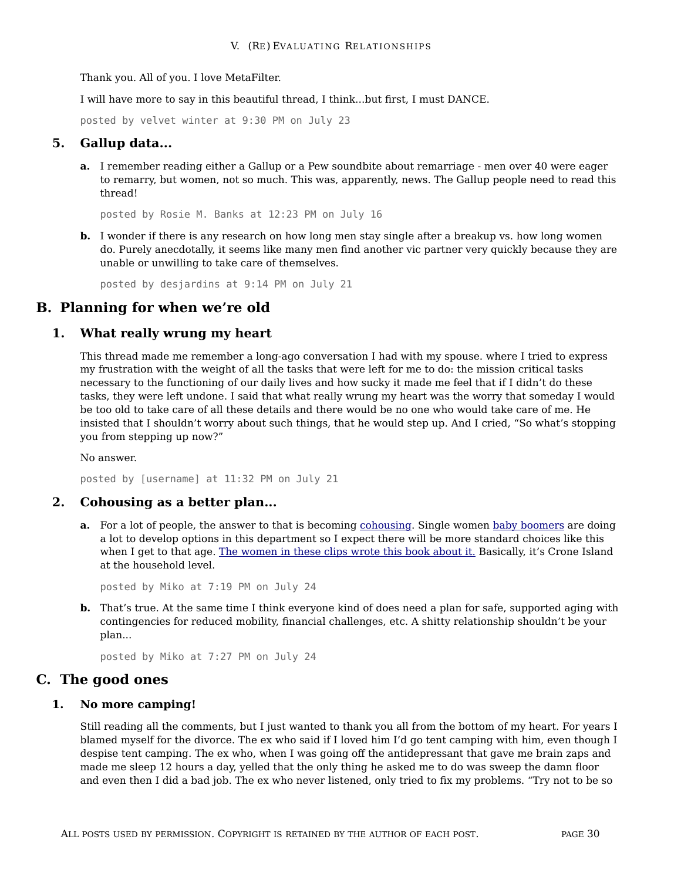Thank you. All of you. I love MetaFilter.

I will have more to say in this beautiful thread, I think...but first, I must DANCE.

posted by velvet winter at 9:30 PM on July 23

## **5. Gallup data...**

**a.** I remember reading either a Gallup or a Pew soundbite about remarriage - men over 40 were eager to remarry, but women, not so much. This was, apparently, news. The Gallup people need to read this thread!

posted by Rosie M. Banks at 12:23 PM on July 16

**b.** I wonder if there is any research on how long men stay single after a breakup vs. how long women do. Purely anecdotally, it seems like many men find another vic partner very quickly because they are unable or unwilling to take care of themselves.

posted by desjardins at 9:14 PM on July 21

## <span id="page-29-1"></span>**B. Planning for when we're old**

## **1. What really wrung my heart**

This thread made me remember a long-ago conversation I had with my spouse. where I tried to express my frustration with the weight of all the tasks that were left for me to do: the mission critical tasks necessary to the functioning of our daily lives and how sucky it made me feel that if I didn't do these tasks, they were left undone. I said that what really wrung my heart was the worry that someday I would be too old to take care of all these details and there would be no one who would take care of me. He insisted that I shouldn't worry about such things, that he would step up. And I cried, "So what's stopping you from stepping up now?"

No answer.

posted by [username] at 11:32 PM on July 21

### **2. Cohousing as a better plan...**

**a.** For a lot of people, the answer to that is becoming [cohousing.](http://newoldage.blogs.nytimes.com/2010/09/09/living-together-aging-together/?_r=0) Single women [baby boomers](http://www.pbs.org/newshour/bb/baby-boomers-take-cues-from-golden-girls/) are doing a lot to develop options in this department so I expect there will be more standard choices like this when I get to that age. [The women in these clips wrote this book about it.](http://www.amazon.com/exec/obidos/ASIN/0985562242/metafilter-20/ref=nosim/) Basically, it's Crone Island at the household level.

posted by Miko at 7:19 PM on July 24

**b.** That's true. At the same time I think everyone kind of does need a plan for safe, supported aging with contingencies for reduced mobility, financial challenges, etc. A shitty relationship shouldn't be your plan...

posted by Miko at 7:27 PM on July 24

## <span id="page-29-0"></span>**C. The good ones**

### **1. No more camping!**

Still reading all the comments, but I just wanted to thank you all from the bottom of my heart. For years I blamed myself for the divorce. The ex who said if I loved him I'd go tent camping with him, even though I despise tent camping. The ex who, when I was going off the antidepressant that gave me brain zaps and made me sleep 12 hours a day, yelled that the only thing he asked me to do was sweep the damn floor and even then I did a bad job. The ex who never listened, only tried to fix my problems. "Try not to be so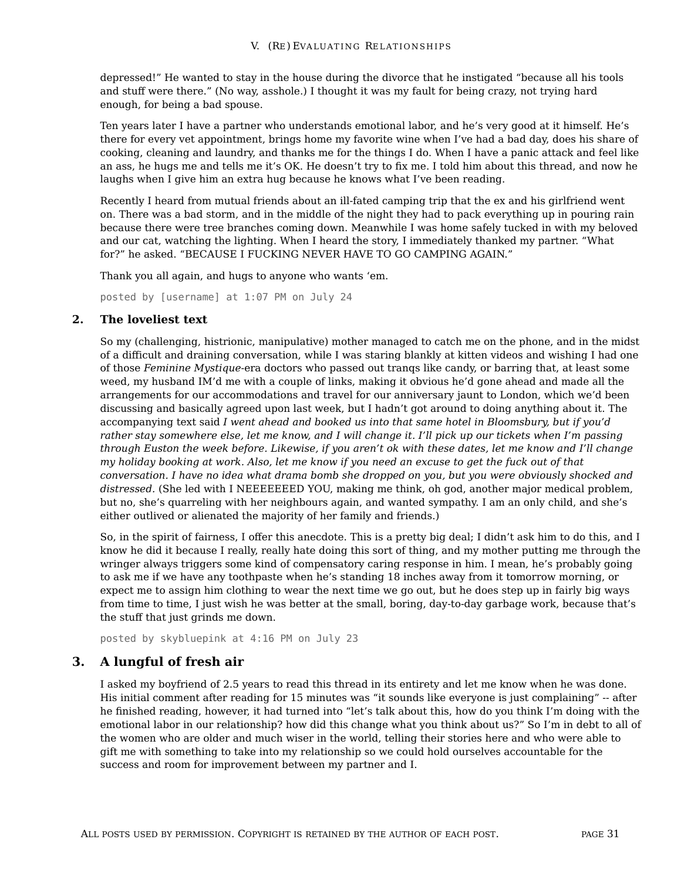depressed!" He wanted to stay in the house during the divorce that he instigated "because all his tools and stuff were there." (No way, asshole.) I thought it was my fault for being crazy, not trying hard enough, for being a bad spouse.

Ten years later I have a partner who understands emotional labor, and he's very good at it himself. He's there for every vet appointment, brings home my favorite wine when I've had a bad day, does his share of cooking, cleaning and laundry, and thanks me for the things I do. When I have a panic attack and feel like an ass, he hugs me and tells me it's OK. He doesn't try to fix me. I told him about this thread, and now he laughs when I give him an extra hug because he knows what I've been reading.

Recently I heard from mutual friends about an ill-fated camping trip that the ex and his girlfriend went on. There was a bad storm, and in the middle of the night they had to pack everything up in pouring rain because there were tree branches coming down. Meanwhile I was home safely tucked in with my beloved and our cat, watching the lighting. When I heard the story, I immediately thanked my partner. "What for?" he asked. "BECAUSE I FUCKING NEVER HAVE TO GO CAMPING AGAIN."

Thank you all again, and hugs to anyone who wants 'em.

posted by [username] at 1:07 PM on July 24

#### **2. The loveliest text**

So my (challenging, histrionic, manipulative) mother managed to catch me on the phone, and in the midst of a difficult and draining conversation, while I was staring blankly at kitten videos and wishing I had one of those *Feminine Mystique*-era doctors who passed out tranqs like candy, or barring that, at least some weed, my husband IM'd me with a couple of links, making it obvious he'd gone ahead and made all the arrangements for our accommodations and travel for our anniversary jaunt to London, which we'd been discussing and basically agreed upon last week, but I hadn't got around to doing anything about it. The accompanying text said *I went ahead and booked us into that same hotel in Bloomsbury, but if you'd rather stay somewhere else, let me know, and I will change it. I'll pick up our tickets when I'm passing through Euston the week before. Likewise, if you aren't ok with these dates, let me know and I'll change my holiday booking at work. Also, let me know if you need an excuse to get the fuck out of that conversation. I have no idea what drama bomb she dropped on you, but you were obviously shocked and distressed.* (She led with I NEEEEEEED YOU, making me think, oh god, another major medical problem, but no, she's quarreling with her neighbours again, and wanted sympathy. I am an only child, and she's either outlived or alienated the majority of her family and friends.)

So, in the spirit of fairness, I offer this anecdote. This is a pretty big deal; I didn't ask him to do this, and I know he did it because I really, really hate doing this sort of thing, and my mother putting me through the wringer always triggers some kind of compensatory caring response in him. I mean, he's probably going to ask me if we have any toothpaste when he's standing 18 inches away from it tomorrow morning, or expect me to assign him clothing to wear the next time we go out, but he does step up in fairly big ways from time to time, I just wish he was better at the small, boring, day-to-day garbage work, because that's the stuff that just grinds me down.

posted by skybluepink at 4:16 PM on July 23

### **3. A lungful of fresh air**

I asked my boyfriend of 2.5 years to read this thread in its entirety and let me know when he was done. His initial comment after reading for 15 minutes was "it sounds like everyone is just complaining" -- after he finished reading, however, it had turned into "let's talk about this, how do you think I'm doing with the emotional labor in our relationship? how did this change what you think about us?" So I'm in debt to all of the women who are older and much wiser in the world, telling their stories here and who were able to gift me with something to take into my relationship so we could hold ourselves accountable for the success and room for improvement between my partner and I.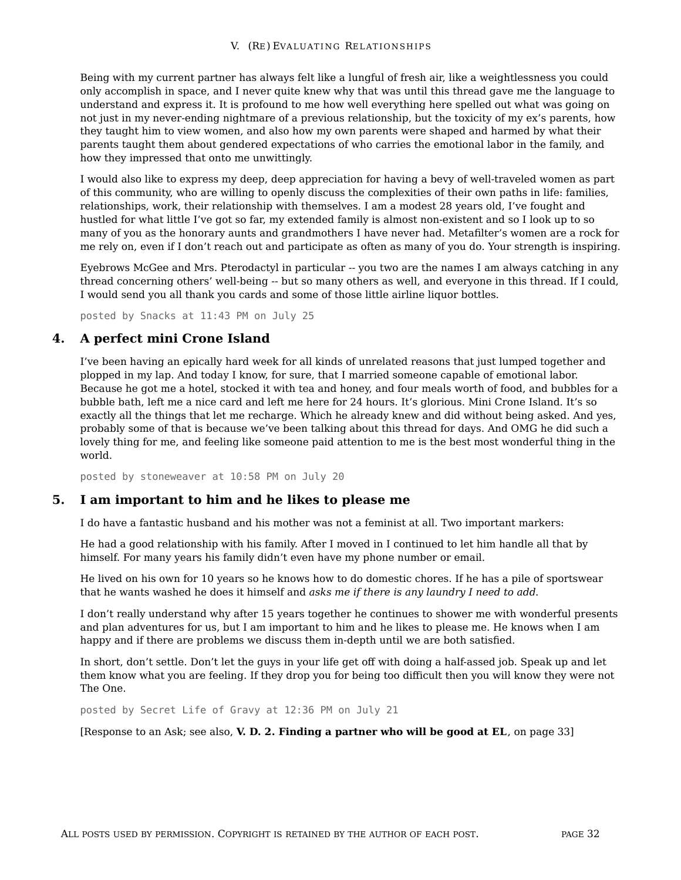Being with my current partner has always felt like a lungful of fresh air, like a weightlessness you could only accomplish in space, and I never quite knew why that was until this thread gave me the language to understand and express it. It is profound to me how well everything here spelled out what was going on not just in my never-ending nightmare of a previous relationship, but the toxicity of my ex's parents, how they taught him to view women, and also how my own parents were shaped and harmed by what their parents taught them about gendered expectations of who carries the emotional labor in the family, and how they impressed that onto me unwittingly.

I would also like to express my deep, deep appreciation for having a bevy of well-traveled women as part of this community, who are willing to openly discuss the complexities of their own paths in life: families, relationships, work, their relationship with themselves. I am a modest 28 years old, I've fought and hustled for what little I've got so far, my extended family is almost non-existent and so I look up to so many of you as the honorary aunts and grandmothers I have never had. Metafilter's women are a rock for me rely on, even if I don't reach out and participate as often as many of you do. Your strength is inspiring.

Eyebrows McGee and Mrs. Pterodactyl in particular -- you two are the names I am always catching in any thread concerning others' well-being -- but so many others as well, and everyone in this thread. If I could, I would send you all thank you cards and some of those little airline liquor bottles.

posted by Snacks at 11:43 PM on July 25

## **4. A perfect mini Crone Island**

I've been having an epically hard week for all kinds of unrelated reasons that just lumped together and plopped in my lap. And today I know, for sure, that I married someone capable of emotional labor. Because he got me a hotel, stocked it with tea and honey, and four meals worth of food, and bubbles for a bubble bath, left me a nice card and left me here for 24 hours. It's glorious. Mini Crone Island. It's so exactly all the things that let me recharge. Which he already knew and did without being asked. And yes, probably some of that is because we've been talking about this thread for days. And OMG he did such a lovely thing for me, and feeling like someone paid attention to me is the best most wonderful thing in the world.

<span id="page-31-0"></span>posted by stoneweaver at 10:58 PM on July 20

### **5. I am important to him and he likes to please me**

I do have a fantastic husband and his mother was not a feminist at all. Two important markers:

He had a good relationship with his family. After I moved in I continued to let him handle all that by himself. For many years his family didn't even have my phone number or email.

He lived on his own for 10 years so he knows how to do domestic chores. If he has a pile of sportswear that he wants washed he does it himself and *asks me if there is any laundry I need to add*.

I don't really understand why after 15 years together he continues to shower me with wonderful presents and plan adventures for us, but I am important to him and he likes to please me. He knows when I am happy and if there are problems we discuss them in-depth until we are both satisfied.

In short, don't settle. Don't let the guys in your life get off with doing a half-assed job. Speak up and let them know what you are feeling. If they drop you for being too difficult then you will know they were not The One.

posted by Secret Life of Gravy at 12:36 PM on July 21

[Response to an Ask; see also, **[V. D. 2. Finding a partner who will be good at EL](#page-32-1)**, on page [33\]](#page-32-1)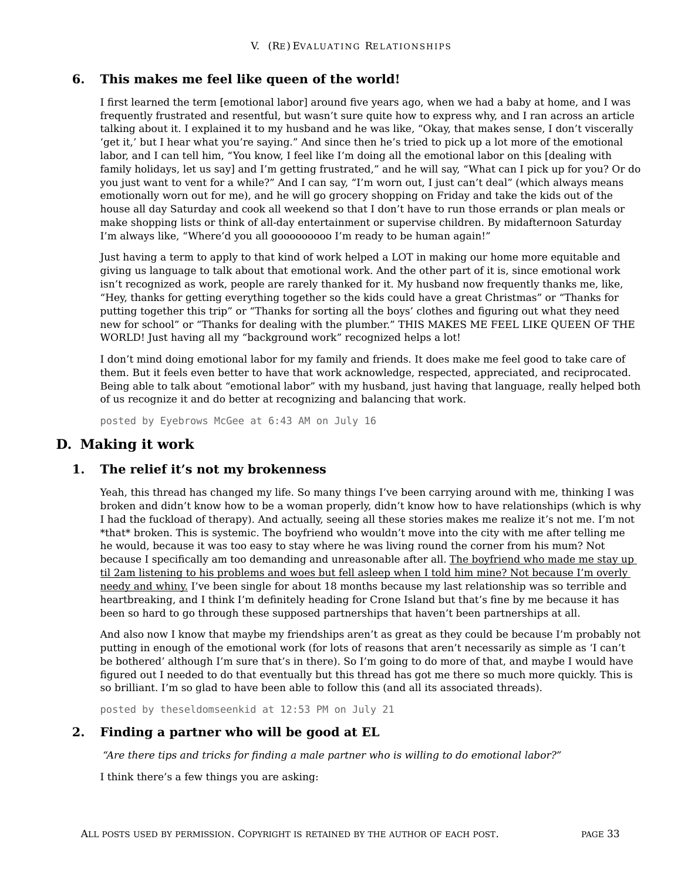## **6. This makes me feel like queen of the world!**

I first learned the term [emotional labor] around five years ago, when we had a baby at home, and I was frequently frustrated and resentful, but wasn't sure quite how to express why, and I ran across an article talking about it. I explained it to my husband and he was like, "Okay, that makes sense, I don't viscerally 'get it,' but I hear what you're saying." And since then he's tried to pick up a lot more of the emotional labor, and I can tell him, "You know, I feel like I'm doing all the emotional labor on this [dealing with family holidays, let us say] and I'm getting frustrated," and he will say, "What can I pick up for you? Or do you just want to vent for a while?" And I can say, "I'm worn out, I just can't deal" (which always means emotionally worn out for me), and he will go grocery shopping on Friday and take the kids out of the house all day Saturday and cook all weekend so that I don't have to run those errands or plan meals or make shopping lists or think of all-day entertainment or supervise children. By midafternoon Saturday I'm always like, "Where'd you all gooooooooo I'm ready to be human again!"

Just having a term to apply to that kind of work helped a LOT in making our home more equitable and giving us language to talk about that emotional work. And the other part of it is, since emotional work isn't recognized as work, people are rarely thanked for it. My husband now frequently thanks me, like, "Hey, thanks for getting everything together so the kids could have a great Christmas" or "Thanks for putting together this trip" or "Thanks for sorting all the boys' clothes and figuring out what they need new for school" or "Thanks for dealing with the plumber." THIS MAKES ME FEEL LIKE QUEEN OF THE WORLD! Just having all my "background work" recognized helps a lot!

I don't mind doing emotional labor for my family and friends. It does make me feel good to take care of them. But it feels even better to have that work acknowledge, respected, appreciated, and reciprocated. Being able to talk about "emotional labor" with my husband, just having that language, really helped both of us recognize it and do better at recognizing and balancing that work.

posted by Eyebrows McGee at 6:43 AM on July 16

# <span id="page-32-0"></span>**D. Making it work**

## **1. The relief it's not my brokenness**

Yeah, this thread has changed my life. So many things I've been carrying around with me, thinking I was broken and didn't know how to be a woman properly, didn't know how to have relationships (which is why I had the fuckload of therapy). And actually, seeing all these stories makes me realize it's not me. I'm not \*that\* broken. This is systemic. The boyfriend who wouldn't move into the city with me after telling me he would, because it was too easy to stay where he was living round the corner from his mum? Not because I specifically am too demanding and unreasonable after all. The boyfriend who made me stay up til 2am listening to his problems and woes but fell asleep when I told him mine? Not because I'm overly needy and whiny. I've been single for about 18 months because my last relationship was so terrible and heartbreaking, and I think I'm definitely heading for Crone Island but that's fine by me because it has been so hard to go through these supposed partnerships that haven't been partnerships at all.

And also now I know that maybe my friendships aren't as great as they could be because I'm probably not putting in enough of the emotional work (for lots of reasons that aren't necessarily as simple as 'I can't be bothered' although I'm sure that's in there). So I'm going to do more of that, and maybe I would have figured out I needed to do that eventually but this thread has got me there so much more quickly. This is so brilliant. I'm so glad to have been able to follow this (and all its associated threads).

<span id="page-32-1"></span>posted by theseldomseenkid at 12:53 PM on July 21

## **2. Finding a partner who will be good at EL**

*"Are there tips and tricks for finding a male partner who is willing to do emotional labor?"*

I think there's a few things you are asking: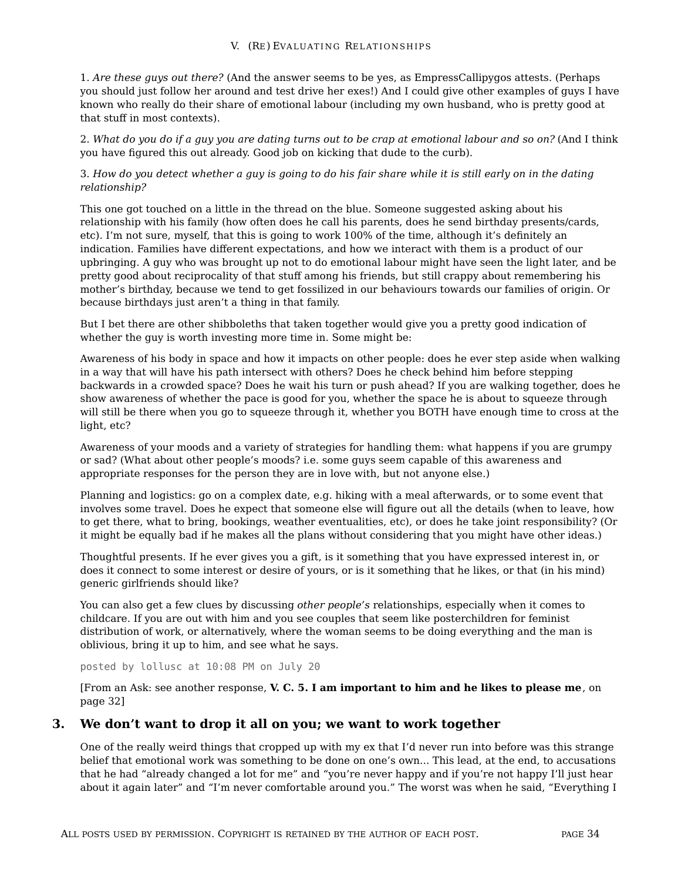1. *Are these guys out there?* (And the answer seems to be yes, as EmpressCallipygos attests. (Perhaps you should just follow her around and test drive her exes!) And I could give other examples of guys I have known who really do their share of emotional labour (including my own husband, who is pretty good at that stuff in most contexts).

2. *What do you do if a guy you are dating turns out to be crap at emotional labour and so on?* (And I think you have figured this out already. Good job on kicking that dude to the curb).

3. *How do you detect whether a guy is going to do his fair share while it is still early on in the dating relationship?*

This one got touched on a little in the thread on the blue. Someone suggested asking about his relationship with his family (how often does he call his parents, does he send birthday presents/cards, etc). I'm not sure, myself, that this is going to work 100% of the time, although it's definitely an indication. Families have different expectations, and how we interact with them is a product of our upbringing. A guy who was brought up not to do emotional labour might have seen the light later, and be pretty good about reciprocality of that stuff among his friends, but still crappy about remembering his mother's birthday, because we tend to get fossilized in our behaviours towards our families of origin. Or because birthdays just aren't a thing in that family.

But I bet there are other shibboleths that taken together would give you a pretty good indication of whether the guy is worth investing more time in. Some might be:

Awareness of his body in space and how it impacts on other people: does he ever step aside when walking in a way that will have his path intersect with others? Does he check behind him before stepping backwards in a crowded space? Does he wait his turn or push ahead? If you are walking together, does he show awareness of whether the pace is good for you, whether the space he is about to squeeze through will still be there when you go to squeeze through it, whether you BOTH have enough time to cross at the light, etc?

Awareness of your moods and a variety of strategies for handling them: what happens if you are grumpy or sad? (What about other people's moods? i.e. some guys seem capable of this awareness and appropriate responses for the person they are in love with, but not anyone else.)

Planning and logistics: go on a complex date, e.g. hiking with a meal afterwards, or to some event that involves some travel. Does he expect that someone else will figure out all the details (when to leave, how to get there, what to bring, bookings, weather eventualities, etc), or does he take joint responsibility? (Or it might be equally bad if he makes all the plans without considering that you might have other ideas.)

Thoughtful presents. If he ever gives you a gift, is it something that you have expressed interest in, or does it connect to some interest or desire of yours, or is it something that he likes, or that (in his mind) generic girlfriends should like?

You can also get a few clues by discussing *other people's* relationships, especially when it comes to childcare. If you are out with him and you see couples that seem like posterchildren for feminist distribution of work, or alternatively, where the woman seems to be doing everything and the man is oblivious, bring it up to him, and see what he says.

posted by lollusc at 10:08 PM on July 20

[From an Ask: see another response, **[V. C. 5. I am important to him and he likes to please me](#page-31-0)**, on page [32\]](#page-31-0)

## **3. We don't want to drop it all on you; we want to work together**

One of the really weird things that cropped up with my ex that I'd never run into before was this strange belief that emotional work was something to be done on one's own... This lead, at the end, to accusations that he had "already changed a lot for me" and "you're never happy and if you're not happy I'll just hear about it again later" and "I'm never comfortable around you." The worst was when he said, "Everything I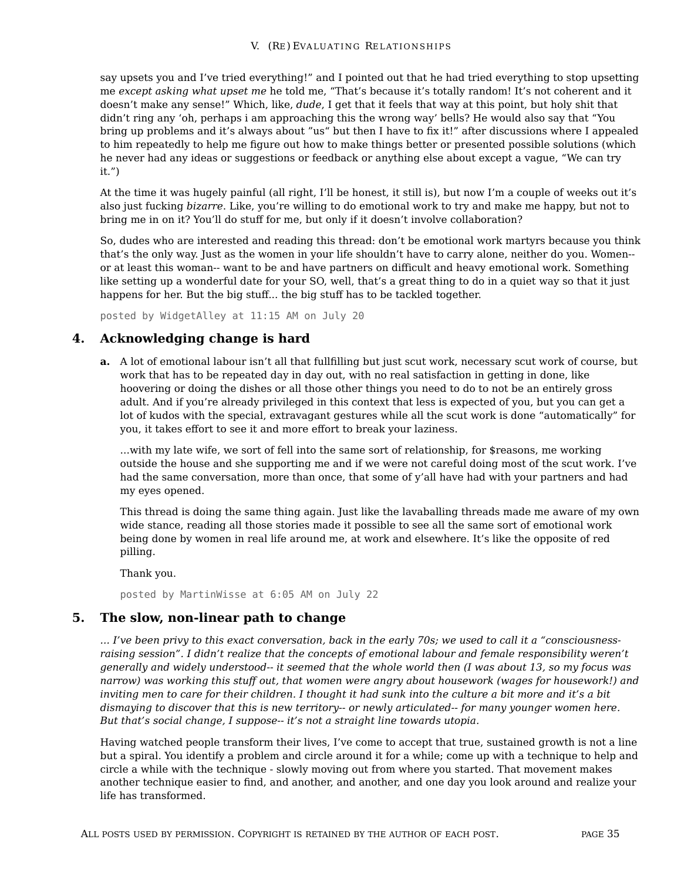#### V. (RE) EVALUATING RELATIONSHIPS

say upsets you and I've tried everything!" and I pointed out that he had tried everything to stop upsetting me *except asking what upset me* he told me, "That's because it's totally random! It's not coherent and it doesn't make any sense!" Which, like, *dude*, I get that it feels that way at this point, but holy shit that didn't ring any 'oh, perhaps i am approaching this the wrong way' bells? He would also say that "You bring up problems and it's always about "us" but then I have to fix it!" after discussions where I appealed to him repeatedly to help me figure out how to make things better or presented possible solutions (which he never had any ideas or suggestions or feedback or anything else about except a vague, "We can try it.")

At the time it was hugely painful (all right, I'll be honest, it still is), but now I'm a couple of weeks out it's also just fucking *bizarre*. Like, you're willing to do emotional work to try and make me happy, but not to bring me in on it? You'll do stuff for me, but only if it doesn't involve collaboration?

So, dudes who are interested and reading this thread: don't be emotional work martyrs because you think that's the only way. Just as the women in your life shouldn't have to carry alone, neither do you. Women- or at least this woman-- want to be and have partners on difficult and heavy emotional work. Something like setting up a wonderful date for your SO, well, that's a great thing to do in a quiet way so that it just happens for her. But the big stuff... the big stuff has to be tackled together.

posted by WidgetAlley at 11:15 AM on July 20

## **4. Acknowledging change is hard**

**a.** A lot of emotional labour isn't all that fullfilling but just scut work, necessary scut work of course, but work that has to be repeated day in day out, with no real satisfaction in getting in done, like hoovering or doing the dishes or all those other things you need to do to not be an entirely gross adult. And if you're already privileged in this context that less is expected of you, but you can get a lot of kudos with the special, extravagant gestures while all the scut work is done "automatically" for you, it takes effort to see it and more effort to break your laziness.

...with my late wife, we sort of fell into the same sort of relationship, for \$reasons, me working outside the house and she supporting me and if we were not careful doing most of the scut work. I've had the same conversation, more than once, that some of y'all have had with your partners and had my eyes opened.

This thread is doing the same thing again. Just like the lavaballing threads made me aware of my own wide stance, reading all those stories made it possible to see all the same sort of emotional work being done by women in real life around me, at work and elsewhere. It's like the opposite of red pilling.

Thank you.

posted by MartinWisse at 6:05 AM on July 22

### **5. The slow, non-linear path to change**

*... I've been privy to this exact conversation, back in the early 70s; we used to call it a "consciousnessraising session". I didn't realize that the concepts of emotional labour and female responsibility weren't generally and widely understood-- it seemed that the whole world then (I was about 13, so my focus was narrow) was working this stuff out, that women were angry about housework (wages for housework!) and inviting men to care for their children. I thought it had sunk into the culture a bit more and it's a bit dismaying to discover that this is new territory-- or newly articulated-- for many younger women here. But that's social change, I suppose-- it's not a straight line towards utopia.* 

Having watched people transform their lives, I've come to accept that true, sustained growth is not a line but a spiral. You identify a problem and circle around it for a while; come up with a technique to help and circle a while with the technique - slowly moving out from where you started. That movement makes another technique easier to find, and another, and another, and one day you look around and realize your life has transformed.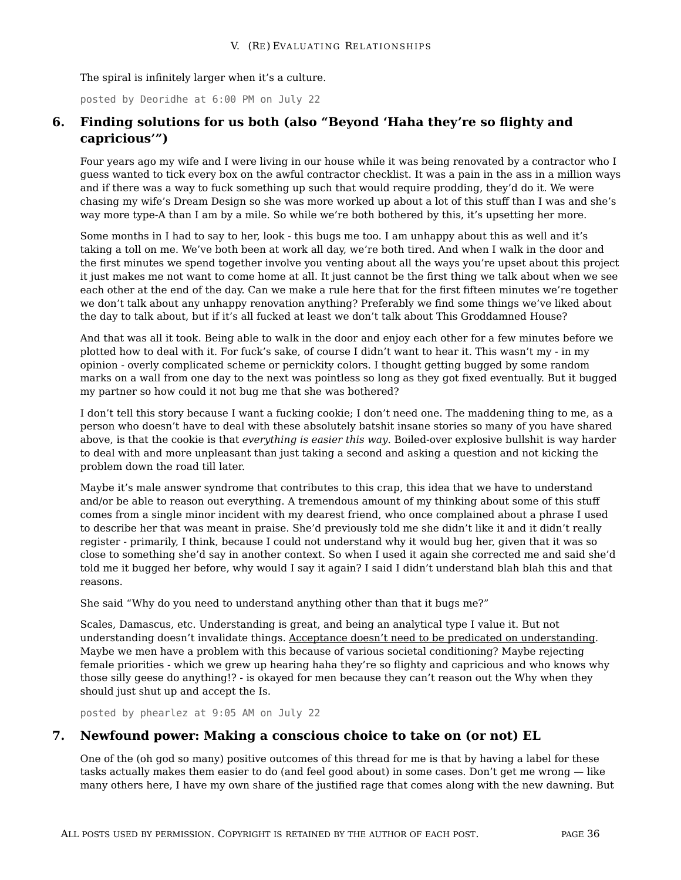The spiral is infinitely larger when it's a culture.

posted by Deoridhe at 6:00 PM on July 22

## **6. Finding solutions for us both (also "Beyond 'Haha they're so flighty and capricious'")**

Four years ago my wife and I were living in our house while it was being renovated by a contractor who I guess wanted to tick every box on the awful contractor checklist. It was a pain in the ass in a million ways and if there was a way to fuck something up such that would require prodding, they'd do it. We were chasing my wife's Dream Design so she was more worked up about a lot of this stuff than I was and she's way more type-A than I am by a mile. So while we're both bothered by this, it's upsetting her more.

Some months in I had to say to her, look - this bugs me too. I am unhappy about this as well and it's taking a toll on me. We've both been at work all day, we're both tired. And when I walk in the door and the first minutes we spend together involve you venting about all the ways you're upset about this project it just makes me not want to come home at all. It just cannot be the first thing we talk about when we see each other at the end of the day. Can we make a rule here that for the first fifteen minutes we're together we don't talk about any unhappy renovation anything? Preferably we find some things we've liked about the day to talk about, but if it's all fucked at least we don't talk about This Groddamned House?

And that was all it took. Being able to walk in the door and enjoy each other for a few minutes before we plotted how to deal with it. For fuck's sake, of course I didn't want to hear it. This wasn't my - in my opinion - overly complicated scheme or pernickity colors. I thought getting bugged by some random marks on a wall from one day to the next was pointless so long as they got fixed eventually. But it bugged my partner so how could it not bug me that she was bothered?

I don't tell this story because I want a fucking cookie; I don't need one. The maddening thing to me, as a person who doesn't have to deal with these absolutely batshit insane stories so many of you have shared above, is that the cookie is that *everything is easier this way*. Boiled-over explosive bullshit is way harder to deal with and more unpleasant than just taking a second and asking a question and not kicking the problem down the road till later.

Maybe it's male answer syndrome that contributes to this crap, this idea that we have to understand and/or be able to reason out everything. A tremendous amount of my thinking about some of this stuff comes from a single minor incident with my dearest friend, who once complained about a phrase I used to describe her that was meant in praise. She'd previously told me she didn't like it and it didn't really register - primarily, I think, because I could not understand why it would bug her, given that it was so close to something she'd say in another context. So when I used it again she corrected me and said she'd told me it bugged her before, why would I say it again? I said I didn't understand blah blah this and that reasons.

She said "Why do you need to understand anything other than that it bugs me?"

Scales, Damascus, etc. Understanding is great, and being an analytical type I value it. But not understanding doesn't invalidate things. Acceptance doesn't need to be predicated on understanding. Maybe we men have a problem with this because of various societal conditioning? Maybe rejecting female priorities - which we grew up hearing haha they're so flighty and capricious and who knows why those silly geese do anything!? - is okayed for men because they can't reason out the Why when they should just shut up and accept the Is.

posted by phearlez at 9:05 AM on July 22

## **7. Newfound power: Making a conscious choice to take on (or not) EL**

One of the (oh god so many) positive outcomes of this thread for me is that by having a label for these tasks actually makes them easier to do (and feel good about) in some cases. Don't get me wrong — like many others here, I have my own share of the justified rage that comes along with the new dawning. But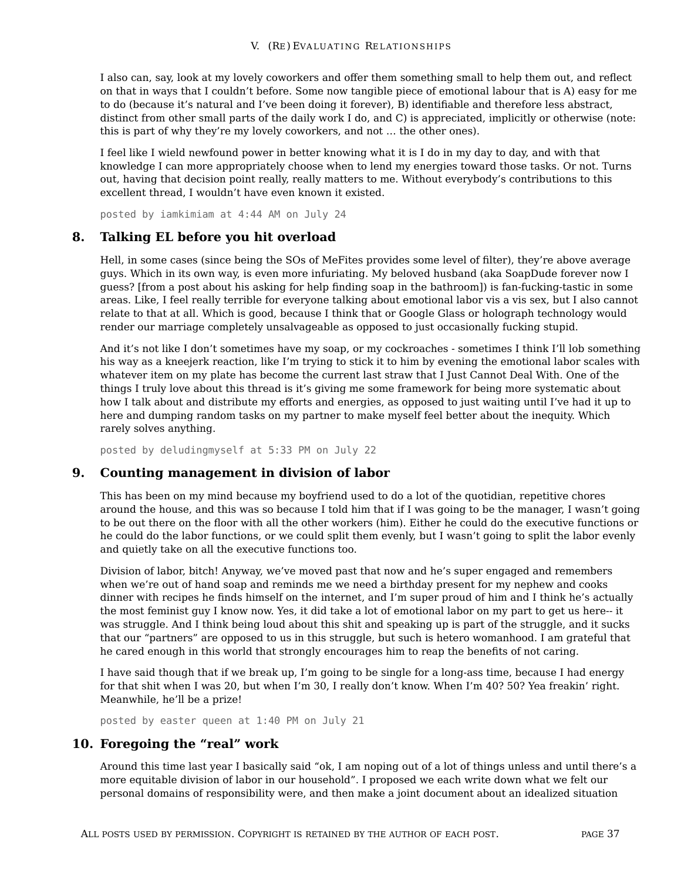I also can, say, look at my lovely coworkers and offer them something small to help them out, and reflect on that in ways that I couldn't before. Some now tangible piece of emotional labour that is A) easy for me to do (because it's natural and I've been doing it forever), B) identifiable and therefore less abstract, distinct from other small parts of the daily work I do, and C) is appreciated, implicitly or otherwise (note: this is part of why they're my lovely coworkers, and not … the other ones).

I feel like I wield newfound power in better knowing what it is I do in my day to day, and with that knowledge I can more appropriately choose when to lend my energies toward those tasks. Or not. Turns out, having that decision point really, really matters to me. Without everybody's contributions to this excellent thread, I wouldn't have even known it existed.

posted by iamkimiam at 4:44 AM on July 24

#### **8. Talking EL before you hit overload**

Hell, in some cases (since being the SOs of MeFites provides some level of filter), they're above average guys. Which in its own way, is even more infuriating. My beloved husband (aka SoapDude forever now I guess? [from a post about his asking for help finding soap in the bathroom]) is fan-fucking-tastic in some areas. Like, I feel really terrible for everyone talking about emotional labor vis a vis sex, but I also cannot relate to that at all. Which is good, because I think that or Google Glass or holograph technology would render our marriage completely unsalvageable as opposed to just occasionally fucking stupid.

And it's not like I don't sometimes have my soap, or my cockroaches - sometimes I think I'll lob something his way as a kneejerk reaction, like I'm trying to stick it to him by evening the emotional labor scales with whatever item on my plate has become the current last straw that I Just Cannot Deal With. One of the things I truly love about this thread is it's giving me some framework for being more systematic about how I talk about and distribute my efforts and energies, as opposed to just waiting until I've had it up to here and dumping random tasks on my partner to make myself feel better about the inequity. Which rarely solves anything.

posted by deludingmyself at 5:33 PM on July 22

#### **9. Counting management in division of labor**

This has been on my mind because my boyfriend used to do a lot of the quotidian, repetitive chores around the house, and this was so because I told him that if I was going to be the manager, I wasn't going to be out there on the floor with all the other workers (him). Either he could do the executive functions or he could do the labor functions, or we could split them evenly, but I wasn't going to split the labor evenly and quietly take on all the executive functions too.

Division of labor, bitch! Anyway, we've moved past that now and he's super engaged and remembers when we're out of hand soap and reminds me we need a birthday present for my nephew and cooks dinner with recipes he finds himself on the internet, and I'm super proud of him and I think he's actually the most feminist guy I know now. Yes, it did take a lot of emotional labor on my part to get us here-- it was struggle. And I think being loud about this shit and speaking up is part of the struggle, and it sucks that our "partners" are opposed to us in this struggle, but such is hetero womanhood. I am grateful that he cared enough in this world that strongly encourages him to reap the benefits of not caring.

I have said though that if we break up, I'm going to be single for a long-ass time, because I had energy for that shit when I was 20, but when I'm 30, I really don't know. When I'm 40? 50? Yea freakin' right. Meanwhile, he'll be a prize!

posted by easter queen at 1:40 PM on July 21

#### **10. Foregoing the "real" work**

Around this time last year I basically said "ok, I am noping out of a lot of things unless and until there's a more equitable division of labor in our household". I proposed we each write down what we felt our personal domains of responsibility were, and then make a joint document about an idealized situation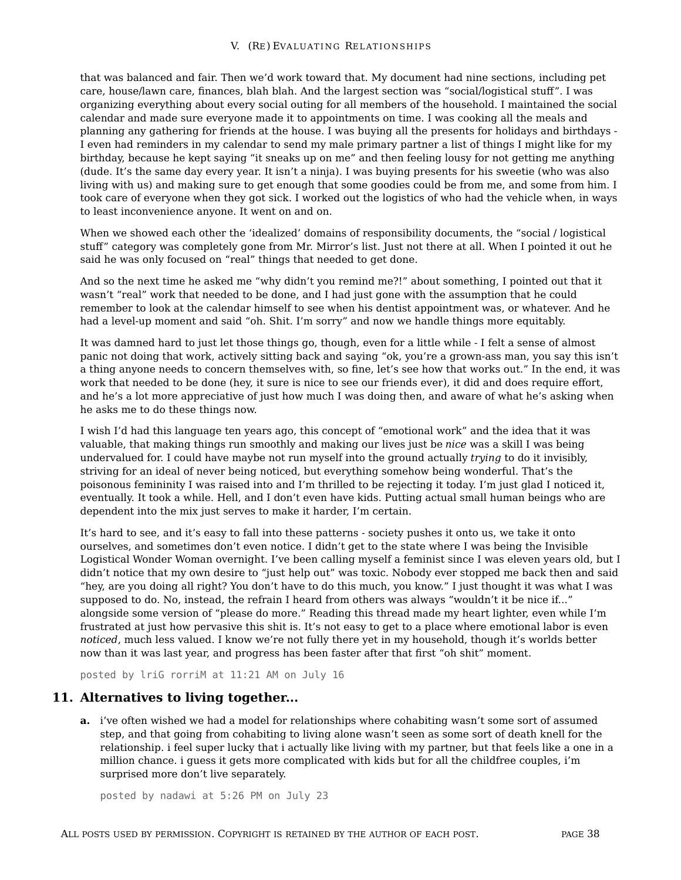that was balanced and fair. Then we'd work toward that. My document had nine sections, including pet care, house/lawn care, finances, blah blah. And the largest section was "social/logistical stuff". I was organizing everything about every social outing for all members of the household. I maintained the social calendar and made sure everyone made it to appointments on time. I was cooking all the meals and planning any gathering for friends at the house. I was buying all the presents for holidays and birthdays - I even had reminders in my calendar to send my male primary partner a list of things I might like for my birthday, because he kept saying "it sneaks up on me" and then feeling lousy for not getting me anything (dude. It's the same day every year. It isn't a ninja). I was buying presents for his sweetie (who was also living with us) and making sure to get enough that some goodies could be from me, and some from him. I took care of everyone when they got sick. I worked out the logistics of who had the vehicle when, in ways to least inconvenience anyone. It went on and on.

When we showed each other the 'idealized' domains of responsibility documents, the "social / logistical stuff" category was completely gone from Mr. Mirror's list. Just not there at all. When I pointed it out he said he was only focused on "real" things that needed to get done.

And so the next time he asked me "why didn't you remind me?!" about something, I pointed out that it wasn't "real" work that needed to be done, and I had just gone with the assumption that he could remember to look at the calendar himself to see when his dentist appointment was, or whatever. And he had a level-up moment and said "oh. Shit. I'm sorry" and now we handle things more equitably.

It was damned hard to just let those things go, though, even for a little while - I felt a sense of almost panic not doing that work, actively sitting back and saying "ok, you're a grown-ass man, you say this isn't a thing anyone needs to concern themselves with, so fine, let's see how that works out." In the end, it was work that needed to be done (hey, it sure is nice to see our friends ever), it did and does require effort, and he's a lot more appreciative of just how much I was doing then, and aware of what he's asking when he asks me to do these things now.

I wish I'd had this language ten years ago, this concept of "emotional work" and the idea that it was valuable, that making things run smoothly and making our lives just be *nice* was a skill I was being undervalued for. I could have maybe not run myself into the ground actually *trying* to do it invisibly, striving for an ideal of never being noticed, but everything somehow being wonderful. That's the poisonous femininity I was raised into and I'm thrilled to be rejecting it today. I'm just glad I noticed it, eventually. It took a while. Hell, and I don't even have kids. Putting actual small human beings who are dependent into the mix just serves to make it harder, I'm certain.

It's hard to see, and it's easy to fall into these patterns - society pushes it onto us, we take it onto ourselves, and sometimes don't even notice. I didn't get to the state where I was being the Invisible Logistical Wonder Woman overnight. I've been calling myself a feminist since I was eleven years old, but I didn't notice that my own desire to "just help out" was toxic. Nobody ever stopped me back then and said "hey, are you doing all right? You don't have to do this much, you know." I just thought it was what I was supposed to do. No, instead, the refrain I heard from others was always "wouldn't it be nice if..." alongside some version of "please do more." Reading this thread made my heart lighter, even while I'm frustrated at just how pervasive this shit is. It's not easy to get to a place where emotional labor is even *noticed*, much less valued. I know we're not fully there yet in my household, though it's worlds better now than it was last year, and progress has been faster after that first "oh shit" moment.

posted by lriG rorriM at 11:21 AM on July 16

## **11. Alternatives to living together...**

**a.** i've often wished we had a model for relationships where cohabiting wasn't some sort of assumed step, and that going from cohabiting to living alone wasn't seen as some sort of death knell for the relationship. i feel super lucky that i actually like living with my partner, but that feels like a one in a million chance. i guess it gets more complicated with kids but for all the childfree couples, i'm surprised more don't live separately.

posted by nadawi at 5:26 PM on July 23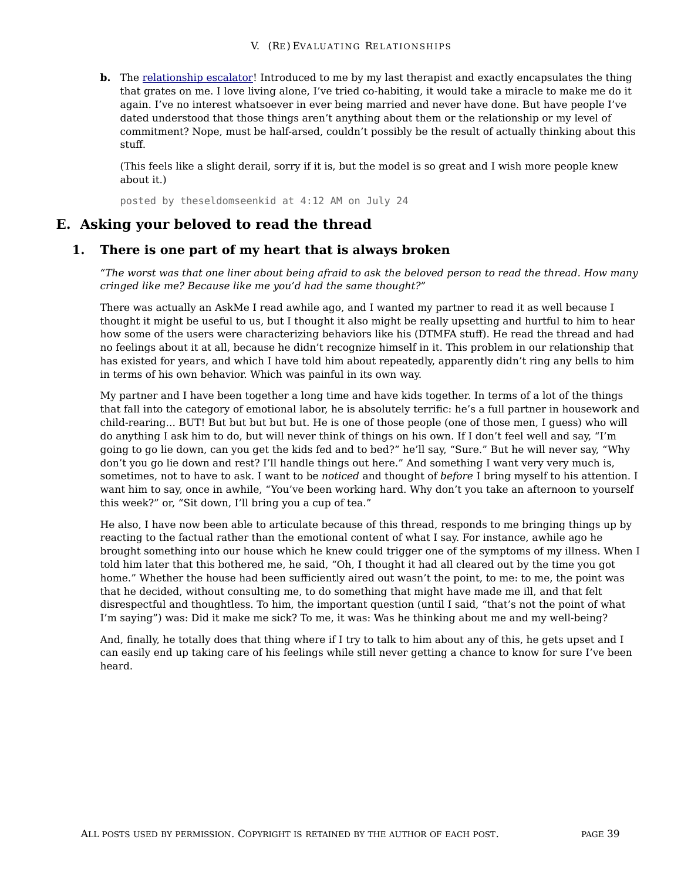#### V. (RE) EVALUATING RELATIONSHIPS

**b.** The <u>relationship escalator</u>! Introduced to me by my last therapist and exactly encapsulates the thing that grates on me. I love living alone, I've tried co-habiting, it would take a miracle to make me do it again. I've no interest whatsoever in ever being married and never have done. But have people I've dated understood that those things aren't anything about them or the relationship or my level of commitment? Nope, must be half-arsed, couldn't possibly be the result of actually thinking about this stuff.

(This feels like a slight derail, sorry if it is, but the model is so great and I wish more people knew about it.)

posted by theseldomseenkid at 4:12 AM on July 24

## <span id="page-38-0"></span>**E. Asking your beloved to read the thread**

## **1. There is one part of my heart that is always broken**

*"The worst was that one liner about being afraid to ask the beloved person to read the thread. How many cringed like me? Because like me you'd had the same thought?"*

There was actually an AskMe I read awhile ago, and I wanted my partner to read it as well because I thought it might be useful to us, but I thought it also might be really upsetting and hurtful to him to hear how some of the users were characterizing behaviors like his (DTMFA stuff). He read the thread and had no feelings about it at all, because he didn't recognize himself in it. This problem in our relationship that has existed for years, and which I have told him about repeatedly, apparently didn't ring any bells to him in terms of his own behavior. Which was painful in its own way.

My partner and I have been together a long time and have kids together. In terms of a lot of the things that fall into the category of emotional labor, he is absolutely terrific: he's a full partner in housework and child-rearing... BUT! But but but but but. He is one of those people (one of those men, I guess) who will do anything I ask him to do, but will never think of things on his own. If I don't feel well and say, "I'm going to go lie down, can you get the kids fed and to bed?" he'll say, "Sure." But he will never say, "Why don't you go lie down and rest? I'll handle things out here." And something I want very very much is, sometimes, not to have to ask. I want to be *noticed* and thought of *before* I bring myself to his attention. I want him to say, once in awhile, "You've been working hard. Why don't you take an afternoon to yourself this week?" or, "Sit down, I'll bring you a cup of tea."

He also, I have now been able to articulate because of this thread, responds to me bringing things up by reacting to the factual rather than the emotional content of what I say. For instance, awhile ago he brought something into our house which he knew could trigger one of the symptoms of my illness. When I told him later that this bothered me, he said, "Oh, I thought it had all cleared out by the time you got home." Whether the house had been sufficiently aired out wasn't the point, to me: to me, the point was that he decided, without consulting me, to do something that might have made me ill, and that felt disrespectful and thoughtless. To him, the important question (until I said, "that's not the point of what I'm saying") was: Did it make me sick? To me, it was: Was he thinking about me and my well-being?

And, finally, he totally does that thing where if I try to talk to him about any of this, he gets upset and I can easily end up taking care of his feelings while still never getting a chance to know for sure I've been heard.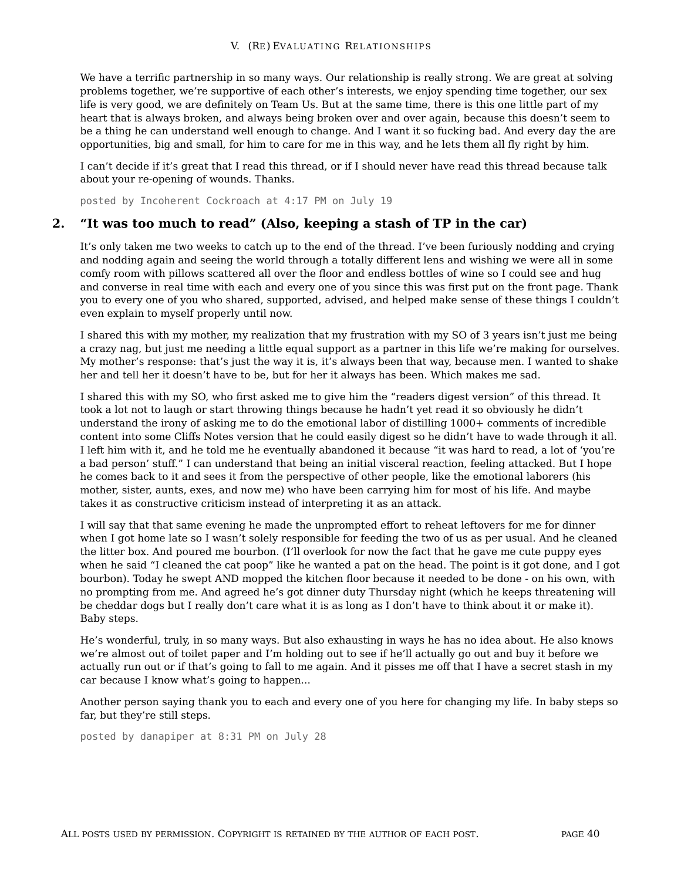We have a terrific partnership in so many ways. Our relationship is really strong. We are great at solving problems together, we're supportive of each other's interests, we enjoy spending time together, our sex life is very good, we are definitely on Team Us. But at the same time, there is this one little part of my heart that is always broken, and always being broken over and over again, because this doesn't seem to be a thing he can understand well enough to change. And I want it so fucking bad. And every day the are opportunities, big and small, for him to care for me in this way, and he lets them all fly right by him.

I can't decide if it's great that I read this thread, or if I should never have read this thread because talk about your re-opening of wounds. Thanks.

posted by Incoherent Cockroach at 4:17 PM on July 19

#### **2. "It was too much to read" (Also, keeping a stash of TP in the car)**

It's only taken me two weeks to catch up to the end of the thread. I've been furiously nodding and crying and nodding again and seeing the world through a totally different lens and wishing we were all in some comfy room with pillows scattered all over the floor and endless bottles of wine so I could see and hug and converse in real time with each and every one of you since this was first put on the front page. Thank you to every one of you who shared, supported, advised, and helped make sense of these things I couldn't even explain to myself properly until now.

I shared this with my mother, my realization that my frustration with my SO of 3 years isn't just me being a crazy nag, but just me needing a little equal support as a partner in this life we're making for ourselves. My mother's response: that's just the way it is, it's always been that way, because men. I wanted to shake her and tell her it doesn't have to be, but for her it always has been. Which makes me sad.

I shared this with my SO, who first asked me to give him the "readers digest version" of this thread. It took a lot not to laugh or start throwing things because he hadn't yet read it so obviously he didn't understand the irony of asking me to do the emotional labor of distilling 1000+ comments of incredible content into some Cliffs Notes version that he could easily digest so he didn't have to wade through it all. I left him with it, and he told me he eventually abandoned it because "it was hard to read, a lot of 'you're a bad person' stuff." I can understand that being an initial visceral reaction, feeling attacked. But I hope he comes back to it and sees it from the perspective of other people, like the emotional laborers (his mother, sister, aunts, exes, and now me) who have been carrying him for most of his life. And maybe takes it as constructive criticism instead of interpreting it as an attack.

I will say that that same evening he made the unprompted effort to reheat leftovers for me for dinner when I got home late so I wasn't solely responsible for feeding the two of us as per usual. And he cleaned the litter box. And poured me bourbon. (I'll overlook for now the fact that he gave me cute puppy eyes when he said "I cleaned the cat poop" like he wanted a pat on the head. The point is it got done, and I got bourbon). Today he swept AND mopped the kitchen floor because it needed to be done - on his own, with no prompting from me. And agreed he's got dinner duty Thursday night (which he keeps threatening will be cheddar dogs but I really don't care what it is as long as I don't have to think about it or make it). Baby steps.

He's wonderful, truly, in so many ways. But also exhausting in ways he has no idea about. He also knows we're almost out of toilet paper and I'm holding out to see if he'll actually go out and buy it before we actually run out or if that's going to fall to me again. And it pisses me off that I have a secret stash in my car because I know what's going to happen...

Another person saying thank you to each and every one of you here for changing my life. In baby steps so far, but they're still steps.

posted by danapiper at 8:31 PM on July 28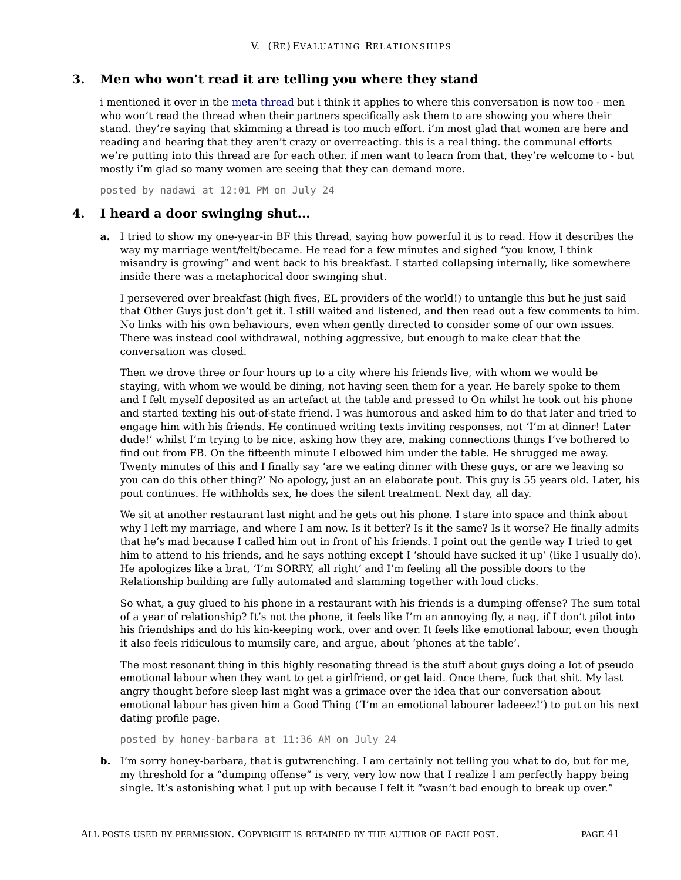## **3. Men who won't read it are telling you where they stand**

i mentioned it over in the [meta thread](http://metatalk.metafilter.com/23762/Emotional-Labor-Rescue#1211330) but i think it applies to where this conversation is now too - men who won't read the thread when their partners specifically ask them to are showing you where their stand. they're saying that skimming a thread is too much effort. i'm most glad that women are here and reading and hearing that they aren't crazy or overreacting. this is a real thing. the communal efforts we're putting into this thread are for each other. if men want to learn from that, they're welcome to - but mostly i'm glad so many women are seeing that they can demand more.

posted by nadawi at 12:01 PM on July 24

### **4. I heard a door swinging shut...**

**a.** I tried to show my one-year-in BF this thread, saying how powerful it is to read. How it describes the way my marriage went/felt/became. He read for a few minutes and sighed "you know, I think misandry is growing" and went back to his breakfast. I started collapsing internally, like somewhere inside there was a metaphorical door swinging shut.

I persevered over breakfast (high fives, EL providers of the world!) to untangle this but he just said that Other Guys just don't get it. I still waited and listened, and then read out a few comments to him. No links with his own behaviours, even when gently directed to consider some of our own issues. There was instead cool withdrawal, nothing aggressive, but enough to make clear that the conversation was closed.

Then we drove three or four hours up to a city where his friends live, with whom we would be staying, with whom we would be dining, not having seen them for a year. He barely spoke to them and I felt myself deposited as an artefact at the table and pressed to On whilst he took out his phone and started texting his out-of-state friend. I was humorous and asked him to do that later and tried to engage him with his friends. He continued writing texts inviting responses, not 'I'm at dinner! Later dude!' whilst I'm trying to be nice, asking how they are, making connections things I've bothered to find out from FB. On the fifteenth minute I elbowed him under the table. He shrugged me away. Twenty minutes of this and I finally say 'are we eating dinner with these guys, or are we leaving so you can do this other thing?' No apology, just an an elaborate pout. This guy is 55 years old. Later, his pout continues. He withholds sex, he does the silent treatment. Next day, all day.

We sit at another restaurant last night and he gets out his phone. I stare into space and think about why I left my marriage, and where I am now. Is it better? Is it the same? Is it worse? He finally admits that he's mad because I called him out in front of his friends. I point out the gentle way I tried to get him to attend to his friends, and he says nothing except I 'should have sucked it up' (like I usually do). He apologizes like a brat, 'I'm SORRY, all right' and I'm feeling all the possible doors to the Relationship building are fully automated and slamming together with loud clicks.

So what, a guy glued to his phone in a restaurant with his friends is a dumping offense? The sum total of a year of relationship? It's not the phone, it feels like I'm an annoying fly, a nag, if I don't pilot into his friendships and do his kin-keeping work, over and over. It feels like emotional labour, even though it also feels ridiculous to mumsily care, and argue, about 'phones at the table'.

The most resonant thing in this highly resonating thread is the stuff about guys doing a lot of pseudo emotional labour when they want to get a girlfriend, or get laid. Once there, fuck that shit. My last angry thought before sleep last night was a grimace over the idea that our conversation about emotional labour has given him a Good Thing ('I'm an emotional labourer ladeeez!') to put on his next dating profile page.

posted by honey-barbara at 11:36 AM on July 24

**b.** I'm sorry honey-barbara, that is gutwrenching. I am certainly not telling you what to do, but for me, my threshold for a "dumping offense" is very, very low now that I realize I am perfectly happy being single. It's astonishing what I put up with because I felt it "wasn't bad enough to break up over."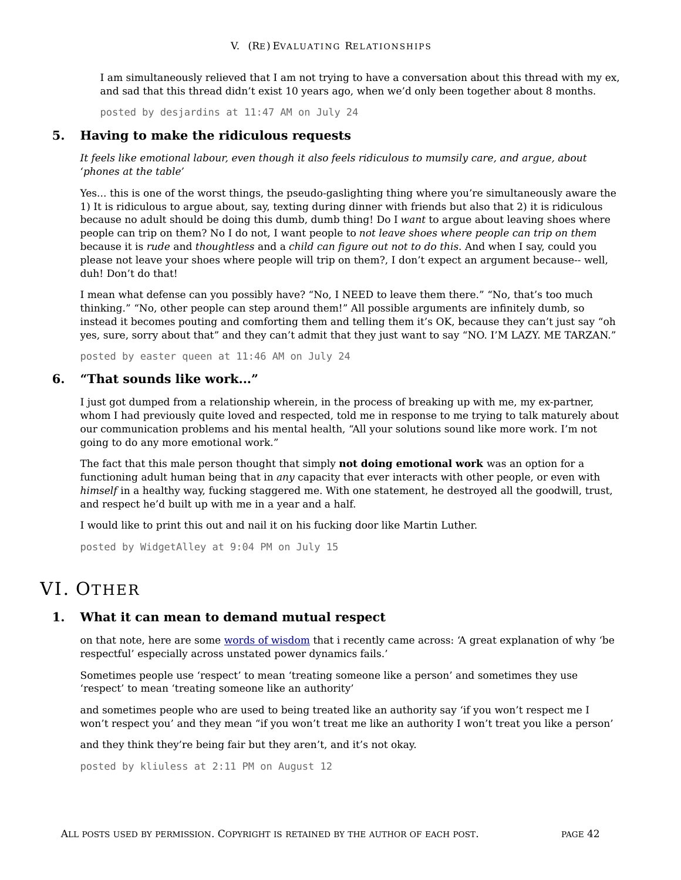I am simultaneously relieved that I am not trying to have a conversation about this thread with my ex, and sad that this thread didn't exist 10 years ago, when we'd only been together about 8 months.

posted by desjardins at 11:47 AM on July 24

### **5. Having to make the ridiculous requests**

*It feels like emotional labour, even though it also feels ridiculous to mumsily care, and argue, about 'phones at the table'*

Yes... this is one of the worst things, the pseudo-gaslighting thing where you're simultaneously aware the 1) It is ridiculous to argue about, say, texting during dinner with friends but also that 2) it is ridiculous because no adult should be doing this dumb, dumb thing! Do I *want* to argue about leaving shoes where people can trip on them? No I do not, I want people to *not leave shoes where people can trip on them* because it is *rude* and *thoughtless* and a *child can figure out not to do this*. And when I say, could you please not leave your shoes where people will trip on them?, I don't expect an argument because-- well, duh! Don't do that!

I mean what defense can you possibly have? "No, I NEED to leave them there." "No, that's too much thinking." "No, other people can step around them!" All possible arguments are infinitely dumb, so instead it becomes pouting and comforting them and telling them it's OK, because they can't just say "oh yes, sure, sorry about that" and they can't admit that they just want to say "NO. I'M LAZY. ME TARZAN."

posted by easter queen at 11:46 AM on July 24

#### **6. "That sounds like work..."**

I just got dumped from a relationship wherein, in the process of breaking up with me, my ex-partner, whom I had previously quite loved and respected, told me in response to me trying to talk maturely about our communication problems and his mental health, "All your solutions sound like more work. I'm not going to do any more emotional work."

The fact that this male person thought that simply **not doing emotional work** was an option for a functioning adult human being that in *any* capacity that ever interacts with other people, or even with *himself* in a healthy way, fucking staggered me. With one statement, he destroyed all the goodwill, trust, and respect he'd built up with me in a year and a half.

I would like to print this out and nail it on his fucking door like Martin Luther.

```
posted by WidgetAlley at 9:04 PM on July 15
```
# <span id="page-41-0"></span>VI. OTHER

## **1. What it can mean to demand mutual respect**

on that note, here are some [words of wisdom](http://imgur.com/ixphr8q) that i recently came across: 'A great explanation of why 'be respectful' especially across unstated power dynamics fails.'

Sometimes people use 'respect' to mean 'treating someone like a person' and sometimes they use 'respect' to mean 'treating someone like an authority'

and sometimes people who are used to being treated like an authority say 'if you won't respect me I won't respect you' and they mean "if you won't treat me like an authority I won't treat you like a person'

and they think they're being fair but they aren't, and it's not okay.

posted by kliuless at 2:11 PM on August 12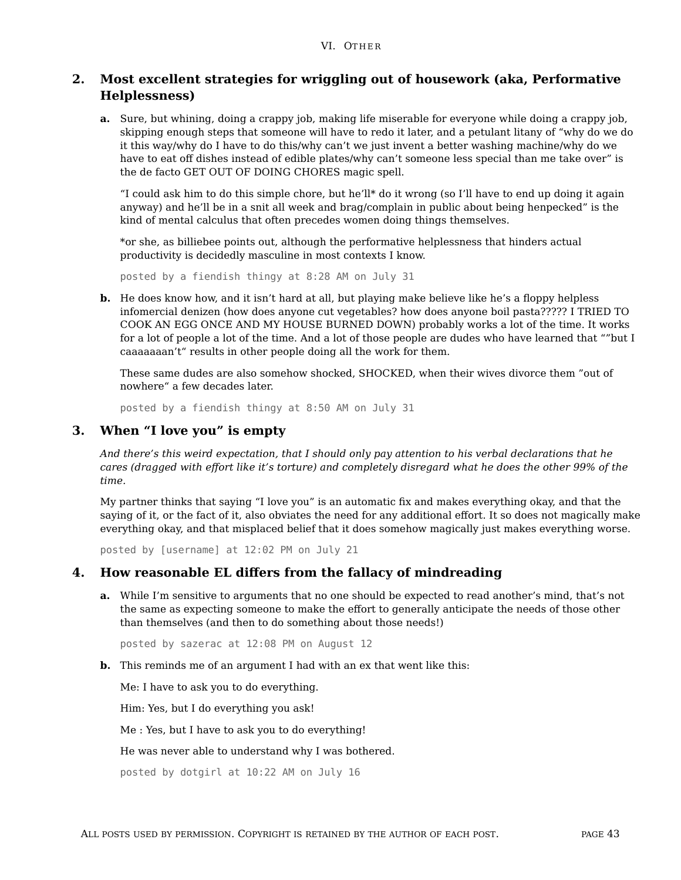## **2. Most excellent strategies for wriggling out of housework (aka, Performative Helplessness)**

**a.** Sure, but whining, doing a crappy job, making life miserable for everyone while doing a crappy job, skipping enough steps that someone will have to redo it later, and a petulant litany of "why do we do it this way/why do I have to do this/why can't we just invent a better washing machine/why do we have to eat off dishes instead of edible plates/why can't someone less special than me take over" is the de facto GET OUT OF DOING CHORES magic spell.

"I could ask him to do this simple chore, but he'll\* do it wrong (so I'll have to end up doing it again anyway) and he'll be in a snit all week and brag/complain in public about being henpecked" is the kind of mental calculus that often precedes women doing things themselves.

\*or she, as billiebee points out, although the performative helplessness that hinders actual productivity is decidedly masculine in most contexts I know.

posted by a fiendish thingy at 8:28 AM on July 31

**b.** He does know how, and it isn't hard at all, but playing make believe like he's a floppy helpless infomercial denizen (how does anyone cut vegetables? how does anyone boil pasta????? I TRIED TO COOK AN EGG ONCE AND MY HOUSE BURNED DOWN) probably works a lot of the time. It works for a lot of people a lot of the time. And a lot of those people are dudes who have learned that ""but I caaaaaaan't" results in other people doing all the work for them.

These same dudes are also somehow shocked, SHOCKED, when their wives divorce them "out of nowhere" a few decades later.

posted by a fiendish thingy at 8:50 AM on July 31

### **3. When "I love you" is empty**

*And there's this weird expectation, that I should only pay attention to his verbal declarations that he cares (dragged with effort like it's torture) and completely disregard what he does the other 99% of the time.*

My partner thinks that saying "I love you" is an automatic fix and makes everything okay, and that the saying of it, or the fact of it, also obviates the need for any additional effort. It so does not magically make everything okay, and that misplaced belief that it does somehow magically just makes everything worse.

posted by [username] at 12:02 PM on July 21

#### **4. How reasonable EL differs from the fallacy of mindreading**

**a.** While I'm sensitive to arguments that no one should be expected to read another's mind, that's not the same as expecting someone to make the effort to generally anticipate the needs of those other than themselves (and then to do something about those needs!)

posted by sazerac at 12:08 PM on August 12

**b.** This reminds me of an argument I had with an ex that went like this:

Me: I have to ask you to do everything.

Him: Yes, but I do everything you ask!

Me : Yes, but I have to ask you to do everything!

He was never able to understand why I was bothered.

posted by dotgirl at 10:22 AM on July 16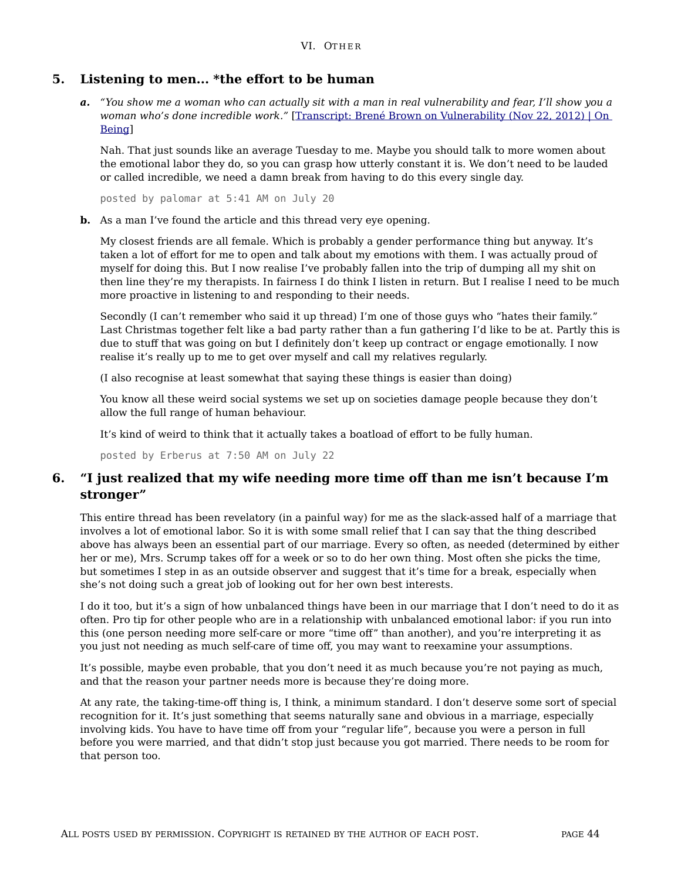## **5. Listening to men... \*the effort to be human**

*a. "You show me a woman who can actually sit with a man in real vulnerability and fear, I'll show you a woman who's done incredible work."* [\[Transcript: Brené Brown on Vulnerability \(Nov 22, 2012\) | On](http://www.onbeing.org/program/transcript/4932)  [Being\]](http://www.onbeing.org/program/transcript/4932)

Nah. That just sounds like an average Tuesday to me. Maybe you should talk to more women about the emotional labor they do, so you can grasp how utterly constant it is. We don't need to be lauded or called incredible, we need a damn break from having to do this every single day.

posted by palomar at 5:41 AM on July 20

**b.** As a man I've found the article and this thread very eye opening.

My closest friends are all female. Which is probably a gender performance thing but anyway. It's taken a lot of effort for me to open and talk about my emotions with them. I was actually proud of myself for doing this. But I now realise I've probably fallen into the trip of dumping all my shit on then line they're my therapists. In fairness I do think I listen in return. But I realise I need to be much more proactive in listening to and responding to their needs.

Secondly (I can't remember who said it up thread) I'm one of those guys who "hates their family." Last Christmas together felt like a bad party rather than a fun gathering I'd like to be at. Partly this is due to stuff that was going on but I definitely don't keep up contract or engage emotionally. I now realise it's really up to me to get over myself and call my relatives regularly.

(I also recognise at least somewhat that saying these things is easier than doing)

You know all these weird social systems we set up on societies damage people because they don't allow the full range of human behaviour.

It's kind of weird to think that it actually takes a boatload of effort to be fully human.

posted by Erberus at 7:50 AM on July 22

## **6. "I just realized that my wife needing more time off than me isn't because I'm stronger"**

This entire thread has been revelatory (in a painful way) for me as the slack-assed half of a marriage that involves a lot of emotional labor. So it is with some small relief that I can say that the thing described above has always been an essential part of our marriage. Every so often, as needed (determined by either her or me), Mrs. Scrump takes off for a week or so to do her own thing. Most often she picks the time, but sometimes I step in as an outside observer and suggest that it's time for a break, especially when she's not doing such a great job of looking out for her own best interests.

I do it too, but it's a sign of how unbalanced things have been in our marriage that I don't need to do it as often. Pro tip for other people who are in a relationship with unbalanced emotional labor: if you run into this (one person needing more self-care or more "time off" than another), and you're interpreting it as you just not needing as much self-care of time off, you may want to reexamine your assumptions.

It's possible, maybe even probable, that you don't need it as much because you're not paying as much, and that the reason your partner needs more is because they're doing more.

At any rate, the taking-time-off thing is, I think, a minimum standard. I don't deserve some sort of special recognition for it. It's just something that seems naturally sane and obvious in a marriage, especially involving kids. You have to have time off from your "regular life", because you were a person in full before you were married, and that didn't stop just because you got married. There needs to be room for that person too.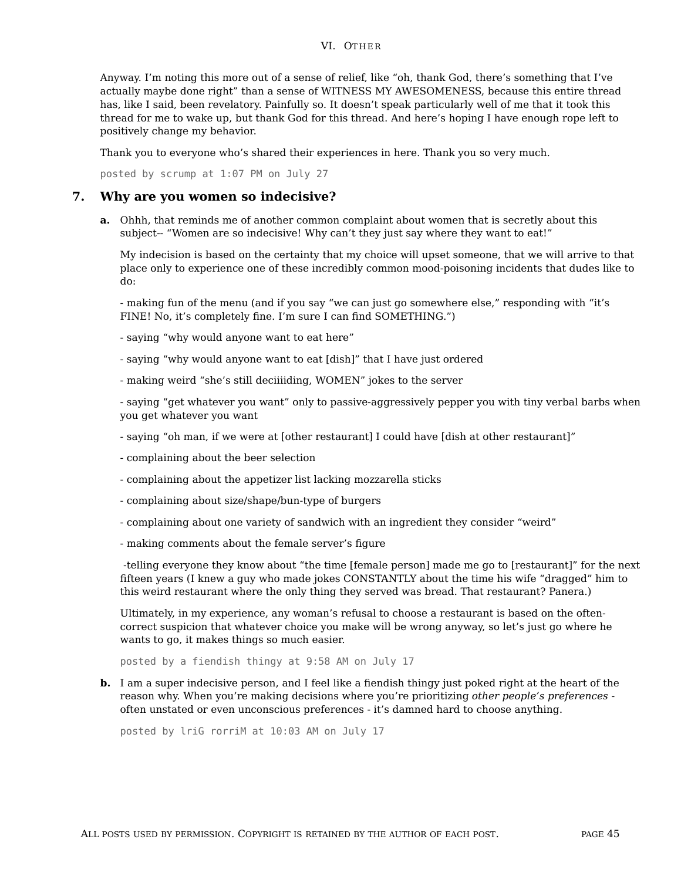#### VI. OT H E R

Anyway. I'm noting this more out of a sense of relief, like "oh, thank God, there's something that I've actually maybe done right" than a sense of WITNESS MY AWESOMENESS, because this entire thread has, like I said, been revelatory. Painfully so. It doesn't speak particularly well of me that it took this thread for me to wake up, but thank God for this thread. And here's hoping I have enough rope left to positively change my behavior.

Thank you to everyone who's shared their experiences in here. Thank you so very much.

posted by scrump at 1:07 PM on July 27

#### **7. Why are you women so indecisive?**

**a.** Ohhh, that reminds me of another common complaint about women that is secretly about this subject-- "Women are so indecisive! Why can't they just say where they want to eat!"

My indecision is based on the certainty that my choice will upset someone, that we will arrive to that place only to experience one of these incredibly common mood-poisoning incidents that dudes like to do:

- making fun of the menu (and if you say "we can just go somewhere else," responding with "it's FINE! No, it's completely fine. I'm sure I can find SOMETHING.")

- saying "why would anyone want to eat here"

- saying "why would anyone want to eat [dish]" that I have just ordered
- making weird "she's still deciiiiding, WOMEN" jokes to the server

- saying "get whatever you want" only to passive-aggressively pepper you with tiny verbal barbs when you get whatever you want

- saying "oh man, if we were at [other restaurant] I could have [dish at other restaurant]"
- complaining about the beer selection
- complaining about the appetizer list lacking mozzarella sticks
- complaining about size/shape/bun-type of burgers
- complaining about one variety of sandwich with an ingredient they consider "weird"
- making comments about the female server's figure

 -telling everyone they know about "the time [female person] made me go to [restaurant]" for the next fifteen years (I knew a guy who made jokes CONSTANTLY about the time his wife "dragged" him to this weird restaurant where the only thing they served was bread. That restaurant? Panera.)

Ultimately, in my experience, any woman's refusal to choose a restaurant is based on the oftencorrect suspicion that whatever choice you make will be wrong anyway, so let's just go where he wants to go, it makes things so much easier.

posted by a fiendish thingy at 9:58 AM on July 17

**b.** I am a super indecisive person, and I feel like a fiendish thingy just poked right at the heart of the reason why. When you're making decisions where you're prioritizing *other people's preferences* often unstated or even unconscious preferences - it's damned hard to choose anything.

posted by lriG rorriM at 10:03 AM on July 17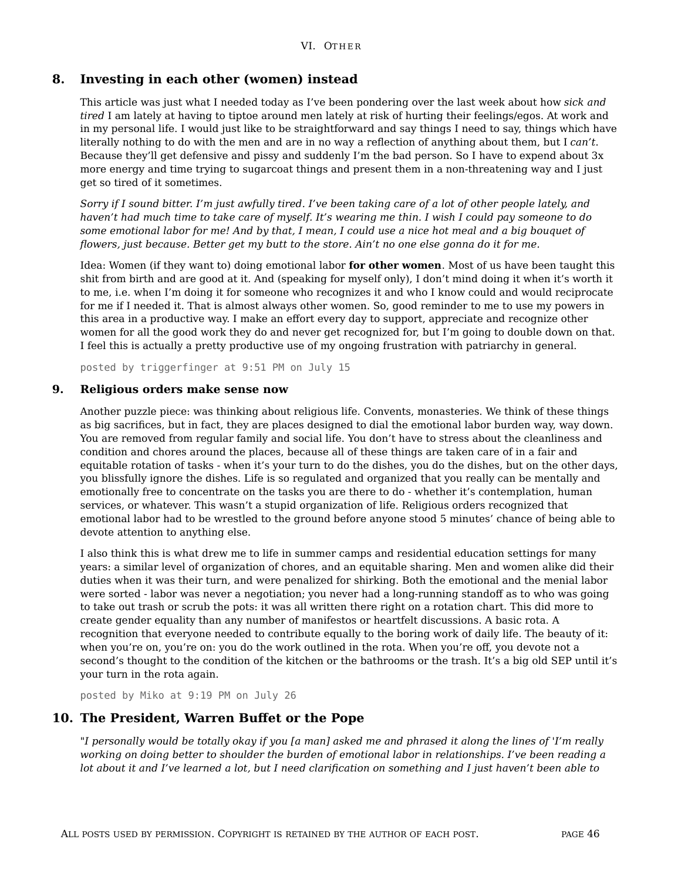## **8. Investing in each other (women) instead**

This article was just what I needed today as I've been pondering over the last week about how *sick and tired* I am lately at having to tiptoe around men lately at risk of hurting their feelings/egos. At work and in my personal life. I would just like to be straightforward and say things I need to say, things which have literally nothing to do with the men and are in no way a reflection of anything about them, but I *can't*. Because they'll get defensive and pissy and suddenly I'm the bad person. So I have to expend about 3x more energy and time trying to sugarcoat things and present them in a non-threatening way and I just get so tired of it sometimes.

*Sorry if I sound bitter. I'm just awfully tired. I've been taking care of a lot of other people lately, and haven't had much time to take care of myself. It's wearing me thin. I wish I could pay someone to do some emotional labor for me! And by that, I mean, I could use a nice hot meal and a big bouquet of flowers, just because. Better get my butt to the store. Ain't no one else gonna do it for me.*

Idea: Women (if they want to) doing emotional labor **for other women**. Most of us have been taught this shit from birth and are good at it. And (speaking for myself only), I don't mind doing it when it's worth it to me, i.e. when I'm doing it for someone who recognizes it and who I know could and would reciprocate for me if I needed it. That is almost always other women. So, good reminder to me to use my powers in this area in a productive way. I make an effort every day to support, appreciate and recognize other women for all the good work they do and never get recognized for, but I'm going to double down on that. I feel this is actually a pretty productive use of my ongoing frustration with patriarchy in general.

posted by triggerfinger at 9:51 PM on July 15

#### **9. Religious orders make sense now**

Another puzzle piece: was thinking about religious life. Convents, monasteries. We think of these things as big sacrifices, but in fact, they are places designed to dial the emotional labor burden way, way down. You are removed from regular family and social life. You don't have to stress about the cleanliness and condition and chores around the places, because all of these things are taken care of in a fair and equitable rotation of tasks - when it's your turn to do the dishes, you do the dishes, but on the other days, you blissfully ignore the dishes. Life is so regulated and organized that you really can be mentally and emotionally free to concentrate on the tasks you are there to do - whether it's contemplation, human services, or whatever. This wasn't a stupid organization of life. Religious orders recognized that emotional labor had to be wrestled to the ground before anyone stood 5 minutes' chance of being able to devote attention to anything else.

I also think this is what drew me to life in summer camps and residential education settings for many years: a similar level of organization of chores, and an equitable sharing. Men and women alike did their duties when it was their turn, and were penalized for shirking. Both the emotional and the menial labor were sorted - labor was never a negotiation; you never had a long-running standoff as to who was going to take out trash or scrub the pots: it was all written there right on a rotation chart. This did more to create gender equality than any number of manifestos or heartfelt discussions. A basic rota. A recognition that everyone needed to contribute equally to the boring work of daily life. The beauty of it: when you're on, you're on: you do the work outlined in the rota. When you're off, you devote not a second's thought to the condition of the kitchen or the bathrooms or the trash. It's a big old SEP until it's your turn in the rota again.

posted by Miko at 9:19 PM on July 26

## **10. The President, Warren Buffet or the Pope**

*"I personally would be totally okay if you [a man] asked me and phrased it along the lines of 'I'm really working on doing better to shoulder the burden of emotional labor in relationships. I've been reading a lot about it and I've learned a lot, but I need clarification on something and I just haven't been able to*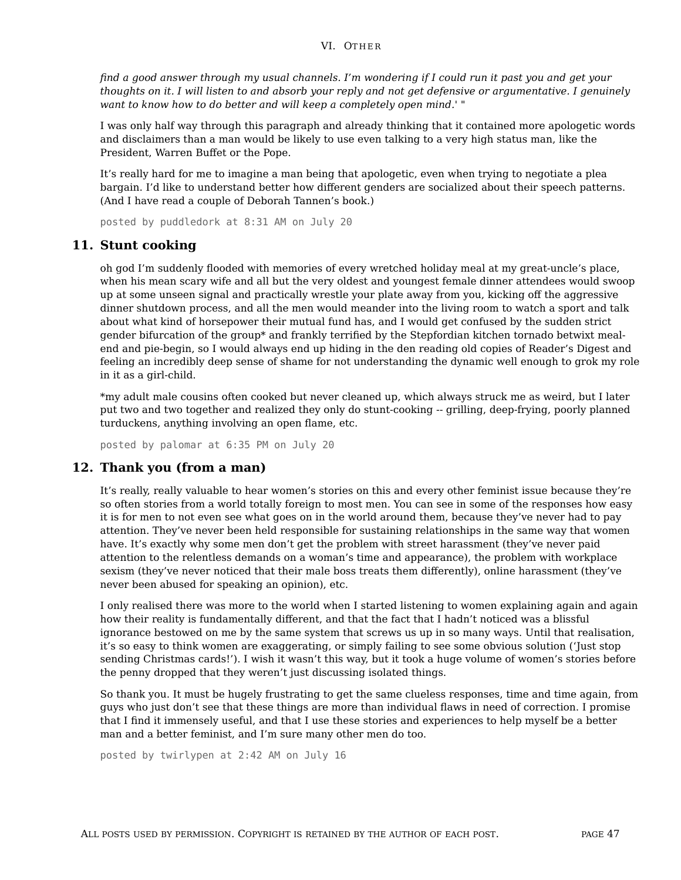*find a good answer through my usual channels. I'm wondering if I could run it past you and get your thoughts on it. I will listen to and absorb your reply and not get defensive or argumentative. I genuinely want to know how to do better and will keep a completely open mind.' "*

I was only half way through this paragraph and already thinking that it contained more apologetic words and disclaimers than a man would be likely to use even talking to a very high status man, like the President, Warren Buffet or the Pope.

It's really hard for me to imagine a man being that apologetic, even when trying to negotiate a plea bargain. I'd like to understand better how different genders are socialized about their speech patterns. (And I have read a couple of Deborah Tannen's book.)

posted by puddledork at 8:31 AM on July 20

### **11. Stunt cooking**

oh god I'm suddenly flooded with memories of every wretched holiday meal at my great-uncle's place, when his mean scary wife and all but the very oldest and youngest female dinner attendees would swoop up at some unseen signal and practically wrestle your plate away from you, kicking off the aggressive dinner shutdown process, and all the men would meander into the living room to watch a sport and talk about what kind of horsepower their mutual fund has, and I would get confused by the sudden strict gender bifurcation of the group\* and frankly terrified by the Stepfordian kitchen tornado betwixt mealend and pie-begin, so I would always end up hiding in the den reading old copies of Reader's Digest and feeling an incredibly deep sense of shame for not understanding the dynamic well enough to grok my role in it as a girl-child.

\*my adult male cousins often cooked but never cleaned up, which always struck me as weird, but I later put two and two together and realized they only do stunt-cooking -- grilling, deep-frying, poorly planned turduckens, anything involving an open flame, etc.

posted by palomar at 6:35 PM on July 20

## **12. Thank you (from a man)**

It's really, really valuable to hear women's stories on this and every other feminist issue because they're so often stories from a world totally foreign to most men. You can see in some of the responses how easy it is for men to not even see what goes on in the world around them, because they've never had to pay attention. They've never been held responsible for sustaining relationships in the same way that women have. It's exactly why some men don't get the problem with street harassment (they've never paid attention to the relentless demands on a woman's time and appearance), the problem with workplace sexism (they've never noticed that their male boss treats them differently), online harassment (they've never been abused for speaking an opinion), etc.

I only realised there was more to the world when I started listening to women explaining again and again how their reality is fundamentally different, and that the fact that I hadn't noticed was a blissful ignorance bestowed on me by the same system that screws us up in so many ways. Until that realisation, it's so easy to think women are exaggerating, or simply failing to see some obvious solution ('Just stop sending Christmas cards!'). I wish it wasn't this way, but it took a huge volume of women's stories before the penny dropped that they weren't just discussing isolated things.

So thank you. It must be hugely frustrating to get the same clueless responses, time and time again, from guys who just don't see that these things are more than individual flaws in need of correction. I promise that I find it immensely useful, and that I use these stories and experiences to help myself be a better man and a better feminist, and I'm sure many other men do too.

posted by twirlypen at 2:42 AM on July 16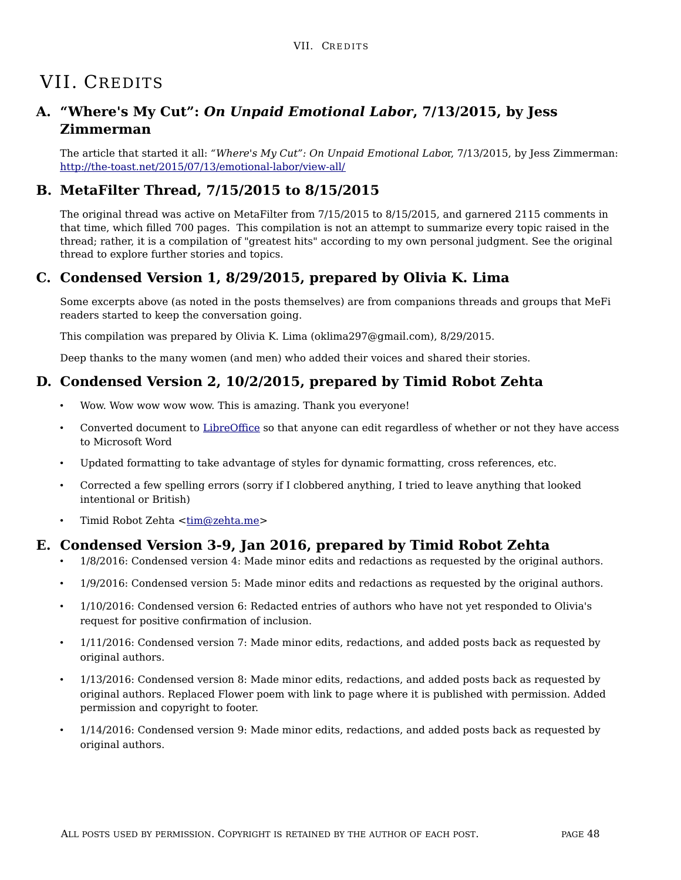# <span id="page-47-5"></span>VII. CREDITS

# <span id="page-47-4"></span>**A. "Where's My Cut":** *On Unpaid Emotional Labor***, 7/13/2015, by Jess Zimmerman**

The article that started it all: *"Where's My Cut": On Unpaid Emotional Labo*r, 7/13/2015, by Jess Zimmerman: <http://the-toast.net/2015/07/13/emotional-labor/view-all/>

# <span id="page-47-3"></span>**B. MetaFilter Thread, 7/15/2015 to 8/15/2015**

The original thread was active on MetaFilter from 7/15/2015 to 8/15/2015, and garnered 2115 comments in that time, which filled 700 pages. This compilation is not an attempt to summarize every topic raised in the thread; rather, it is a compilation of "greatest hits" according to my own personal judgment. See the original thread to explore further stories and topics.

# <span id="page-47-2"></span>**C. Condensed Version 1, 8/29/2015, prepared by Olivia K. Lima**

Some excerpts above (as noted in the posts themselves) are from companions threads and groups that MeFi readers started to keep the conversation going.

This compilation was prepared by Olivia K. Lima (oklima297@gmail.com), 8/29/2015.

<span id="page-47-1"></span>Deep thanks to the many women (and men) who added their voices and shared their stories.

# **D. Condensed Version 2, 10/2/2015, prepared by Timid Robot Zehta**

- Wow. Wow wow wow wow. This is amazing. Thank you everyone!
- Converted document to [LibreOffice](https://www.libreoffice.org/) so that anyone can edit regardless of whether or not they have access to Microsoft Word
- Updated formatting to take advantage of styles for dynamic formatting, cross references, etc.
- Corrected a few spelling errors (sorry if I clobbered anything, I tried to leave anything that looked intentional or British)
- Timid Robot Zehta [<tim@zehta.me>](mailto:tim@zehta.me)

# **E. Condensed Version 3-9, Jan 2016, prepared by Timid Robot Zehta**

- <span id="page-47-0"></span>• 1/8/2016: Condensed version 4: Made minor edits and redactions as requested by the original authors.
- 1/9/2016: Condensed version 5: Made minor edits and redactions as requested by the original authors.
- 1/10/2016: Condensed version 6: Redacted entries of authors who have not yet responded to Olivia's request for positive confirmation of inclusion.
- 1/11/2016: Condensed version 7: Made minor edits, redactions, and added posts back as requested by original authors.
- 1/13/2016: Condensed version 8: Made minor edits, redactions, and added posts back as requested by original authors. Replaced Flower poem with link to page where it is published with permission. Added permission and copyright to footer.
- 1/14/2016: Condensed version 9: Made minor edits, redactions, and added posts back as requested by original authors.